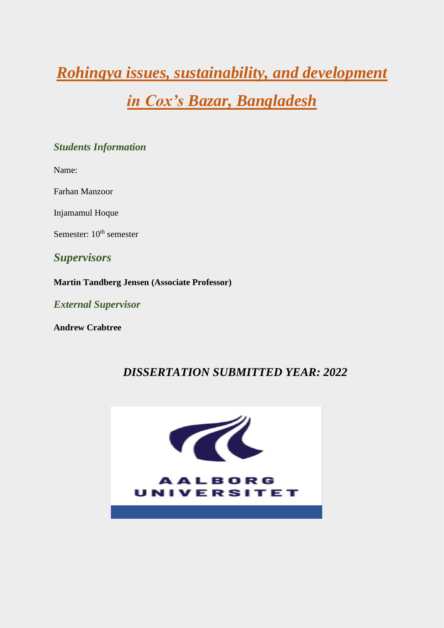# *Rohingya issues, sustainability, and development*

## *in Cox's Bazar, Bangladesh*

## *Students Information*

Name:

Farhan Manzoor

Injamamul Hoque

Semester:  $10^{th}$  semester

*Supervisors*

**Martin Tandberg Jensen (Associate Professor)**

*External Supervisor*

**Andrew Crabtree**

## *DISSERTATION SUBMITTED YEAR: 2022*

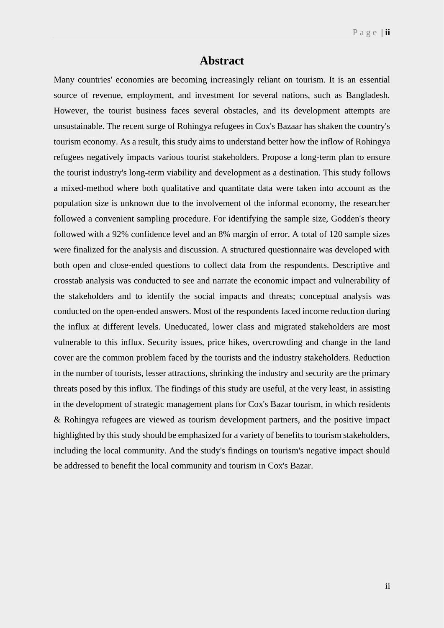## **Abstract**

Many countries' economies are becoming increasingly reliant on tourism. It is an essential source of revenue, employment, and investment for several nations, such as Bangladesh. However, the tourist business faces several obstacles, and its development attempts are unsustainable. The recent surge of Rohingya refugees in Cox's Bazaar has shaken the country's tourism economy. As a result, this study aims to understand better how the inflow of Rohingya refugees negatively impacts various tourist stakeholders. Propose a long-term plan to ensure the tourist industry's long-term viability and development as a destination. This study follows a mixed-method where both qualitative and quantitate data were taken into account as the population size is unknown due to the involvement of the informal economy, the researcher followed a convenient sampling procedure. For identifying the sample size, Godden's theory followed with a 92% confidence level and an 8% margin of error. A total of 120 sample sizes were finalized for the analysis and discussion. A structured questionnaire was developed with both open and close-ended questions to collect data from the respondents. Descriptive and crosstab analysis was conducted to see and narrate the economic impact and vulnerability of the stakeholders and to identify the social impacts and threats; conceptual analysis was conducted on the open-ended answers. Most of the respondents faced income reduction during the influx at different levels. Uneducated, lower class and migrated stakeholders are most vulnerable to this influx. Security issues, price hikes, overcrowding and change in the land cover are the common problem faced by the tourists and the industry stakeholders. Reduction in the number of tourists, lesser attractions, shrinking the industry and security are the primary threats posed by this influx. The findings of this study are useful, at the very least, in assisting in the development of strategic management plans for Cox's Bazar tourism, in which residents & Rohingya refugees are viewed as tourism development partners, and the positive impact highlighted by this study should be emphasized for a variety of benefits to tourism stakeholders, including the local community. And the study's findings on tourism's negative impact should be addressed to benefit the local community and tourism in Cox's Bazar.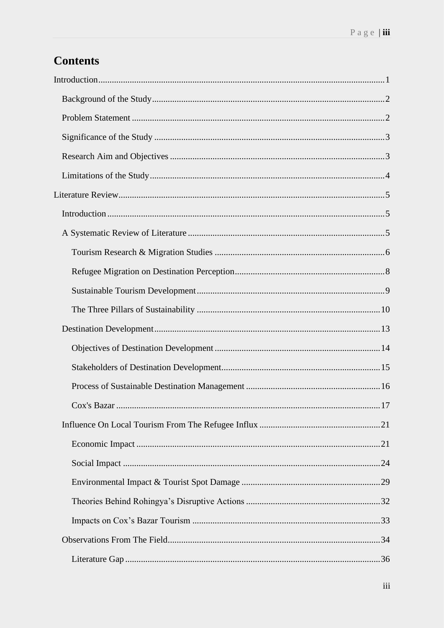## **Contents**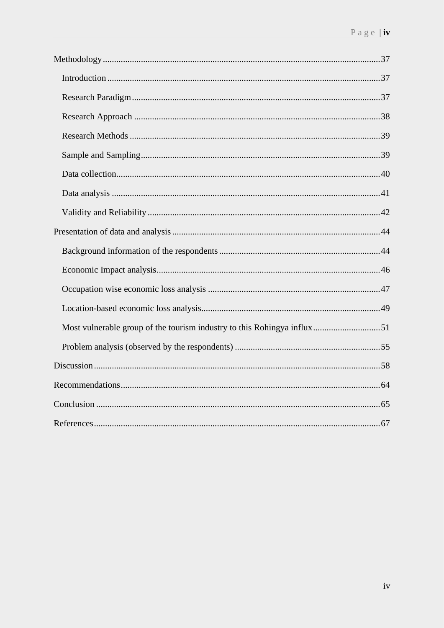| Most vulnerable group of the tourism industry to this Rohingya influx51 |  |
|-------------------------------------------------------------------------|--|
|                                                                         |  |
|                                                                         |  |
|                                                                         |  |
|                                                                         |  |
|                                                                         |  |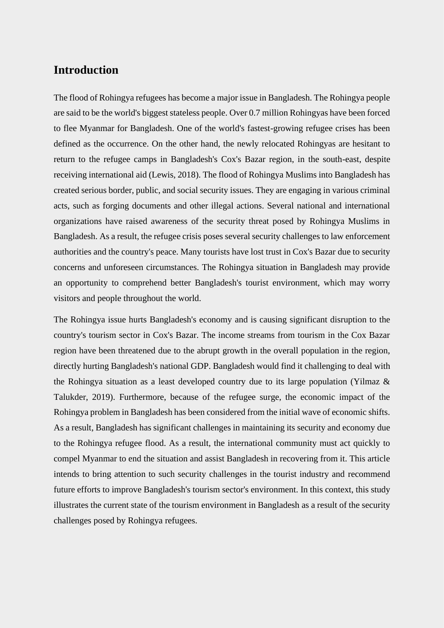## <span id="page-4-0"></span>**Introduction**

The flood of Rohingya refugees has become a major issue in Bangladesh. The Rohingya people are said to be the world's biggest stateless people. Over 0.7 million Rohingyas have been forced to flee Myanmar for Bangladesh. One of the world's fastest-growing refugee crises has been defined as the occurrence. On the other hand, the newly relocated Rohingyas are hesitant to return to the refugee camps in Bangladesh's Cox's Bazar region, in the south-east, despite receiving international aid (Lewis, 2018). The flood of Rohingya Muslims into Bangladesh has created serious border, public, and social security issues. They are engaging in various criminal acts, such as forging documents and other illegal actions. Several national and international organizations have raised awareness of the security threat posed by Rohingya Muslims in Bangladesh. As a result, the refugee crisis poses several security challenges to law enforcement authorities and the country's peace. Many tourists have lost trust in Cox's Bazar due to security concerns and unforeseen circumstances. The Rohingya situation in Bangladesh may provide an opportunity to comprehend better Bangladesh's tourist environment, which may worry visitors and people throughout the world.

The Rohingya issue hurts Bangladesh's economy and is causing significant disruption to the country's tourism sector in Cox's Bazar. The income streams from tourism in the Cox Bazar region have been threatened due to the abrupt growth in the overall population in the region, directly hurting Bangladesh's national GDP. Bangladesh would find it challenging to deal with the Rohingya situation as a least developed country due to its large population (Yilmaz & Talukder, 2019). Furthermore, because of the refugee surge, the economic impact of the Rohingya problem in Bangladesh has been considered from the initial wave of economic shifts. As a result, Bangladesh has significant challenges in maintaining its security and economy due to the Rohingya refugee flood. As a result, the international community must act quickly to compel Myanmar to end the situation and assist Bangladesh in recovering from it. This article intends to bring attention to such security challenges in the tourist industry and recommend future efforts to improve Bangladesh's tourism sector's environment. In this context, this study illustrates the current state of the tourism environment in Bangladesh as a result of the security challenges posed by Rohingya refugees.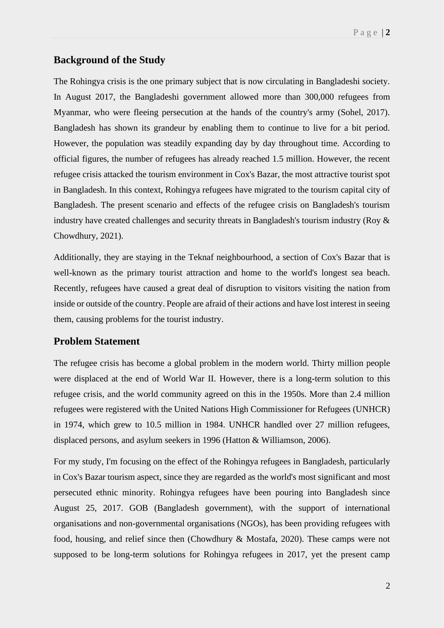## <span id="page-5-0"></span>**Background of the Study**

The Rohingya crisis is the one primary subject that is now circulating in Bangladeshi society. In August 2017, the Bangladeshi government allowed more than 300,000 refugees from Myanmar, who were fleeing persecution at the hands of the country's army (Sohel, 2017). Bangladesh has shown its grandeur by enabling them to continue to live for a bit period. However, the population was steadily expanding day by day throughout time. According to official figures, the number of refugees has already reached 1.5 million. However, the recent refugee crisis attacked the tourism environment in Cox's Bazar, the most attractive tourist spot in Bangladesh. In this context, Rohingya refugees have migrated to the tourism capital city of Bangladesh. The present scenario and effects of the refugee crisis on Bangladesh's tourism industry have created challenges and security threats in Bangladesh's tourism industry (Roy & Chowdhury, 2021).

Additionally, they are staying in the Teknaf neighbourhood, a section of Cox's Bazar that is well-known as the primary tourist attraction and home to the world's longest sea beach. Recently, refugees have caused a great deal of disruption to visitors visiting the nation from inside or outside of the country. People are afraid of their actions and have lost interest in seeing them, causing problems for the tourist industry.

## <span id="page-5-1"></span>**Problem Statement**

The refugee crisis has become a global problem in the modern world. Thirty million people were displaced at the end of World War II. However, there is a long-term solution to this refugee crisis, and the world community agreed on this in the 1950s. More than 2.4 million refugees were registered with the United Nations High Commissioner for Refugees (UNHCR) in 1974, which grew to 10.5 million in 1984. UNHCR handled over 27 million refugees, displaced persons, and asylum seekers in 1996 (Hatton & Williamson, 2006).

For my study, I'm focusing on the effect of the Rohingya refugees in Bangladesh, particularly in Cox's Bazar tourism aspect, since they are regarded as the world's most significant and most persecuted ethnic minority. Rohingya refugees have been pouring into Bangladesh since August 25, 2017. GOB (Bangladesh government), with the support of international organisations and non-governmental organisations (NGOs), has been providing refugees with food, housing, and relief since then (Chowdhury & Mostafa, 2020). These camps were not supposed to be long-term solutions for Rohingya refugees in 2017, yet the present camp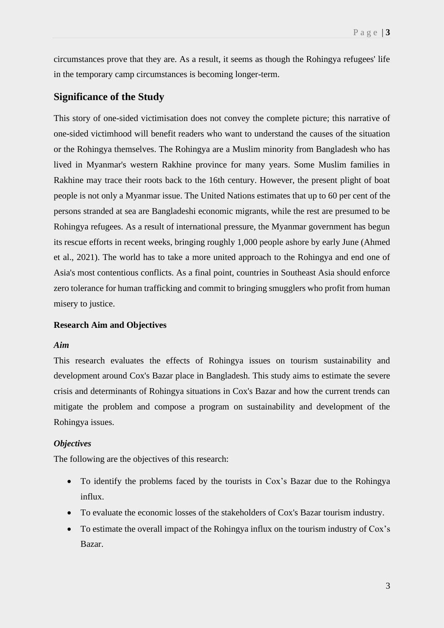circumstances prove that they are. As a result, it seems as though the Rohingya refugees' life in the temporary camp circumstances is becoming longer-term.

## <span id="page-6-0"></span>**Significance of the Study**

This story of one-sided victimisation does not convey the complete picture; this narrative of one-sided victimhood will benefit readers who want to understand the causes of the situation or the Rohingya themselves. The Rohingya are a Muslim minority from Bangladesh who has lived in Myanmar's western Rakhine province for many years. Some Muslim families in Rakhine may trace their roots back to the 16th century. However, the present plight of boat people is not only a Myanmar issue. The United Nations estimates that up to 60 per cent of the persons stranded at sea are Bangladeshi economic migrants, while the rest are presumed to be Rohingya refugees. As a result of international pressure, the Myanmar government has begun its rescue efforts in recent weeks, bringing roughly 1,000 people ashore by early June (Ahmed et al., 2021). The world has to take a more united approach to the Rohingya and end one of Asia's most contentious conflicts. As a final point, countries in Southeast Asia should enforce zero tolerance for human trafficking and commit to bringing smugglers who profit from human misery to justice.

#### <span id="page-6-1"></span>**Research Aim and Objectives**

#### *Aim*

This research evaluates the effects of Rohingya issues on tourism sustainability and development around Cox's Bazar place in Bangladesh. This study aims to estimate the severe crisis and determinants of Rohingya situations in Cox's Bazar and how the current trends can mitigate the problem and compose a program on sustainability and development of the Rohingya issues.

#### *Objectives*

The following are the objectives of this research:

- To identify the problems faced by the tourists in Cox's Bazar due to the Rohingya influx.
- To evaluate the economic losses of the stakeholders of Cox's Bazar tourism industry.
- To estimate the overall impact of the Rohingya influx on the tourism industry of Cox's Bazar.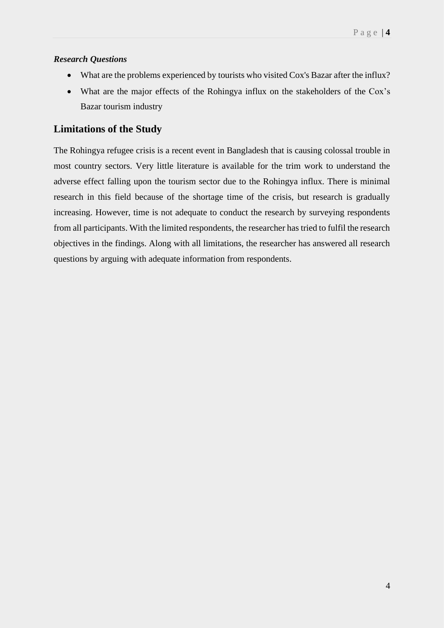## *Research Questions*

- What are the problems experienced by tourists who visited Cox's Bazar after the influx?
- What are the major effects of the Rohingya influx on the stakeholders of the Cox's Bazar tourism industry

## <span id="page-7-0"></span>**Limitations of the Study**

The Rohingya refugee crisis is a recent event in Bangladesh that is causing colossal trouble in most country sectors. Very little literature is available for the trim work to understand the adverse effect falling upon the tourism sector due to the Rohingya influx. There is minimal research in this field because of the shortage time of the crisis, but research is gradually increasing. However, time is not adequate to conduct the research by surveying respondents from all participants. With the limited respondents, the researcher has tried to fulfil the research objectives in the findings. Along with all limitations, the researcher has answered all research questions by arguing with adequate information from respondents.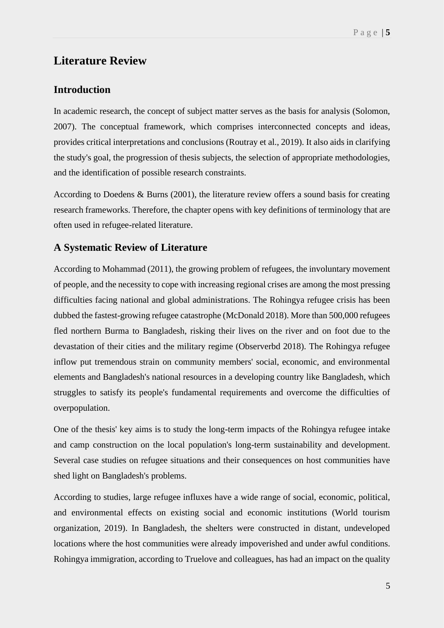## <span id="page-8-0"></span>**Literature Review**

## <span id="page-8-1"></span>**Introduction**

In academic research, the concept of subject matter serves as the basis for analysis (Solomon, 2007). The conceptual framework, which comprises interconnected concepts and ideas, provides critical interpretations and conclusions (Routray et al., 2019). It also aids in clarifying the study's goal, the progression of thesis subjects, the selection of appropriate methodologies, and the identification of possible research constraints.

According to Doedens & Burns (2001), the literature review offers a sound basis for creating research frameworks. Therefore, the chapter opens with key definitions of terminology that are often used in refugee-related literature.

## <span id="page-8-2"></span>**A Systematic Review of Literature**

According to Mohammad (2011), the growing problem of refugees, the involuntary movement of people, and the necessity to cope with increasing regional crises are among the most pressing difficulties facing national and global administrations. The Rohingya refugee crisis has been dubbed the fastest-growing refugee catastrophe (McDonald 2018). More than 500,000 refugees fled northern Burma to Bangladesh, risking their lives on the river and on foot due to the devastation of their cities and the military regime (Observerbd 2018). The Rohingya refugee inflow put tremendous strain on community members' social, economic, and environmental elements and Bangladesh's national resources in a developing country like Bangladesh, which struggles to satisfy its people's fundamental requirements and overcome the difficulties of overpopulation.

One of the thesis' key aims is to study the long-term impacts of the Rohingya refugee intake and camp construction on the local population's long-term sustainability and development. Several case studies on refugee situations and their consequences on host communities have shed light on Bangladesh's problems.

According to studies, large refugee influxes have a wide range of social, economic, political, and environmental effects on existing social and economic institutions (World tourism organization, 2019). In Bangladesh, the shelters were constructed in distant, undeveloped locations where the host communities were already impoverished and under awful conditions. Rohingya immigration, according to Truelove and colleagues, has had an impact on the quality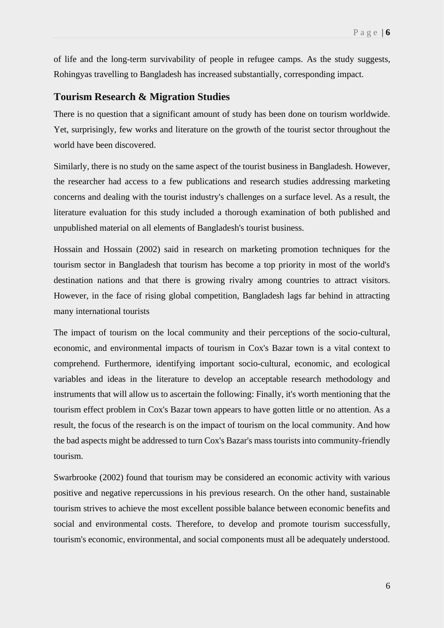of life and the long-term survivability of people in refugee camps. As the study suggests, Rohingyas travelling to Bangladesh has increased substantially, corresponding impact.

## <span id="page-9-0"></span>**Tourism Research & Migration Studies**

There is no question that a significant amount of study has been done on tourism worldwide. Yet, surprisingly, few works and literature on the growth of the tourist sector throughout the world have been discovered.

Similarly, there is no study on the same aspect of the tourist business in Bangladesh. However, the researcher had access to a few publications and research studies addressing marketing concerns and dealing with the tourist industry's challenges on a surface level. As a result, the literature evaluation for this study included a thorough examination of both published and unpublished material on all elements of Bangladesh's tourist business.

Hossain and Hossain (2002) said in research on marketing promotion techniques for the tourism sector in Bangladesh that tourism has become a top priority in most of the world's destination nations and that there is growing rivalry among countries to attract visitors. However, in the face of rising global competition, Bangladesh lags far behind in attracting many international tourists

The impact of tourism on the local community and their perceptions of the socio-cultural, economic, and environmental impacts of tourism in Cox's Bazar town is a vital context to comprehend. Furthermore, identifying important socio-cultural, economic, and ecological variables and ideas in the literature to develop an acceptable research methodology and instruments that will allow us to ascertain the following: Finally, it's worth mentioning that the tourism effect problem in Cox's Bazar town appears to have gotten little or no attention. As a result, the focus of the research is on the impact of tourism on the local community. And how the bad aspects might be addressed to turn Cox's Bazar's mass tourists into community-friendly tourism.

Swarbrooke (2002) found that tourism may be considered an economic activity with various positive and negative repercussions in his previous research. On the other hand, sustainable tourism strives to achieve the most excellent possible balance between economic benefits and social and environmental costs. Therefore, to develop and promote tourism successfully, tourism's economic, environmental, and social components must all be adequately understood.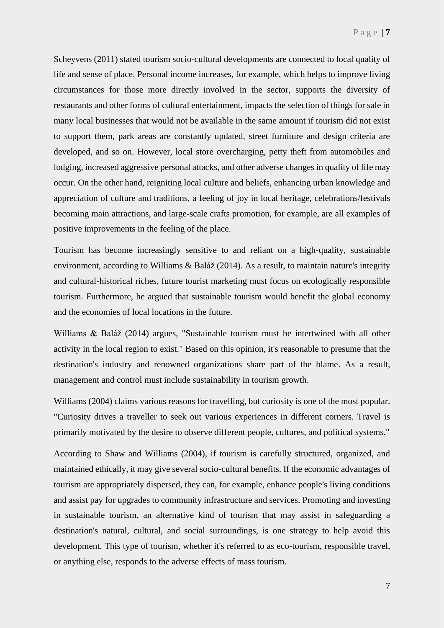Scheyvens (2011) stated tourism socio-cultural developments are connected to local quality of life and sense of place. Personal income increases, for example, which helps to improve living circumstances for those more directly involved in the sector, supports the diversity of restaurants and other forms of cultural entertainment, impacts the selection of things for sale in many local businesses that would not be available in the same amount if tourism did not exist to support them, park areas are constantly updated, street furniture and design criteria are developed, and so on. However, local store overcharging, petty theft from automobiles and lodging, increased aggressive personal attacks, and other adverse changes in quality of life may occur. On the other hand, reigniting local culture and beliefs, enhancing urban knowledge and appreciation of culture and traditions, a feeling of joy in local heritage, celebrations/festivals becoming main attractions, and large-scale crafts promotion, for example, are all examples of positive improvements in the feeling of the place.

Tourism has become increasingly sensitive to and reliant on a high-quality, sustainable environment, according to Williams & Baláž (2014). As a result, to maintain nature's integrity and cultural-historical riches, future tourist marketing must focus on ecologically responsible tourism. Furthermore, he argued that sustainable tourism would benefit the global economy and the economies of local locations in the future.

Williams & Baláž (2014) argues, "Sustainable tourism must be intertwined with all other activity in the local region to exist." Based on this opinion, it's reasonable to presume that the destination's industry and renowned organizations share part of the blame. As a result, management and control must include sustainability in tourism growth.

Williams (2004) claims various reasons for travelling, but curiosity is one of the most popular. "Curiosity drives a traveller to seek out various experiences in different corners. Travel is primarily motivated by the desire to observe different people, cultures, and political systems."

According to Shaw and Williams (2004), if tourism is carefully structured, organized, and maintained ethically, it may give several socio-cultural benefits. If the economic advantages of tourism are appropriately dispersed, they can, for example, enhance people's living conditions and assist pay for upgrades to community infrastructure and services. Promoting and investing in sustainable tourism, an alternative kind of tourism that may assist in safeguarding a destination's natural, cultural, and social surroundings, is one strategy to help avoid this development. This type of tourism, whether it's referred to as eco-tourism, responsible travel, or anything else, responds to the adverse effects of mass tourism.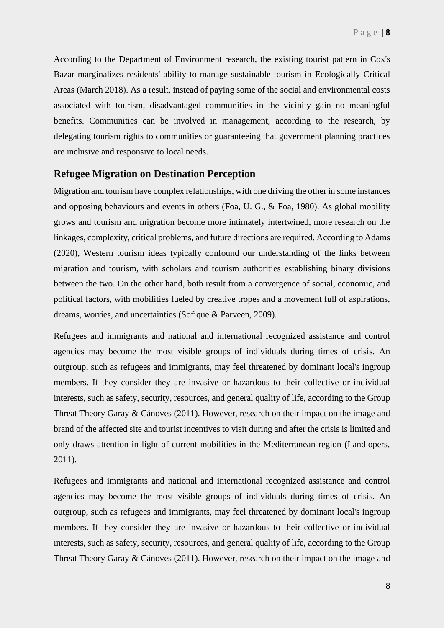According to the Department of Environment research, the existing tourist pattern in Cox's Bazar marginalizes residents' ability to manage sustainable tourism in Ecologically Critical Areas (March 2018). As a result, instead of paying some of the social and environmental costs associated with tourism, disadvantaged communities in the vicinity gain no meaningful benefits. Communities can be involved in management, according to the research, by delegating tourism rights to communities or guaranteeing that government planning practices are inclusive and responsive to local needs.

### <span id="page-11-0"></span>**Refugee Migration on Destination Perception**

Migration and tourism have complex relationships, with one driving the other in some instances and opposing behaviours and events in others (Foa, U. G., & Foa, 1980). As global mobility grows and tourism and migration become more intimately intertwined, more research on the linkages, complexity, critical problems, and future directions are required. According to Adams (2020), Western tourism ideas typically confound our understanding of the links between migration and tourism, with scholars and tourism authorities establishing binary divisions between the two. On the other hand, both result from a convergence of social, economic, and political factors, with mobilities fueled by creative tropes and a movement full of aspirations, dreams, worries, and uncertainties (Sofique & Parveen, 2009).

Refugees and immigrants and national and international recognized assistance and control agencies may become the most visible groups of individuals during times of crisis. An outgroup, such as refugees and immigrants, may feel threatened by dominant local's ingroup members. If they consider they are invasive or hazardous to their collective or individual interests, such as safety, security, resources, and general quality of life, according to the Group Threat Theory Garay & Cánoves (2011). However, research on their impact on the image and brand of the affected site and tourist incentives to visit during and after the crisis is limited and only draws attention in light of current mobilities in the Mediterranean region (Landlopers, 2011).

Refugees and immigrants and national and international recognized assistance and control agencies may become the most visible groups of individuals during times of crisis. An outgroup, such as refugees and immigrants, may feel threatened by dominant local's ingroup members. If they consider they are invasive or hazardous to their collective or individual interests, such as safety, security, resources, and general quality of life, according to the Group Threat Theory Garay & Cánoves (2011). However, research on their impact on the image and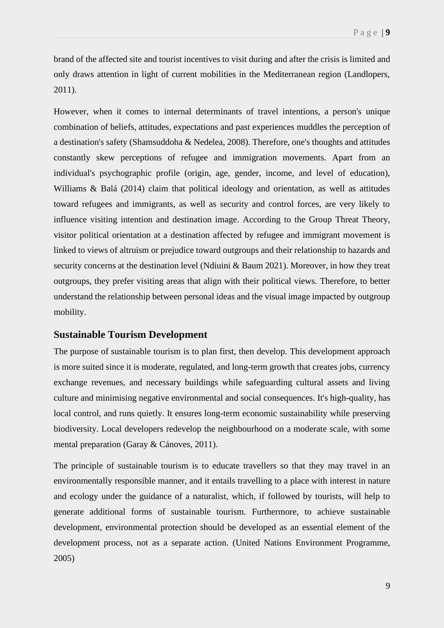brand of the affected site and tourist incentives to visit during and after the crisis is limited and only draws attention in light of current mobilities in the Mediterranean region (Landlopers, 2011).

However, when it comes to internal determinants of travel intentions, a person's unique combination of beliefs, attitudes, expectations and past experiences muddles the perception of a destination's safety (Shamsuddoha & Nedelea, 2008). Therefore, one's thoughts and attitudes constantly skew perceptions of refugee and immigration movements. Apart from an individual's psychographic profile (origin, age, gender, income, and level of education), Williams & Balá (2014) claim that political ideology and orientation, as well as attitudes toward refugees and immigrants, as well as security and control forces, are very likely to influence visiting intention and destination image. According to the Group Threat Theory, visitor political orientation at a destination affected by refugee and immigrant movement is linked to views of altruism or prejudice toward outgroups and their relationship to hazards and security concerns at the destination level (Ndiuini & Baum 2021). Moreover, in how they treat outgroups, they prefer visiting areas that align with their political views. Therefore, to better understand the relationship between personal ideas and the visual image impacted by outgroup mobility.

#### <span id="page-12-0"></span>**Sustainable Tourism Development**

The purpose of sustainable tourism is to plan first, then develop. This development approach is more suited since it is moderate, regulated, and long-term growth that creates jobs, currency exchange revenues, and necessary buildings while safeguarding cultural assets and living culture and minimising negative environmental and social consequences. It's high-quality, has local control, and runs quietly. It ensures long-term economic sustainability while preserving biodiversity. Local developers redevelop the neighbourhood on a moderate scale, with some mental preparation (Garay & Cánoves, 2011).

The principle of sustainable tourism is to educate travellers so that they may travel in an environmentally responsible manner, and it entails travelling to a place with interest in nature and ecology under the guidance of a naturalist, which, if followed by tourists, will help to generate additional forms of sustainable tourism. Furthermore, to achieve sustainable development, environmental protection should be developed as an essential element of the development process, not as a separate action. (United Nations Environment Programme, 2005)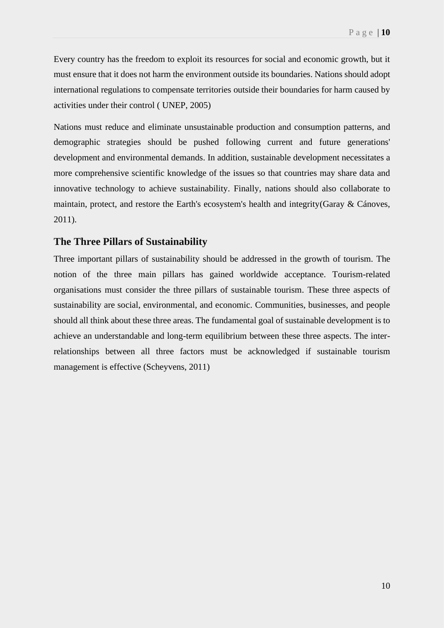Every country has the freedom to exploit its resources for social and economic growth, but it must ensure that it does not harm the environment outside its boundaries. Nations should adopt international regulations to compensate territories outside their boundaries for harm caused by activities under their control ( UNEP, 2005)

Nations must reduce and eliminate unsustainable production and consumption patterns, and demographic strategies should be pushed following current and future generations' development and environmental demands. In addition, sustainable development necessitates a more comprehensive scientific knowledge of the issues so that countries may share data and innovative technology to achieve sustainability. Finally, nations should also collaborate to maintain, protect, and restore the Earth's ecosystem's health and integrity(Garay & Cánoves, 2011).

#### <span id="page-13-0"></span>**The Three Pillars of Sustainability**

Three important pillars of sustainability should be addressed in the growth of tourism. The notion of the three main pillars has gained worldwide acceptance. Tourism-related organisations must consider the three pillars of sustainable tourism. These three aspects of sustainability are social, environmental, and economic. Communities, businesses, and people should all think about these three areas. The fundamental goal of sustainable development is to achieve an understandable and long-term equilibrium between these three aspects. The interrelationships between all three factors must be acknowledged if sustainable tourism management is effective (Scheyvens, 2011)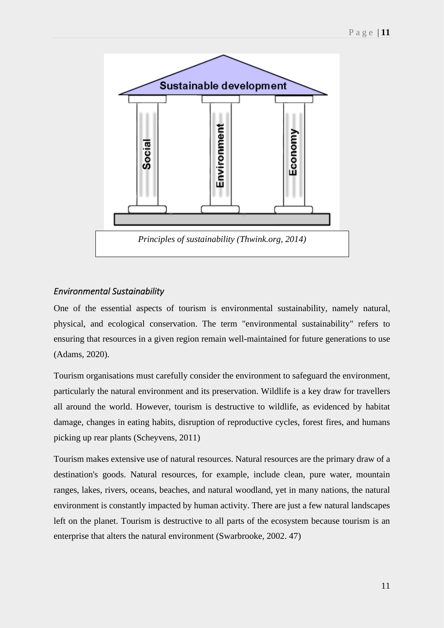

#### *Environmental Sustainability*

One of the essential aspects of tourism is environmental sustainability, namely natural, physical, and ecological conservation. The term "environmental sustainability" refers to ensuring that resources in a given region remain well-maintained for future generations to use (Adams, 2020).

Tourism organisations must carefully consider the environment to safeguard the environment, particularly the natural environment and its preservation. Wildlife is a key draw for travellers all around the world. However, tourism is destructive to wildlife, as evidenced by habitat damage, changes in eating habits, disruption of reproductive cycles, forest fires, and humans picking up rear plants (Scheyvens, 2011)

Tourism makes extensive use of natural resources. Natural resources are the primary draw of a destination's goods. Natural resources, for example, include clean, pure water, mountain ranges, lakes, rivers, oceans, beaches, and natural woodland, yet in many nations, the natural environment is constantly impacted by human activity. There are just a few natural landscapes left on the planet. Tourism is destructive to all parts of the ecosystem because tourism is an enterprise that alters the natural environment (Swarbrooke, 2002. 47)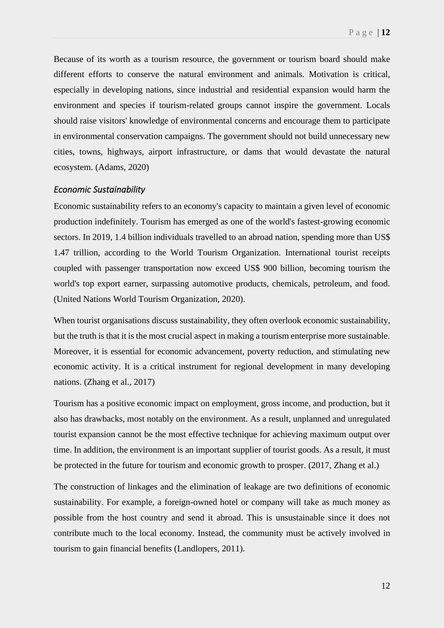Because of its worth as a tourism resource, the government or tourism board should make different efforts to conserve the natural environment and animals. Motivation is critical, especially in developing nations, since industrial and residential expansion would harm the environment and species if tourism-related groups cannot inspire the government. Locals should raise visitors' knowledge of environmental concerns and encourage them to participate in environmental conservation campaigns. The government should not build unnecessary new cities, towns, highways, airport infrastructure, or dams that would devastate the natural ecosystem. (Adams, 2020)

#### *Economic Sustainability*

Economic sustainability refers to an economy's capacity to maintain a given level of economic production indefinitely. Tourism has emerged as one of the world's fastest-growing economic sectors. In 2019, 1.4 billion individuals travelled to an abroad nation, spending more than US\$ 1.47 trillion, according to the World Tourism Organization. International tourist receipts coupled with passenger transportation now exceed US\$ 900 billion, becoming tourism the world's top export earner, surpassing automotive products, chemicals, petroleum, and food. (United Nations World Tourism Organization, 2020).

When tourist organisations discuss sustainability, they often overlook economic sustainability, but the truth is that it is the most crucial aspect in making a tourism enterprise more sustainable. Moreover, it is essential for economic advancement, poverty reduction, and stimulating new economic activity. It is a critical instrument for regional development in many developing nations. (Zhang et al., 2017)

Tourism has a positive economic impact on employment, gross income, and production, but it also has drawbacks, most notably on the environment. As a result, unplanned and unregulated tourist expansion cannot be the most effective technique for achieving maximum output over time. In addition, the environment is an important supplier of tourist goods. As a result, it must be protected in the future for tourism and economic growth to prosper. (2017, Zhang et al.)

The construction of linkages and the elimination of leakage are two definitions of economic sustainability. For example, a foreign-owned hotel or company will take as much money as possible from the host country and send it abroad. This is unsustainable since it does not contribute much to the local economy. Instead, the community must be actively involved in tourism to gain financial benefits (Landlopers, 2011).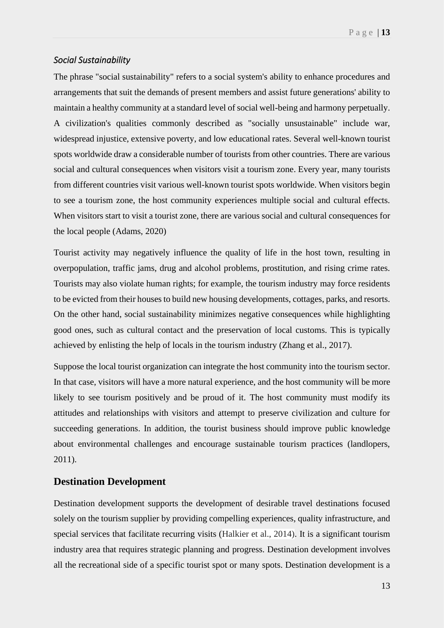#### *Social Sustainability*

The phrase "social sustainability" refers to a social system's ability to enhance procedures and arrangements that suit the demands of present members and assist future generations' ability to maintain a healthy community at a standard level of social well-being and harmony perpetually. A civilization's qualities commonly described as "socially unsustainable" include war, widespread injustice, extensive poverty, and low educational rates. Several well-known tourist spots worldwide draw a considerable number of tourists from other countries. There are various social and cultural consequences when visitors visit a tourism zone. Every year, many tourists from different countries visit various well-known tourist spots worldwide. When visitors begin to see a tourism zone, the host community experiences multiple social and cultural effects. When visitors start to visit a tourist zone, there are various social and cultural consequences for the local people (Adams, 2020)

Tourist activity may negatively influence the quality of life in the host town, resulting in overpopulation, traffic jams, drug and alcohol problems, prostitution, and rising crime rates. Tourists may also violate human rights; for example, the tourism industry may force residents to be evicted from their houses to build new housing developments, cottages, parks, and resorts. On the other hand, social sustainability minimizes negative consequences while highlighting good ones, such as cultural contact and the preservation of local customs. This is typically achieved by enlisting the help of locals in the tourism industry (Zhang et al., 2017).

Suppose the local tourist organization can integrate the host community into the tourism sector. In that case, visitors will have a more natural experience, and the host community will be more likely to see tourism positively and be proud of it. The host community must modify its attitudes and relationships with visitors and attempt to preserve civilization and culture for succeeding generations. In addition, the tourist business should improve public knowledge about environmental challenges and encourage sustainable tourism practices (landlopers, 2011).

## <span id="page-16-0"></span>**Destination Development**

Destination development supports the development of desirable travel destinations focused solely on the tourism supplier by providing compelling experiences, quality infrastructure, and special services that facilitate recurring visits (Halkier et al., 2014). It is a significant tourism industry area that requires strategic planning and progress. Destination development involves all the recreational side of a specific tourist spot or many spots. Destination development is a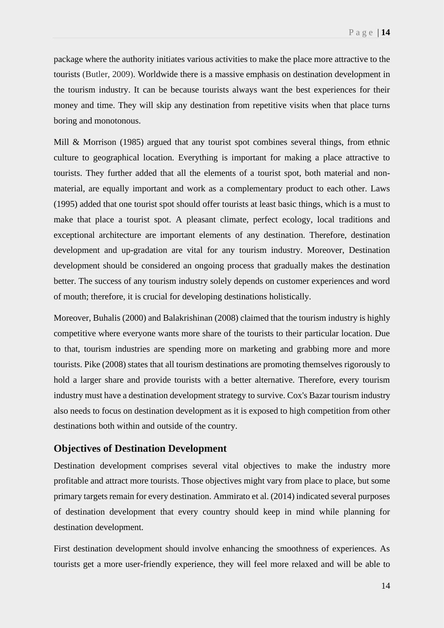package where the authority initiates various activities to make the place more attractive to the tourists (Butler, 2009). Worldwide there is a massive emphasis on destination development in the tourism industry. It can be because tourists always want the best experiences for their money and time. They will skip any destination from repetitive visits when that place turns boring and monotonous.

Mill & Morrison (1985) argued that any tourist spot combines several things, from ethnic culture to geographical location. Everything is important for making a place attractive to tourists. They further added that all the elements of a tourist spot, both material and nonmaterial, are equally important and work as a complementary product to each other. Laws (1995) added that one tourist spot should offer tourists at least basic things, which is a must to make that place a tourist spot. A pleasant climate, perfect ecology, local traditions and exceptional architecture are important elements of any destination. Therefore, destination development and up-gradation are vital for any tourism industry. Moreover, Destination development should be considered an ongoing process that gradually makes the destination better. The success of any tourism industry solely depends on customer experiences and word of mouth; therefore, it is crucial for developing destinations holistically.

Moreover, Buhalis (2000) and Balakrishinan (2008) claimed that the tourism industry is highly competitive where everyone wants more share of the tourists to their particular location. Due to that, tourism industries are spending more on marketing and grabbing more and more tourists. Pike (2008) states that all tourism destinations are promoting themselves rigorously to hold a larger share and provide tourists with a better alternative. Therefore, every tourism industry must have a destination development strategy to survive. Cox's Bazar tourism industry also needs to focus on destination development as it is exposed to high competition from other destinations both within and outside of the country.

#### <span id="page-17-0"></span>**Objectives of Destination Development**

Destination development comprises several vital objectives to make the industry more profitable and attract more tourists. Those objectives might vary from place to place, but some primary targets remain for every destination. Ammirato et al. (2014) indicated several purposes of destination development that every country should keep in mind while planning for destination development.

First destination development should involve enhancing the smoothness of experiences. As tourists get a more user-friendly experience, they will feel more relaxed and will be able to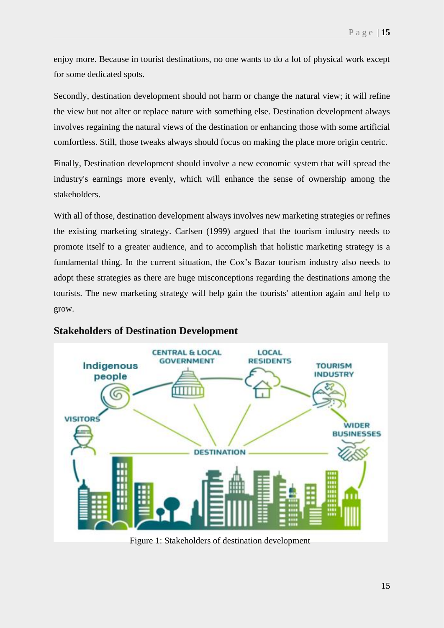enjoy more. Because in tourist destinations, no one wants to do a lot of physical work except for some dedicated spots.

Secondly, destination development should not harm or change the natural view; it will refine the view but not alter or replace nature with something else. Destination development always involves regaining the natural views of the destination or enhancing those with some artificial comfortless. Still, those tweaks always should focus on making the place more origin centric.

Finally, Destination development should involve a new economic system that will spread the industry's earnings more evenly, which will enhance the sense of ownership among the stakeholders.

With all of those, destination development always involves new marketing strategies or refines the existing marketing strategy. Carlsen (1999) argued that the tourism industry needs to promote itself to a greater audience, and to accomplish that holistic marketing strategy is a fundamental thing. In the current situation, the Cox's Bazar tourism industry also needs to adopt these strategies as there are huge misconceptions regarding the destinations among the tourists. The new marketing strategy will help gain the tourists' attention again and help to grow.



## <span id="page-18-0"></span>**Stakeholders of Destination Development**

Figure 1: Stakeholders of destination development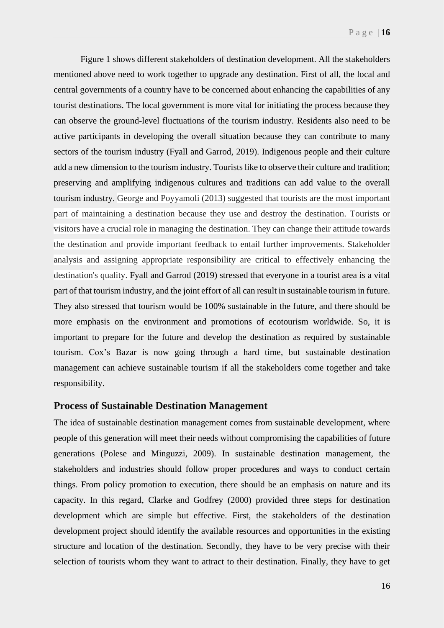Figure 1 shows different stakeholders of destination development. All the stakeholders mentioned above need to work together to upgrade any destination. First of all, the local and central governments of a country have to be concerned about enhancing the capabilities of any tourist destinations. The local government is more vital for initiating the process because they can observe the ground-level fluctuations of the tourism industry. Residents also need to be active participants in developing the overall situation because they can contribute to many sectors of the tourism industry (Fyall and Garrod, 2019). Indigenous people and their culture add a new dimension to the tourism industry. Tourists like to observe their culture and tradition; preserving and amplifying indigenous cultures and traditions can add value to the overall tourism industry. George and Poyyamoli (2013) suggested that tourists are the most important part of maintaining a destination because they use and destroy the destination. Tourists or visitors have a crucial role in managing the destination. They can change their attitude towards the destination and provide important feedback to entail further improvements. Stakeholder analysis and assigning appropriate responsibility are critical to effectively enhancing the destination's quality. Fyall and Garrod (2019) stressed that everyone in a tourist area is a vital part of that tourism industry, and the joint effort of all can result in sustainable tourism in future. They also stressed that tourism would be 100% sustainable in the future, and there should be more emphasis on the environment and promotions of ecotourism worldwide. So, it is important to prepare for the future and develop the destination as required by sustainable tourism. Cox's Bazar is now going through a hard time, but sustainable destination management can achieve sustainable tourism if all the stakeholders come together and take responsibility.

#### <span id="page-19-0"></span>**Process of Sustainable Destination Management**

The idea of sustainable destination management comes from sustainable development, where people of this generation will meet their needs without compromising the capabilities of future generations (Polese and Minguzzi, 2009). In sustainable destination management, the stakeholders and industries should follow proper procedures and ways to conduct certain things. From policy promotion to execution, there should be an emphasis on nature and its capacity. In this regard, Clarke and Godfrey (2000) provided three steps for destination development which are simple but effective. First, the stakeholders of the destination development project should identify the available resources and opportunities in the existing structure and location of the destination. Secondly, they have to be very precise with their selection of tourists whom they want to attract to their destination. Finally, they have to get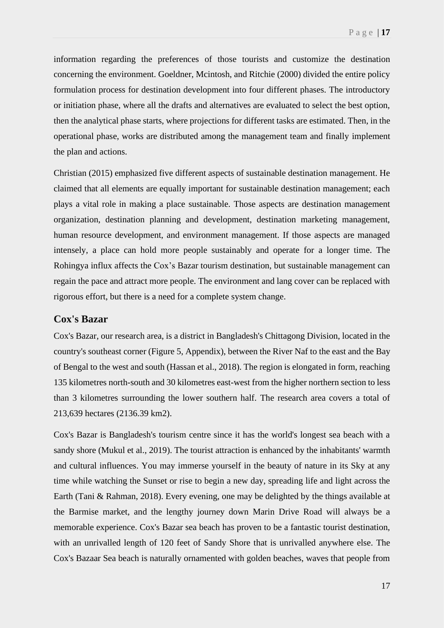information regarding the preferences of those tourists and customize the destination concerning the environment. Goeldner, Mcintosh, and Ritchie (2000) divided the entire policy formulation process for destination development into four different phases. The introductory or initiation phase, where all the drafts and alternatives are evaluated to select the best option, then the analytical phase starts, where projections for different tasks are estimated. Then, in the operational phase, works are distributed among the management team and finally implement the plan and actions.

Christian (2015) emphasized five different aspects of sustainable destination management. He claimed that all elements are equally important for sustainable destination management; each plays a vital role in making a place sustainable. Those aspects are destination management organization, destination planning and development, destination marketing management, human resource development, and environment management. If those aspects are managed intensely, a place can hold more people sustainably and operate for a longer time. The Rohingya influx affects the Cox's Bazar tourism destination, but sustainable management can regain the pace and attract more people. The environment and lang cover can be replaced with rigorous effort, but there is a need for a complete system change.

#### <span id="page-20-0"></span>**Cox's Bazar**

Cox's Bazar, our research area, is a district in Bangladesh's Chittagong Division, located in the country's southeast corner (Figure 5, Appendix), between the River Naf to the east and the Bay of Bengal to the west and south (Hassan et al., 2018). The region is elongated in form, reaching 135 kilometres north-south and 30 kilometres east-west from the higher northern section to less than 3 kilometres surrounding the lower southern half. The research area covers a total of 213,639 hectares (2136.39 km2).

Cox's Bazar is Bangladesh's tourism centre since it has the world's longest sea beach with a sandy shore (Mukul et al., 2019). The tourist attraction is enhanced by the inhabitants' warmth and cultural influences. You may immerse yourself in the beauty of nature in its Sky at any time while watching the Sunset or rise to begin a new day, spreading life and light across the Earth (Tani & Rahman, 2018). Every evening, one may be delighted by the things available at the Barmise market, and the lengthy journey down Marin Drive Road will always be a memorable experience. Cox's Bazar sea beach has proven to be a fantastic tourist destination, with an unrivalled length of 120 feet of Sandy Shore that is unrivalled anywhere else. The Cox's Bazaar Sea beach is naturally ornamented with golden beaches, waves that people from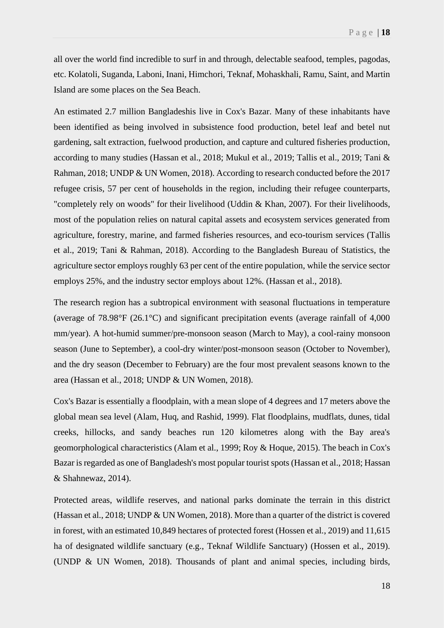all over the world find incredible to surf in and through, delectable seafood, temples, pagodas, etc. Kolatoli, Suganda, Laboni, Inani, Himchori, Teknaf, Mohaskhali, Ramu, Saint, and Martin Island are some places on the Sea Beach.

An estimated 2.7 million Bangladeshis live in Cox's Bazar. Many of these inhabitants have been identified as being involved in subsistence food production, betel leaf and betel nut gardening, salt extraction, fuelwood production, and capture and cultured fisheries production, according to many studies (Hassan et al., 2018; Mukul et al., 2019; Tallis et al., 2019; Tani & Rahman, 2018; UNDP & UN Women, 2018). According to research conducted before the 2017 refugee crisis, 57 per cent of households in the region, including their refugee counterparts, "completely rely on woods" for their livelihood (Uddin & Khan, 2007). For their livelihoods, most of the population relies on natural capital assets and ecosystem services generated from agriculture, forestry, marine, and farmed fisheries resources, and eco-tourism services (Tallis et al., 2019; Tani & Rahman, 2018). According to the Bangladesh Bureau of Statistics, the agriculture sector employs roughly 63 per cent of the entire population, while the service sector employs 25%, and the industry sector employs about 12%. (Hassan et al., 2018).

The research region has a subtropical environment with seasonal fluctuations in temperature (average of 78.98°F (26.1°C) and significant precipitation events (average rainfall of 4,000 mm/year). A hot-humid summer/pre-monsoon season (March to May), a cool-rainy monsoon season (June to September), a cool-dry winter/post-monsoon season (October to November), and the dry season (December to February) are the four most prevalent seasons known to the area (Hassan et al., 2018; UNDP & UN Women, 2018).

Cox's Bazar is essentially a floodplain, with a mean slope of 4 degrees and 17 meters above the global mean sea level (Alam, Huq, and Rashid, 1999). Flat floodplains, mudflats, dunes, tidal creeks, hillocks, and sandy beaches run 120 kilometres along with the Bay area's geomorphological characteristics (Alam et al., 1999; Roy & Hoque, 2015). The beach in Cox's Bazar is regarded as one of Bangladesh's most popular tourist spots (Hassan et al., 2018; Hassan & Shahnewaz, 2014).

Protected areas, wildlife reserves, and national parks dominate the terrain in this district (Hassan et al., 2018; UNDP & UN Women, 2018). More than a quarter of the district is covered in forest, with an estimated 10,849 hectares of protected forest (Hossen et al., 2019) and 11,615 ha of designated wildlife sanctuary (e.g., Teknaf Wildlife Sanctuary) (Hossen et al., 2019). (UNDP & UN Women, 2018). Thousands of plant and animal species, including birds,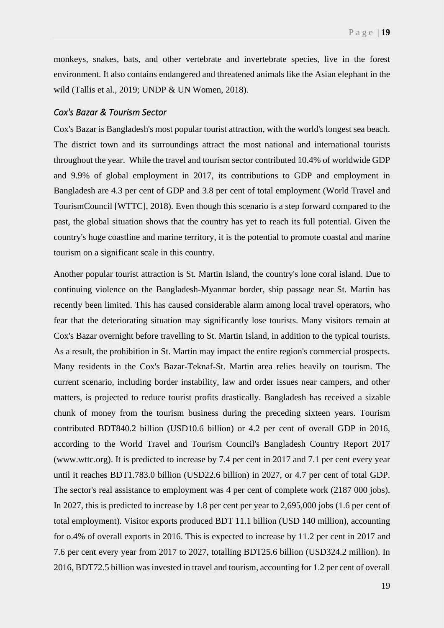monkeys, snakes, bats, and other vertebrate and invertebrate species, live in the forest environment. It also contains endangered and threatened animals like the Asian elephant in the wild (Tallis et al., 2019; UNDP & UN Women, 2018).

#### *Cox's Bazar & Tourism Sector*

Cox's Bazar is Bangladesh's most popular tourist attraction, with the world's longest sea beach. The district town and its surroundings attract the most national and international tourists throughout the year. While the travel and tourism sector contributed 10.4% of worldwide GDP and 9.9% of global employment in 2017, its contributions to GDP and employment in Bangladesh are 4.3 per cent of GDP and 3.8 per cent of total employment (World Travel and TourismCouncil [WTTC], 2018). Even though this scenario is a step forward compared to the past, the global situation shows that the country has yet to reach its full potential. Given the country's huge coastline and marine territory, it is the potential to promote coastal and marine tourism on a significant scale in this country.

Another popular tourist attraction is St. Martin Island, the country's lone coral island. Due to continuing violence on the Bangladesh-Myanmar border, ship passage near St. Martin has recently been limited. This has caused considerable alarm among local travel operators, who fear that the deteriorating situation may significantly lose tourists. Many visitors remain at Cox's Bazar overnight before travelling to St. Martin Island, in addition to the typical tourists. As a result, the prohibition in St. Martin may impact the entire region's commercial prospects. Many residents in the Cox's Bazar-Teknaf-St. Martin area relies heavily on tourism. The current scenario, including border instability, law and order issues near campers, and other matters, is projected to reduce tourist profits drastically. Bangladesh has received a sizable chunk of money from the tourism business during the preceding sixteen years. Tourism contributed BDT840.2 billion (USD10.6 billion) or 4.2 per cent of overall GDP in 2016, according to the World Travel and Tourism Council's Bangladesh Country Report 2017 (www.wttc.org). It is predicted to increase by 7.4 per cent in 2017 and 7.1 per cent every year until it reaches BDT1.783.0 billion (USD22.6 billion) in 2027, or 4.7 per cent of total GDP. The sector's real assistance to employment was 4 per cent of complete work (2187 000 jobs). In 2027, this is predicted to increase by 1.8 per cent per year to 2,695,000 jobs (1.6 per cent of total employment). Visitor exports produced BDT 11.1 billion (USD 140 million), accounting for o.4% of overall exports in 2016. This is expected to increase by 11.2 per cent in 2017 and 7.6 per cent every year from 2017 to 2027, totalling BDT25.6 billion (USD324.2 million). In 2016, BDT72.5 billion was invested in travel and tourism, accounting for 1.2 per cent of overall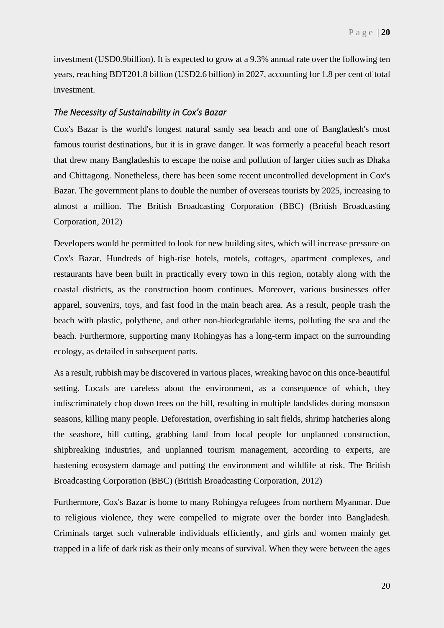investment (USD0.9billion). It is expected to grow at a 9.3% annual rate over the following ten years, reaching BDT201.8 billion (USD2.6 billion) in 2027, accounting for 1.8 per cent of total investment.

#### *The Necessity of Sustainability in Cox's Bazar*

Cox's Bazar is the world's longest natural sandy sea beach and one of Bangladesh's most famous tourist destinations, but it is in grave danger. It was formerly a peaceful beach resort that drew many Bangladeshis to escape the noise and pollution of larger cities such as Dhaka and Chittagong. Nonetheless, there has been some recent uncontrolled development in Cox's Bazar. The government plans to double the number of overseas tourists by 2025, increasing to almost a million. The British Broadcasting Corporation (BBC) (British Broadcasting Corporation, 2012)

Developers would be permitted to look for new building sites, which will increase pressure on Cox's Bazar. Hundreds of high-rise hotels, motels, cottages, apartment complexes, and restaurants have been built in practically every town in this region, notably along with the coastal districts, as the construction boom continues. Moreover, various businesses offer apparel, souvenirs, toys, and fast food in the main beach area. As a result, people trash the beach with plastic, polythene, and other non-biodegradable items, polluting the sea and the beach. Furthermore, supporting many Rohingyas has a long-term impact on the surrounding ecology, as detailed in subsequent parts.

As a result, rubbish may be discovered in various places, wreaking havoc on this once-beautiful setting. Locals are careless about the environment, as a consequence of which, they indiscriminately chop down trees on the hill, resulting in multiple landslides during monsoon seasons, killing many people. Deforestation, overfishing in salt fields, shrimp hatcheries along the seashore, hill cutting, grabbing land from local people for unplanned construction, shipbreaking industries, and unplanned tourism management, according to experts, are hastening ecosystem damage and putting the environment and wildlife at risk. The British Broadcasting Corporation (BBC) (British Broadcasting Corporation, 2012)

Furthermore, Cox's Bazar is home to many Rohingya refugees from northern Myanmar. Due to religious violence, they were compelled to migrate over the border into Bangladesh. Criminals target such vulnerable individuals efficiently, and girls and women mainly get trapped in a life of dark risk as their only means of survival. When they were between the ages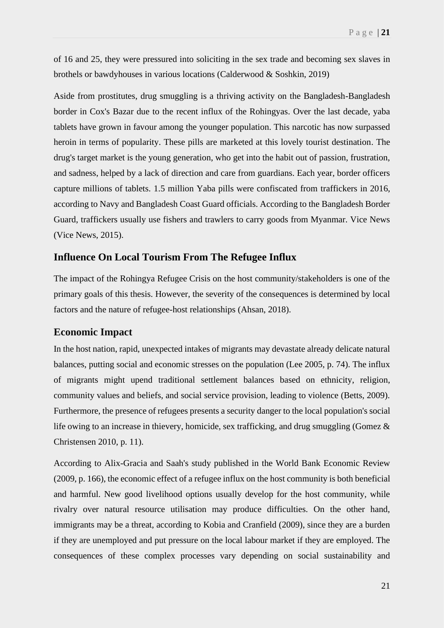of 16 and 25, they were pressured into soliciting in the sex trade and becoming sex slaves in brothels or bawdyhouses in various locations (Calderwood & Soshkin, 2019)

Aside from prostitutes, drug smuggling is a thriving activity on the Bangladesh-Bangladesh border in Cox's Bazar due to the recent influx of the Rohingyas. Over the last decade, yaba tablets have grown in favour among the younger population. This narcotic has now surpassed heroin in terms of popularity. These pills are marketed at this lovely tourist destination. The drug's target market is the young generation, who get into the habit out of passion, frustration, and sadness, helped by a lack of direction and care from guardians. Each year, border officers capture millions of tablets. 1.5 million Yaba pills were confiscated from traffickers in 2016, according to Navy and Bangladesh Coast Guard officials. According to the Bangladesh Border Guard, traffickers usually use fishers and trawlers to carry goods from Myanmar. Vice News (Vice News, 2015).

## <span id="page-24-0"></span>**Influence On Local Tourism From The Refugee Influx**

The impact of the Rohingya Refugee Crisis on the host community/stakeholders is one of the primary goals of this thesis. However, the severity of the consequences is determined by local factors and the nature of refugee-host relationships (Ahsan, 2018).

### <span id="page-24-1"></span>**Economic Impact**

In the host nation, rapid, unexpected intakes of migrants may devastate already delicate natural balances, putting social and economic stresses on the population (Lee 2005, p. 74). The influx of migrants might upend traditional settlement balances based on ethnicity, religion, community values and beliefs, and social service provision, leading to violence (Betts, 2009). Furthermore, the presence of refugees presents a security danger to the local population's social life owing to an increase in thievery, homicide, sex trafficking, and drug smuggling (Gomez & Christensen 2010, p. 11).

According to Alix-Gracia and Saah's study published in the World Bank Economic Review (2009, p. 166), the economic effect of a refugee influx on the host community is both beneficial and harmful. New good livelihood options usually develop for the host community, while rivalry over natural resource utilisation may produce difficulties. On the other hand, immigrants may be a threat, according to Kobia and Cranfield (2009), since they are a burden if they are unemployed and put pressure on the local labour market if they are employed. The consequences of these complex processes vary depending on social sustainability and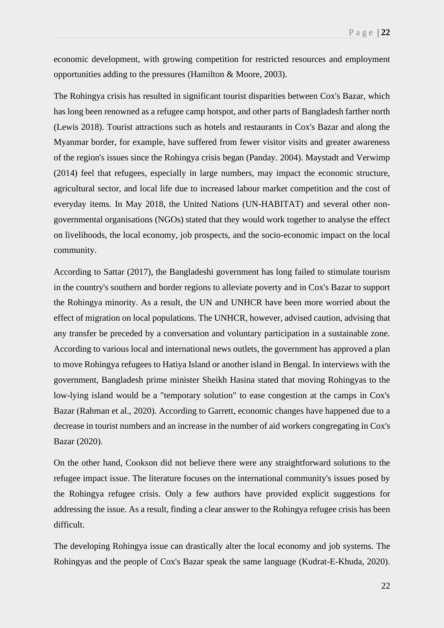economic development, with growing competition for restricted resources and employment opportunities adding to the pressures (Hamilton & Moore, 2003).

The Rohingya crisis has resulted in significant tourist disparities between Cox's Bazar, which has long been renowned as a refugee camp hotspot, and other parts of Bangladesh farther north (Lewis 2018). Tourist attractions such as hotels and restaurants in Cox's Bazar and along the Myanmar border, for example, have suffered from fewer visitor visits and greater awareness of the region's issues since the Rohingya crisis began (Panday. 2004). Maystadt and Verwimp (2014) feel that refugees, especially in large numbers, may impact the economic structure, agricultural sector, and local life due to increased labour market competition and the cost of everyday items. In May 2018, the United Nations (UN-HABITAT) and several other nongovernmental organisations (NGOs) stated that they would work together to analyse the effect on livelihoods, the local economy, job prospects, and the socio-economic impact on the local community.

According to Sattar (2017), the Bangladeshi government has long failed to stimulate tourism in the country's southern and border regions to alleviate poverty and in Cox's Bazar to support the Rohingya minority. As a result, the UN and UNHCR have been more worried about the effect of migration on local populations. The UNHCR, however, advised caution, advising that any transfer be preceded by a conversation and voluntary participation in a sustainable zone. According to various local and international news outlets, the government has approved a plan to move Rohingya refugees to Hatiya Island or another island in Bengal. In interviews with the government, Bangladesh prime minister Sheikh Hasina stated that moving Rohingyas to the low-lying island would be a "temporary solution" to ease congestion at the camps in Cox's Bazar (Rahman et al., 2020). According to Garrett, economic changes have happened due to a decrease in tourist numbers and an increase in the number of aid workers congregating in Cox's Bazar (2020).

On the other hand, Cookson did not believe there were any straightforward solutions to the refugee impact issue. The literature focuses on the international community's issues posed by the Rohingya refugee crisis. Only a few authors have provided explicit suggestions for addressing the issue. As a result, finding a clear answer to the Rohingya refugee crisis has been difficult.

The developing Rohingya issue can drastically alter the local economy and job systems. The Rohingyas and the people of Cox's Bazar speak the same language (Kudrat-E-Khuda, 2020).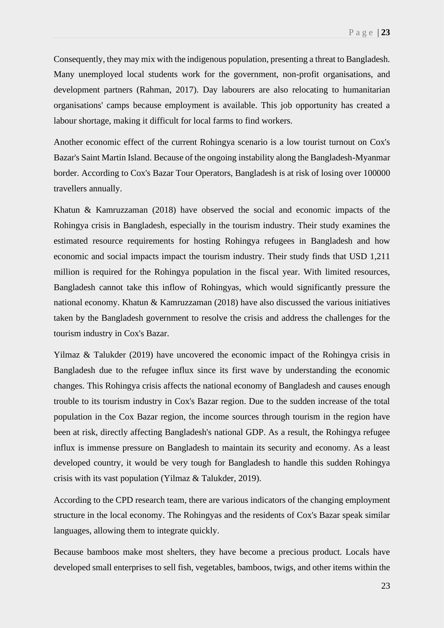Consequently, they may mix with the indigenous population, presenting a threat to Bangladesh. Many unemployed local students work for the government, non-profit organisations, and development partners (Rahman, 2017). Day labourers are also relocating to humanitarian organisations' camps because employment is available. This job opportunity has created a labour shortage, making it difficult for local farms to find workers.

Another economic effect of the current Rohingya scenario is a low tourist turnout on Cox's Bazar's Saint Martin Island. Because of the ongoing instability along the Bangladesh-Myanmar border. According to Cox's Bazar Tour Operators, Bangladesh is at risk of losing over 100000 travellers annually.

Khatun & Kamruzzaman (2018) have observed the social and economic impacts of the Rohingya crisis in Bangladesh, especially in the tourism industry. Their study examines the estimated resource requirements for hosting Rohingya refugees in Bangladesh and how economic and social impacts impact the tourism industry. Their study finds that USD 1,211 million is required for the Rohingya population in the fiscal year. With limited resources, Bangladesh cannot take this inflow of Rohingyas, which would significantly pressure the national economy. Khatun & Kamruzzaman (2018) have also discussed the various initiatives taken by the Bangladesh government to resolve the crisis and address the challenges for the tourism industry in Cox's Bazar.

Yilmaz & Talukder (2019) have uncovered the economic impact of the Rohingya crisis in Bangladesh due to the refugee influx since its first wave by understanding the economic changes. This Rohingya crisis affects the national economy of Bangladesh and causes enough trouble to its tourism industry in Cox's Bazar region. Due to the sudden increase of the total population in the Cox Bazar region, the income sources through tourism in the region have been at risk, directly affecting Bangladesh's national GDP. As a result, the Rohingya refugee influx is immense pressure on Bangladesh to maintain its security and economy. As a least developed country, it would be very tough for Bangladesh to handle this sudden Rohingya crisis with its vast population (Yilmaz & Talukder, 2019).

According to the CPD research team, there are various indicators of the changing employment structure in the local economy. The Rohingyas and the residents of Cox's Bazar speak similar languages, allowing them to integrate quickly.

Because bamboos make most shelters, they have become a precious product. Locals have developed small enterprises to sell fish, vegetables, bamboos, twigs, and other items within the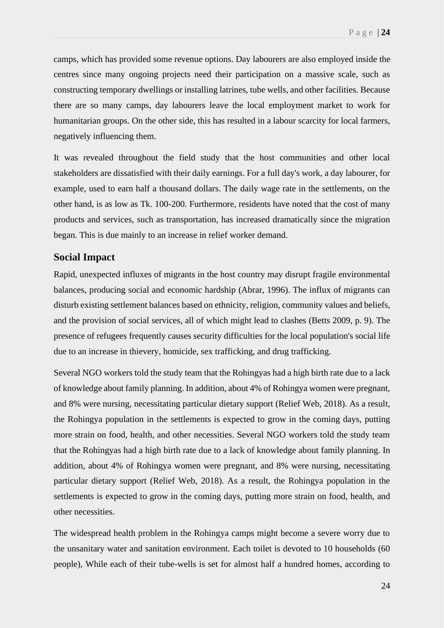camps, which has provided some revenue options. Day labourers are also employed inside the centres since many ongoing projects need their participation on a massive scale, such as constructing temporary dwellings or installing latrines, tube wells, and other facilities. Because there are so many camps, day labourers leave the local employment market to work for humanitarian groups. On the other side, this has resulted in a labour scarcity for local farmers, negatively influencing them.

It was revealed throughout the field study that the host communities and other local stakeholders are dissatisfied with their daily earnings. For a full day's work, a day labourer, for example, used to earn half a thousand dollars. The daily wage rate in the settlements, on the other hand, is as low as Tk. 100-200. Furthermore, residents have noted that the cost of many products and services, such as transportation, has increased dramatically since the migration began. This is due mainly to an increase in relief worker demand.

#### <span id="page-27-0"></span>**Social Impact**

Rapid, unexpected influxes of migrants in the host country may disrupt fragile environmental balances, producing social and economic hardship (Abrar, 1996). The influx of migrants can disturb existing settlement balances based on ethnicity, religion, community values and beliefs, and the provision of social services, all of which might lead to clashes (Betts 2009, p. 9). The presence of refugees frequently causes security difficulties for the local population's social life due to an increase in thievery, homicide, sex trafficking, and drug trafficking.

Several NGO workers told the study team that the Rohingyas had a high birth rate due to a lack of knowledge about family planning. In addition, about 4% of Rohingya women were pregnant, and 8% were nursing, necessitating particular dietary support (Relief Web, 2018). As a result, the Rohingya population in the settlements is expected to grow in the coming days, putting more strain on food, health, and other necessities. Several NGO workers told the study team that the Rohingyas had a high birth rate due to a lack of knowledge about family planning. In addition, about 4% of Rohingya women were pregnant, and 8% were nursing, necessitating particular dietary support (Relief Web, 2018). As a result, the Rohingya population in the settlements is expected to grow in the coming days, putting more strain on food, health, and other necessities.

The widespread health problem in the Rohingya camps might become a severe worry due to the unsanitary water and sanitation environment. Each toilet is devoted to 10 households (60 people), While each of their tube-wells is set for almost half a hundred homes, according to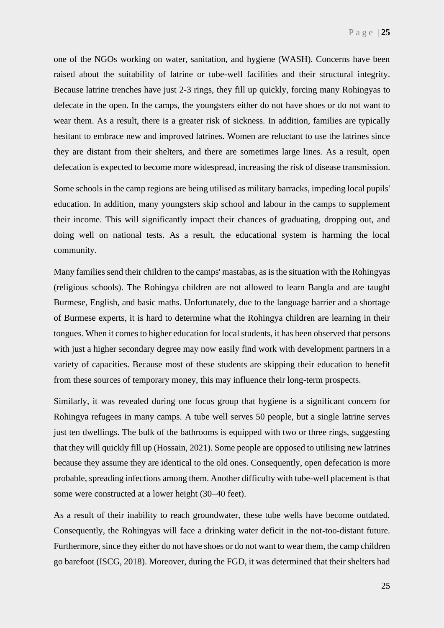one of the NGOs working on water, sanitation, and hygiene (WASH). Concerns have been raised about the suitability of latrine or tube-well facilities and their structural integrity. Because latrine trenches have just 2-3 rings, they fill up quickly, forcing many Rohingyas to defecate in the open. In the camps, the youngsters either do not have shoes or do not want to wear them. As a result, there is a greater risk of sickness. In addition, families are typically hesitant to embrace new and improved latrines. Women are reluctant to use the latrines since they are distant from their shelters, and there are sometimes large lines. As a result, open defecation is expected to become more widespread, increasing the risk of disease transmission.

Some schools in the camp regions are being utilised as military barracks, impeding local pupils' education. In addition, many youngsters skip school and labour in the camps to supplement their income. This will significantly impact their chances of graduating, dropping out, and doing well on national tests. As a result, the educational system is harming the local community.

Many families send their children to the camps' mastabas, as is the situation with the Rohingyas (religious schools). The Rohingya children are not allowed to learn Bangla and are taught Burmese, English, and basic maths. Unfortunately, due to the language barrier and a shortage of Burmese experts, it is hard to determine what the Rohingya children are learning in their tongues. When it comes to higher education for local students, it has been observed that persons with just a higher secondary degree may now easily find work with development partners in a variety of capacities. Because most of these students are skipping their education to benefit from these sources of temporary money, this may influence their long-term prospects.

Similarly, it was revealed during one focus group that hygiene is a significant concern for Rohingya refugees in many camps. A tube well serves 50 people, but a single latrine serves just ten dwellings. The bulk of the bathrooms is equipped with two or three rings, suggesting that they will quickly fill up (Hossain, 2021). Some people are opposed to utilising new latrines because they assume they are identical to the old ones. Consequently, open defecation is more probable, spreading infections among them. Another difficulty with tube-well placement is that some were constructed at a lower height (30–40 feet).

As a result of their inability to reach groundwater, these tube wells have become outdated. Consequently, the Rohingyas will face a drinking water deficit in the not-too-distant future. Furthermore, since they either do not have shoes or do not want to wear them, the camp children go barefoot (ISCG, 2018). Moreover, during the FGD, it was determined that their shelters had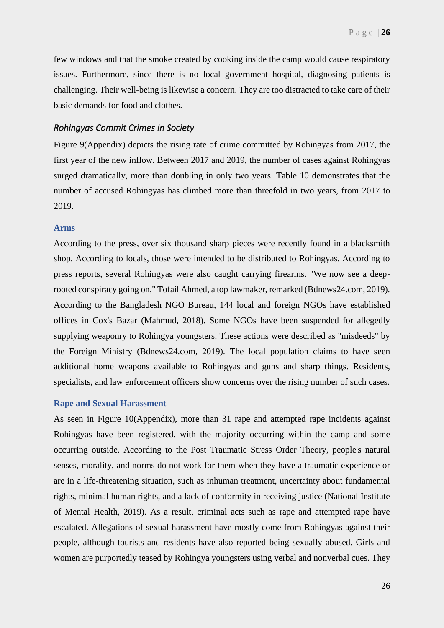few windows and that the smoke created by cooking inside the camp would cause respiratory issues. Furthermore, since there is no local government hospital, diagnosing patients is challenging. Their well-being is likewise a concern. They are too distracted to take care of their basic demands for food and clothes.

#### *Rohingyas Commit Crimes In Society*

Figure 9(Appendix) depicts the rising rate of crime committed by Rohingyas from 2017, the first year of the new inflow. Between 2017 and 2019, the number of cases against Rohingyas surged dramatically, more than doubling in only two years. Table 10 demonstrates that the number of accused Rohingyas has climbed more than threefold in two years, from 2017 to 2019.

#### **Arms**

According to the press, over six thousand sharp pieces were recently found in a blacksmith shop. According to locals, those were intended to be distributed to Rohingyas. According to press reports, several Rohingyas were also caught carrying firearms. "We now see a deeprooted conspiracy going on," Tofail Ahmed, a top lawmaker, remarked (Bdnews24.com, 2019). According to the Bangladesh NGO Bureau, 144 local and foreign NGOs have established offices in Cox's Bazar (Mahmud, 2018). Some NGOs have been suspended for allegedly supplying weaponry to Rohingya youngsters. These actions were described as "misdeeds" by the Foreign Ministry (Bdnews24.com, 2019). The local population claims to have seen additional home weapons available to Rohingyas and guns and sharp things. Residents, specialists, and law enforcement officers show concerns over the rising number of such cases.

#### **Rape and Sexual Harassment**

As seen in Figure 10(Appendix), more than 31 rape and attempted rape incidents against Rohingyas have been registered, with the majority occurring within the camp and some occurring outside. According to the Post Traumatic Stress Order Theory, people's natural senses, morality, and norms do not work for them when they have a traumatic experience or are in a life-threatening situation, such as inhuman treatment, uncertainty about fundamental rights, minimal human rights, and a lack of conformity in receiving justice (National Institute of Mental Health, 2019). As a result, criminal acts such as rape and attempted rape have escalated. Allegations of sexual harassment have mostly come from Rohingyas against their people, although tourists and residents have also reported being sexually abused. Girls and women are purportedly teased by Rohingya youngsters using verbal and nonverbal cues. They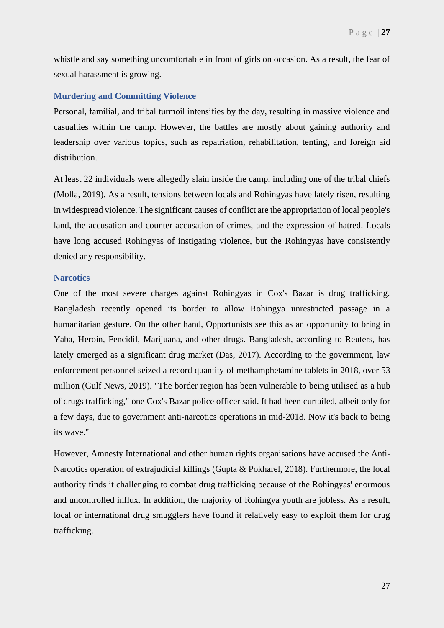whistle and say something uncomfortable in front of girls on occasion. As a result, the fear of sexual harassment is growing.

#### **Murdering and Committing Violence**

Personal, familial, and tribal turmoil intensifies by the day, resulting in massive violence and casualties within the camp. However, the battles are mostly about gaining authority and leadership over various topics, such as repatriation, rehabilitation, tenting, and foreign aid distribution.

At least 22 individuals were allegedly slain inside the camp, including one of the tribal chiefs (Molla, 2019). As a result, tensions between locals and Rohingyas have lately risen, resulting in widespread violence. The significant causes of conflict are the appropriation of local people's land, the accusation and counter-accusation of crimes, and the expression of hatred. Locals have long accused Rohingyas of instigating violence, but the Rohingyas have consistently denied any responsibility.

#### **Narcotics**

One of the most severe charges against Rohingyas in Cox's Bazar is drug trafficking. Bangladesh recently opened its border to allow Rohingya unrestricted passage in a humanitarian gesture. On the other hand, Opportunists see this as an opportunity to bring in Yaba, Heroin, Fencidil, Marijuana, and other drugs. Bangladesh, according to Reuters, has lately emerged as a significant drug market (Das, 2017). According to the government, law enforcement personnel seized a record quantity of methamphetamine tablets in 2018, over 53 million (Gulf News, 2019). "The border region has been vulnerable to being utilised as a hub of drugs trafficking," one Cox's Bazar police officer said. It had been curtailed, albeit only for a few days, due to government anti-narcotics operations in mid-2018. Now it's back to being its wave."

However, Amnesty International and other human rights organisations have accused the Anti-Narcotics operation of extrajudicial killings (Gupta & Pokharel, 2018). Furthermore, the local authority finds it challenging to combat drug trafficking because of the Rohingyas' enormous and uncontrolled influx. In addition, the majority of Rohingya youth are jobless. As a result, local or international drug smugglers have found it relatively easy to exploit them for drug trafficking.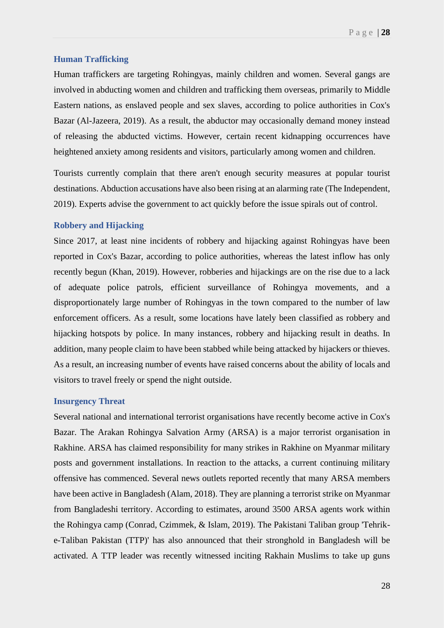#### **Human Trafficking**

Human traffickers are targeting Rohingyas, mainly children and women. Several gangs are involved in abducting women and children and trafficking them overseas, primarily to Middle Eastern nations, as enslaved people and sex slaves, according to police authorities in Cox's Bazar (Al-Jazeera, 2019). As a result, the abductor may occasionally demand money instead of releasing the abducted victims. However, certain recent kidnapping occurrences have heightened anxiety among residents and visitors, particularly among women and children.

Tourists currently complain that there aren't enough security measures at popular tourist destinations. Abduction accusations have also been rising at an alarming rate (The Independent, 2019). Experts advise the government to act quickly before the issue spirals out of control.

#### **Robbery and Hijacking**

Since 2017, at least nine incidents of robbery and hijacking against Rohingyas have been reported in Cox's Bazar, according to police authorities, whereas the latest inflow has only recently begun (Khan, 2019). However, robberies and hijackings are on the rise due to a lack of adequate police patrols, efficient surveillance of Rohingya movements, and a disproportionately large number of Rohingyas in the town compared to the number of law enforcement officers. As a result, some locations have lately been classified as robbery and hijacking hotspots by police. In many instances, robbery and hijacking result in deaths. In addition, many people claim to have been stabbed while being attacked by hijackers or thieves. As a result, an increasing number of events have raised concerns about the ability of locals and visitors to travel freely or spend the night outside.

#### **Insurgency Threat**

Several national and international terrorist organisations have recently become active in Cox's Bazar. The Arakan Rohingya Salvation Army (ARSA) is a major terrorist organisation in Rakhine. ARSA has claimed responsibility for many strikes in Rakhine on Myanmar military posts and government installations. In reaction to the attacks, a current continuing military offensive has commenced. Several news outlets reported recently that many ARSA members have been active in Bangladesh (Alam, 2018). They are planning a terrorist strike on Myanmar from Bangladeshi territory. According to estimates, around 3500 ARSA agents work within the Rohingya camp (Conrad, Czimmek, & Islam, 2019). The Pakistani Taliban group 'Tehrike-Taliban Pakistan (TTP)' has also announced that their stronghold in Bangladesh will be activated. A TTP leader was recently witnessed inciting Rakhain Muslims to take up guns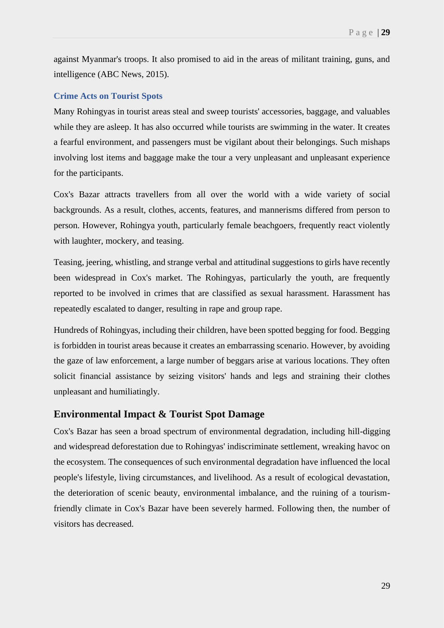against Myanmar's troops. It also promised to aid in the areas of militant training, guns, and intelligence (ABC News, 2015).

#### **Crime Acts on Tourist Spots**

Many Rohingyas in tourist areas steal and sweep tourists' accessories, baggage, and valuables while they are asleep. It has also occurred while tourists are swimming in the water. It creates a fearful environment, and passengers must be vigilant about their belongings. Such mishaps involving lost items and baggage make the tour a very unpleasant and unpleasant experience for the participants.

Cox's Bazar attracts travellers from all over the world with a wide variety of social backgrounds. As a result, clothes, accents, features, and mannerisms differed from person to person. However, Rohingya youth, particularly female beachgoers, frequently react violently with laughter, mockery, and teasing.

Teasing, jeering, whistling, and strange verbal and attitudinal suggestions to girls have recently been widespread in Cox's market. The Rohingyas, particularly the youth, are frequently reported to be involved in crimes that are classified as sexual harassment. Harassment has repeatedly escalated to danger, resulting in rape and group rape.

Hundreds of Rohingyas, including their children, have been spotted begging for food. Begging is forbidden in tourist areas because it creates an embarrassing scenario. However, by avoiding the gaze of law enforcement, a large number of beggars arise at various locations. They often solicit financial assistance by seizing visitors' hands and legs and straining their clothes unpleasant and humiliatingly.

#### <span id="page-32-0"></span>**Environmental Impact & Tourist Spot Damage**

Cox's Bazar has seen a broad spectrum of environmental degradation, including hill-digging and widespread deforestation due to Rohingyas' indiscriminate settlement, wreaking havoc on the ecosystem. The consequences of such environmental degradation have influenced the local people's lifestyle, living circumstances, and livelihood. As a result of ecological devastation, the deterioration of scenic beauty, environmental imbalance, and the ruining of a tourismfriendly climate in Cox's Bazar have been severely harmed. Following then, the number of visitors has decreased.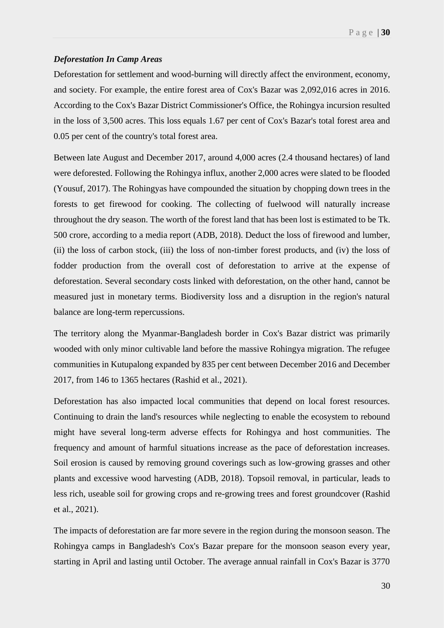#### *Deforestation In Camp Areas*

Deforestation for settlement and wood-burning will directly affect the environment, economy, and society. For example, the entire forest area of Cox's Bazar was 2,092,016 acres in 2016. According to the Cox's Bazar District Commissioner's Office, the Rohingya incursion resulted in the loss of 3,500 acres. This loss equals 1.67 per cent of Cox's Bazar's total forest area and 0.05 per cent of the country's total forest area.

Between late August and December 2017, around 4,000 acres (2.4 thousand hectares) of land were deforested. Following the Rohingya influx, another 2,000 acres were slated to be flooded (Yousuf, 2017). The Rohingyas have compounded the situation by chopping down trees in the forests to get firewood for cooking. The collecting of fuelwood will naturally increase throughout the dry season. The worth of the forest land that has been lost is estimated to be Tk. 500 crore, according to a media report (ADB, 2018). Deduct the loss of firewood and lumber, (ii) the loss of carbon stock, (iii) the loss of non-timber forest products, and (iv) the loss of fodder production from the overall cost of deforestation to arrive at the expense of deforestation. Several secondary costs linked with deforestation, on the other hand, cannot be measured just in monetary terms. Biodiversity loss and a disruption in the region's natural balance are long-term repercussions.

The territory along the Myanmar-Bangladesh border in Cox's Bazar district was primarily wooded with only minor cultivable land before the massive Rohingya migration. The refugee communities in Kutupalong expanded by 835 per cent between December 2016 and December 2017, from 146 to 1365 hectares (Rashid et al., 2021).

Deforestation has also impacted local communities that depend on local forest resources. Continuing to drain the land's resources while neglecting to enable the ecosystem to rebound might have several long-term adverse effects for Rohingya and host communities. The frequency and amount of harmful situations increase as the pace of deforestation increases. Soil erosion is caused by removing ground coverings such as low-growing grasses and other plants and excessive wood harvesting (ADB, 2018). Topsoil removal, in particular, leads to less rich, useable soil for growing crops and re-growing trees and forest groundcover (Rashid et al., 2021).

The impacts of deforestation are far more severe in the region during the monsoon season. The Rohingya camps in Bangladesh's Cox's Bazar prepare for the monsoon season every year, starting in April and lasting until October. The average annual rainfall in Cox's Bazar is 3770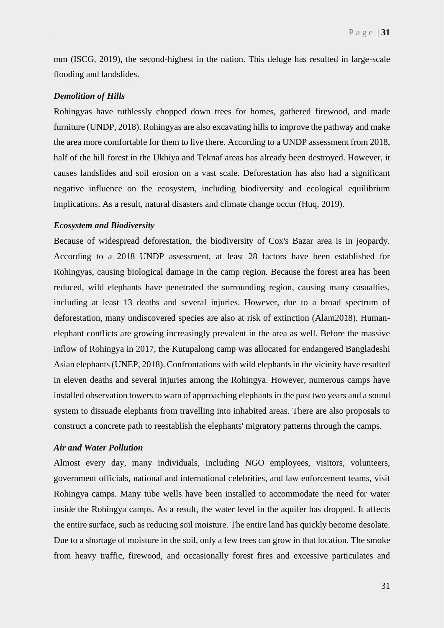mm (ISCG, 2019), the second-highest in the nation. This deluge has resulted in large-scale flooding and landslides.

#### *Demolition of Hills*

Rohingyas have ruthlessly chopped down trees for homes, gathered firewood, and made furniture (UNDP, 2018). Rohingyas are also excavating hills to improve the pathway and make the area more comfortable for them to live there. According to a UNDP assessment from 2018, half of the hill forest in the Ukhiya and Teknaf areas has already been destroyed. However, it causes landslides and soil erosion on a vast scale. Deforestation has also had a significant negative influence on the ecosystem, including biodiversity and ecological equilibrium implications. As a result, natural disasters and climate change occur (Huq, 2019).

#### *Ecosystem and Biodiversity*

Because of widespread deforestation, the biodiversity of Cox's Bazar area is in jeopardy. According to a 2018 UNDP assessment, at least 28 factors have been established for Rohingyas, causing biological damage in the camp region. Because the forest area has been reduced, wild elephants have penetrated the surrounding region, causing many casualties, including at least 13 deaths and several injuries. However, due to a broad spectrum of deforestation, many undiscovered species are also at risk of extinction (Alam2018). Humanelephant conflicts are growing increasingly prevalent in the area as well. Before the massive inflow of Rohingya in 2017, the Kutupalong camp was allocated for endangered Bangladeshi Asian elephants (UNEP, 2018). Confrontations with wild elephants in the vicinity have resulted in eleven deaths and several injuries among the Rohingya. However, numerous camps have installed observation towers to warn of approaching elephants in the past two years and a sound system to dissuade elephants from travelling into inhabited areas. There are also proposals to construct a concrete path to reestablish the elephants' migratory patterns through the camps.

#### *Air and Water Pollution*

Almost every day, many individuals, including NGO employees, visitors, volunteers, government officials, national and international celebrities, and law enforcement teams, visit Rohingya camps. Many tube wells have been installed to accommodate the need for water inside the Rohingya camps. As a result, the water level in the aquifer has dropped. It affects the entire surface, such as reducing soil moisture. The entire land has quickly become desolate. Due to a shortage of moisture in the soil, only a few trees can grow in that location. The smoke from heavy traffic, firewood, and occasionally forest fires and excessive particulates and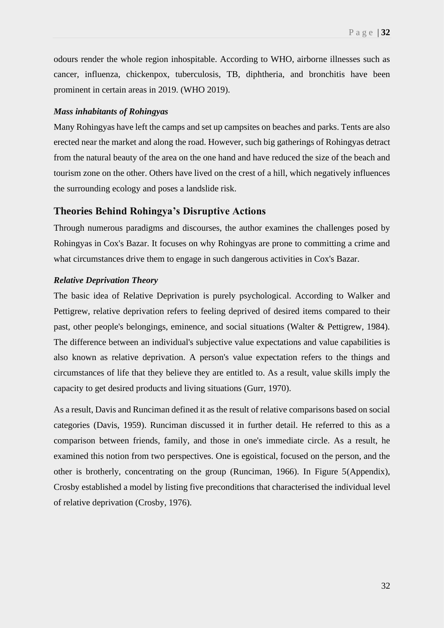odours render the whole region inhospitable. According to WHO, airborne illnesses such as cancer, influenza, chickenpox, tuberculosis, TB, diphtheria, and bronchitis have been prominent in certain areas in 2019. (WHO 2019).

#### *Mass inhabitants of Rohingyas*

Many Rohingyas have left the camps and set up campsites on beaches and parks. Tents are also erected near the market and along the road. However, such big gatherings of Rohingyas detract from the natural beauty of the area on the one hand and have reduced the size of the beach and tourism zone on the other. Others have lived on the crest of a hill, which negatively influences the surrounding ecology and poses a landslide risk.

#### <span id="page-35-0"></span>**Theories Behind Rohingya's Disruptive Actions**

Through numerous paradigms and discourses, the author examines the challenges posed by Rohingyas in Cox's Bazar. It focuses on why Rohingyas are prone to committing a crime and what circumstances drive them to engage in such dangerous activities in Cox's Bazar.

#### *Relative Deprivation Theory*

The basic idea of Relative Deprivation is purely psychological. According to Walker and Pettigrew, relative deprivation refers to feeling deprived of desired items compared to their past, other people's belongings, eminence, and social situations (Walter & Pettigrew, 1984). The difference between an individual's subjective value expectations and value capabilities is also known as relative deprivation. A person's value expectation refers to the things and circumstances of life that they believe they are entitled to. As a result, value skills imply the capacity to get desired products and living situations (Gurr, 1970).

As a result, Davis and Runciman defined it as the result of relative comparisons based on social categories (Davis, 1959). Runciman discussed it in further detail. He referred to this as a comparison between friends, family, and those in one's immediate circle. As a result, he examined this notion from two perspectives. One is egoistical, focused on the person, and the other is brotherly, concentrating on the group (Runciman, 1966). In Figure 5(Appendix), Crosby established a model by listing five preconditions that characterised the individual level of relative deprivation (Crosby, 1976).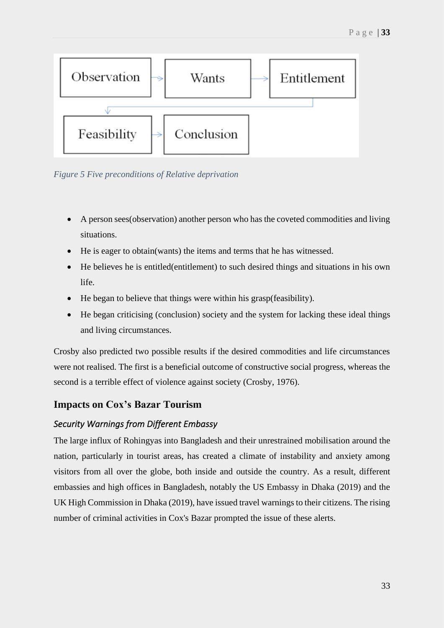

*Figure 5 Five preconditions of Relative deprivation*

- A person sees (observation) another person who has the coveted commodities and living situations.
- He is eager to obtain(wants) the items and terms that he has witnessed.
- He believes he is entitled(entitlement) to such desired things and situations in his own life.
- He began to believe that things were within his grasp(feasibility).
- He began criticising (conclusion) society and the system for lacking these ideal things and living circumstances.

Crosby also predicted two possible results if the desired commodities and life circumstances were not realised. The first is a beneficial outcome of constructive social progress, whereas the second is a terrible effect of violence against society (Crosby, 1976).

## **Impacts on Cox's Bazar Tourism**

### *Security Warnings from Different Embassy*

The large influx of Rohingyas into Bangladesh and their unrestrained mobilisation around the nation, particularly in tourist areas, has created a climate of instability and anxiety among visitors from all over the globe, both inside and outside the country. As a result, different embassies and high offices in Bangladesh, notably the US Embassy in Dhaka (2019) and the UK High Commission in Dhaka (2019), have issued travel warnings to their citizens. The rising number of criminal activities in Cox's Bazar prompted the issue of these alerts.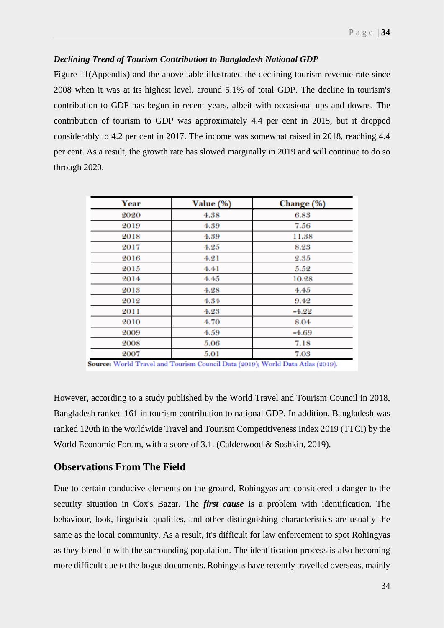#### *Declining Trend of Tourism Contribution to Bangladesh National GDP*

Figure 11(Appendix) and the above table illustrated the declining tourism revenue rate since 2008 when it was at its highest level, around 5.1% of total GDP. The decline in tourism's contribution to GDP has begun in recent years, albeit with occasional ups and downs. The contribution of tourism to GDP was approximately 4.4 per cent in 2015, but it dropped considerably to 4.2 per cent in 2017. The income was somewhat raised in 2018, reaching 4.4 per cent. As a result, the growth rate has slowed marginally in 2019 and will continue to do so through 2020.

| Year | Value (%) | Change (%) |
|------|-----------|------------|
| 2020 | 4.38      | 6.83       |
| 2019 | 4.39      | 7.56       |
| 2018 | 4.39      | 11.38      |
| 2017 | 4.25      | 8.23       |
| 2016 | 4.21      | 2.35       |
| 2015 | 4.41      | 5.52       |
| 2014 | 4.45      | 10.28      |
| 2013 | 4.28      | 4.45       |
| 2012 | 4.34      | 9.42       |
| 2011 | 4.23      | $-4.22$    |
| 2010 | 4.70      | 8.04       |
| 2009 | 4.59      | $-4.69$    |
| 2008 | 5.06      | 7.18       |
| 2007 | 5.01      | 7.03       |

Source: World Travel and Tourism Council Data (2019); World Data Atlas (2019).

However, according to a study published by the World Travel and Tourism Council in 2018, Bangladesh ranked 161 in tourism contribution to national GDP. In addition, Bangladesh was ranked 120th in the worldwide Travel and Tourism Competitiveness Index 2019 (TTCI) by the World Economic Forum, with a score of 3.1. (Calderwood & Soshkin, 2019).

### **Observations From The Field**

Due to certain conducive elements on the ground, Rohingyas are considered a danger to the security situation in Cox's Bazar. The *first cause* is a problem with identification. The behaviour, look, linguistic qualities, and other distinguishing characteristics are usually the same as the local community. As a result, it's difficult for law enforcement to spot Rohingyas as they blend in with the surrounding population. The identification process is also becoming more difficult due to the bogus documents. Rohingyas have recently travelled overseas, mainly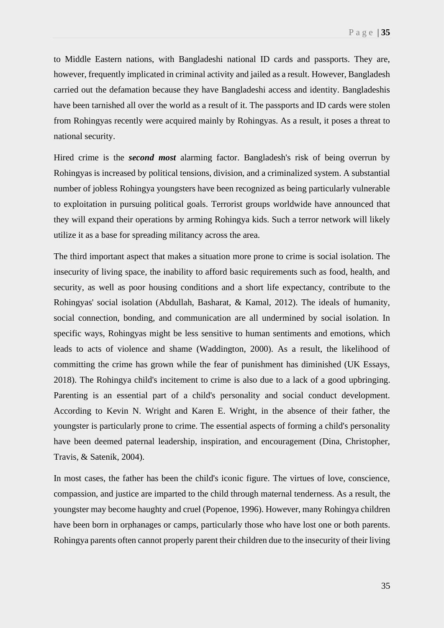to Middle Eastern nations, with Bangladeshi national ID cards and passports. They are, however, frequently implicated in criminal activity and jailed as a result. However, Bangladesh carried out the defamation because they have Bangladeshi access and identity. Bangladeshis have been tarnished all over the world as a result of it. The passports and ID cards were stolen from Rohingyas recently were acquired mainly by Rohingyas. As a result, it poses a threat to national security.

Hired crime is the *second most* alarming factor. Bangladesh's risk of being overrun by Rohingyas is increased by political tensions, division, and a criminalized system. A substantial number of jobless Rohingya youngsters have been recognized as being particularly vulnerable to exploitation in pursuing political goals. Terrorist groups worldwide have announced that they will expand their operations by arming Rohingya kids. Such a terror network will likely utilize it as a base for spreading militancy across the area.

The third important aspect that makes a situation more prone to crime is social isolation. The insecurity of living space, the inability to afford basic requirements such as food, health, and security, as well as poor housing conditions and a short life expectancy, contribute to the Rohingyas' social isolation (Abdullah, Basharat, & Kamal, 2012). The ideals of humanity, social connection, bonding, and communication are all undermined by social isolation. In specific ways, Rohingyas might be less sensitive to human sentiments and emotions, which leads to acts of violence and shame (Waddington, 2000). As a result, the likelihood of committing the crime has grown while the fear of punishment has diminished (UK Essays, 2018). The Rohingya child's incitement to crime is also due to a lack of a good upbringing. Parenting is an essential part of a child's personality and social conduct development. According to Kevin N. Wright and Karen E. Wright, in the absence of their father, the youngster is particularly prone to crime. The essential aspects of forming a child's personality have been deemed paternal leadership, inspiration, and encouragement (Dina, Christopher, Travis, & Satenik, 2004).

In most cases, the father has been the child's iconic figure. The virtues of love, conscience, compassion, and justice are imparted to the child through maternal tenderness. As a result, the youngster may become haughty and cruel (Popenoe, 1996). However, many Rohingya children have been born in orphanages or camps, particularly those who have lost one or both parents. Rohingya parents often cannot properly parent their children due to the insecurity of their living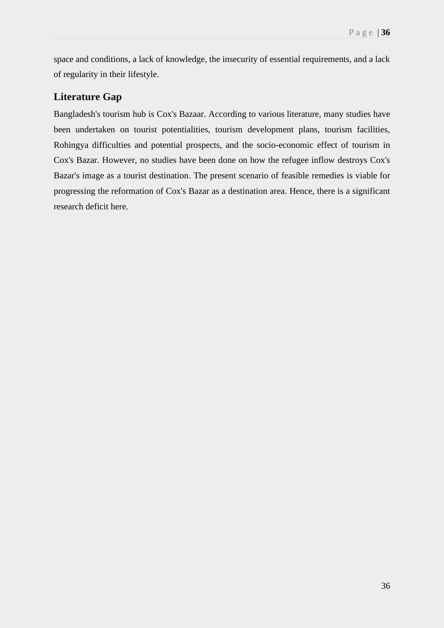space and conditions, a lack of knowledge, the insecurity of essential requirements, and a lack of regularity in their lifestyle.

# **Literature Gap**

Bangladesh's tourism hub is Cox's Bazaar. According to various literature, many studies have been undertaken on tourist potentialities, tourism development plans, tourism facilities, Rohingya difficulties and potential prospects, and the socio-economic effect of tourism in Cox's Bazar. However, no studies have been done on how the refugee inflow destroys Cox's Bazar's image as a tourist destination. The present scenario of feasible remedies is viable for progressing the reformation of Cox's Bazar as a destination area. Hence, there is a significant research deficit here.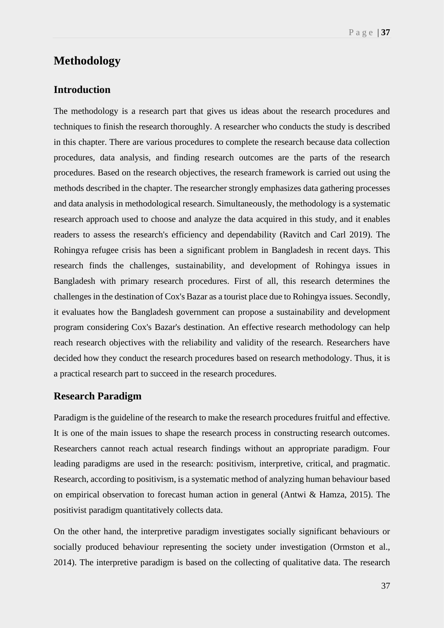# **Methodology**

### **Introduction**

The methodology is a research part that gives us ideas about the research procedures and techniques to finish the research thoroughly. A researcher who conducts the study is described in this chapter. There are various procedures to complete the research because data collection procedures, data analysis, and finding research outcomes are the parts of the research procedures. Based on the research objectives, the research framework is carried out using the methods described in the chapter. The researcher strongly emphasizes data gathering processes and data analysis in methodological research. Simultaneously, the methodology is a systematic research approach used to choose and analyze the data acquired in this study, and it enables readers to assess the research's efficiency and dependability (Ravitch and Carl 2019). The Rohingya refugee crisis has been a significant problem in Bangladesh in recent days. This research finds the challenges, sustainability, and development of Rohingya issues in Bangladesh with primary research procedures. First of all, this research determines the challenges in the destination of Cox's Bazar as a tourist place due to Rohingya issues. Secondly, it evaluates how the Bangladesh government can propose a sustainability and development program considering Cox's Bazar's destination. An effective research methodology can help reach research objectives with the reliability and validity of the research. Researchers have decided how they conduct the research procedures based on research methodology. Thus, it is a practical research part to succeed in the research procedures.

## **Research Paradigm**

Paradigm is the guideline of the research to make the research procedures fruitful and effective. It is one of the main issues to shape the research process in constructing research outcomes. Researchers cannot reach actual research findings without an appropriate paradigm. Four leading paradigms are used in the research: positivism, interpretive, critical, and pragmatic. Research, according to positivism, is a systematic method of analyzing human behaviour based on empirical observation to forecast human action in general (Antwi & Hamza, 2015). The positivist paradigm quantitatively collects data.

On the other hand, the interpretive paradigm investigates socially significant behaviours or socially produced behaviour representing the society under investigation (Ormston et al., 2014). The interpretive paradigm is based on the collecting of qualitative data. The research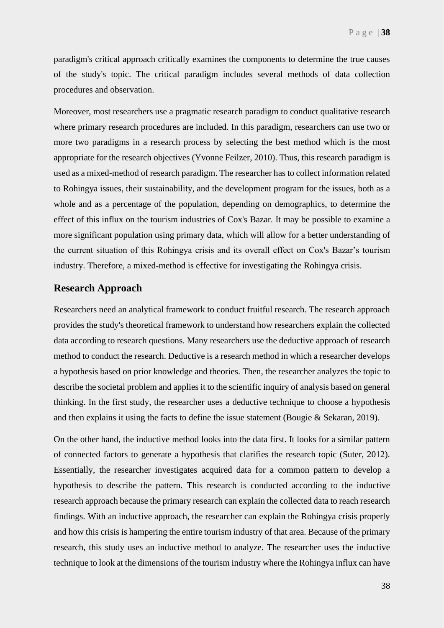paradigm's critical approach critically examines the components to determine the true causes of the study's topic. The critical paradigm includes several methods of data collection procedures and observation.

Moreover, most researchers use a pragmatic research paradigm to conduct qualitative research where primary research procedures are included. In this paradigm, researchers can use two or more two paradigms in a research process by selecting the best method which is the most appropriate for the research objectives (Yvonne Feilzer, 2010). Thus, this research paradigm is used as a mixed-method of research paradigm. The researcher has to collect information related to Rohingya issues, their sustainability, and the development program for the issues, both as a whole and as a percentage of the population, depending on demographics, to determine the effect of this influx on the tourism industries of Cox's Bazar. It may be possible to examine a more significant population using primary data, which will allow for a better understanding of the current situation of this Rohingya crisis and its overall effect on Cox's Bazar's tourism industry. Therefore, a mixed-method is effective for investigating the Rohingya crisis.

### **Research Approach**

Researchers need an analytical framework to conduct fruitful research. The research approach provides the study's theoretical framework to understand how researchers explain the collected data according to research questions. Many researchers use the deductive approach of research method to conduct the research. Deductive is a research method in which a researcher develops a hypothesis based on prior knowledge and theories. Then, the researcher analyzes the topic to describe the societal problem and applies it to the scientific inquiry of analysis based on general thinking. In the first study, the researcher uses a deductive technique to choose a hypothesis and then explains it using the facts to define the issue statement (Bougie & Sekaran, 2019).

On the other hand, the inductive method looks into the data first. It looks for a similar pattern of connected factors to generate a hypothesis that clarifies the research topic (Suter, 2012). Essentially, the researcher investigates acquired data for a common pattern to develop a hypothesis to describe the pattern. This research is conducted according to the inductive research approach because the primary research can explain the collected data to reach research findings. With an inductive approach, the researcher can explain the Rohingya crisis properly and how this crisis is hampering the entire tourism industry of that area. Because of the primary research, this study uses an inductive method to analyze. The researcher uses the inductive technique to look at the dimensions of the tourism industry where the Rohingya influx can have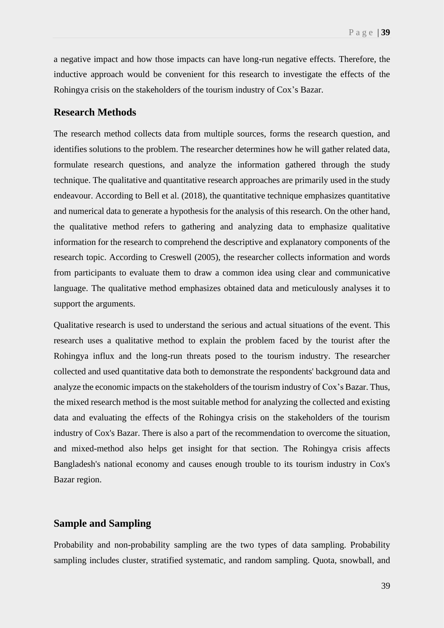a negative impact and how those impacts can have long-run negative effects. Therefore, the inductive approach would be convenient for this research to investigate the effects of the Rohingya crisis on the stakeholders of the tourism industry of Cox's Bazar.

## **Research Methods**

The research method collects data from multiple sources, forms the research question, and identifies solutions to the problem. The researcher determines how he will gather related data, formulate research questions, and analyze the information gathered through the study technique. The qualitative and quantitative research approaches are primarily used in the study endeavour. According to Bell et al. (2018), the quantitative technique emphasizes quantitative and numerical data to generate a hypothesis for the analysis of this research. On the other hand, the qualitative method refers to gathering and analyzing data to emphasize qualitative information for the research to comprehend the descriptive and explanatory components of the research topic. According to Creswell (2005), the researcher collects information and words from participants to evaluate them to draw a common idea using clear and communicative language. The qualitative method emphasizes obtained data and meticulously analyses it to support the arguments.

Qualitative research is used to understand the serious and actual situations of the event. This research uses a qualitative method to explain the problem faced by the tourist after the Rohingya influx and the long-run threats posed to the tourism industry. The researcher collected and used quantitative data both to demonstrate the respondents' background data and analyze the economic impacts on the stakeholders of the tourism industry of Cox's Bazar. Thus, the mixed research method is the most suitable method for analyzing the collected and existing data and evaluating the effects of the Rohingya crisis on the stakeholders of the tourism industry of Cox's Bazar. There is also a part of the recommendation to overcome the situation, and mixed-method also helps get insight for that section. The Rohingya crisis affects Bangladesh's national economy and causes enough trouble to its tourism industry in Cox's Bazar region.

### **Sample and Sampling**

Probability and non-probability sampling are the two types of data sampling. Probability sampling includes cluster, stratified systematic, and random sampling. Quota, snowball, and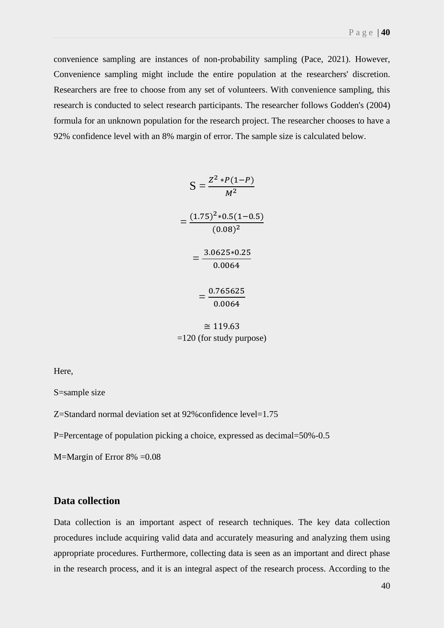convenience sampling are instances of non-probability sampling (Pace, 2021). However, Convenience sampling might include the entire population at the researchers' discretion. Researchers are free to choose from any set of volunteers. With convenience sampling, this research is conducted to select research participants. The researcher follows Godden's (2004) formula for an unknown population for the research project. The researcher chooses to have a 92% confidence level with an 8% margin of error. The sample size is calculated below.

$$
S = \frac{Z^2 * P(1-P)}{M^2}
$$
  
= 
$$
\frac{(1.75)^2 * 0.5(1-0.5)}{(0.08)^2}
$$
  
= 
$$
\frac{3.0625 * 0.25}{0.0064}
$$
  
= 
$$
\frac{0.765625}{0.0064}
$$
  

$$
\approx 119.63
$$

=120 (for study purpose)

Here,

S=sample size

Z=Standard normal deviation set at 92%confidence level=1.75

P=Percentage of population picking a choice, expressed as decimal=50%-0.5

M=Margin of Error 8% =0.08

### **Data collection**

Data collection is an important aspect of research techniques. The key data collection procedures include acquiring valid data and accurately measuring and analyzing them using appropriate procedures. Furthermore, collecting data is seen as an important and direct phase in the research process, and it is an integral aspect of the research process. According to the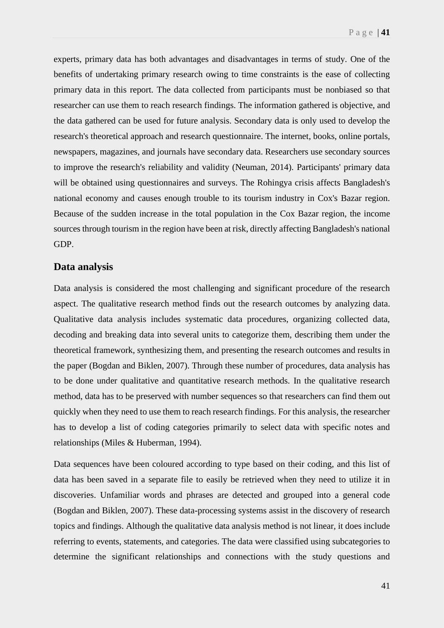experts, primary data has both advantages and disadvantages in terms of study. One of the benefits of undertaking primary research owing to time constraints is the ease of collecting primary data in this report. The data collected from participants must be nonbiased so that researcher can use them to reach research findings. The information gathered is objective, and the data gathered can be used for future analysis. Secondary data is only used to develop the research's theoretical approach and research questionnaire. The internet, books, online portals, newspapers, magazines, and journals have secondary data. Researchers use secondary sources to improve the research's reliability and validity (Neuman, 2014). Participants' primary data will be obtained using questionnaires and surveys. The Rohingya crisis affects Bangladesh's national economy and causes enough trouble to its tourism industry in Cox's Bazar region. Because of the sudden increase in the total population in the Cox Bazar region, the income sources through tourism in the region have been at risk, directly affecting Bangladesh's national GDP.

### **Data analysis**

Data analysis is considered the most challenging and significant procedure of the research aspect. The qualitative research method finds out the research outcomes by analyzing data. Qualitative data analysis includes systematic data procedures, organizing collected data, decoding and breaking data into several units to categorize them, describing them under the theoretical framework, synthesizing them, and presenting the research outcomes and results in the paper (Bogdan and Biklen, 2007). Through these number of procedures, data analysis has to be done under qualitative and quantitative research methods. In the qualitative research method, data has to be preserved with number sequences so that researchers can find them out quickly when they need to use them to reach research findings. For this analysis, the researcher has to develop a list of coding categories primarily to select data with specific notes and relationships (Miles & Huberman, 1994).

Data sequences have been coloured according to type based on their coding, and this list of data has been saved in a separate file to easily be retrieved when they need to utilize it in discoveries. Unfamiliar words and phrases are detected and grouped into a general code (Bogdan and Biklen, 2007). These data-processing systems assist in the discovery of research topics and findings. Although the qualitative data analysis method is not linear, it does include referring to events, statements, and categories. The data were classified using subcategories to determine the significant relationships and connections with the study questions and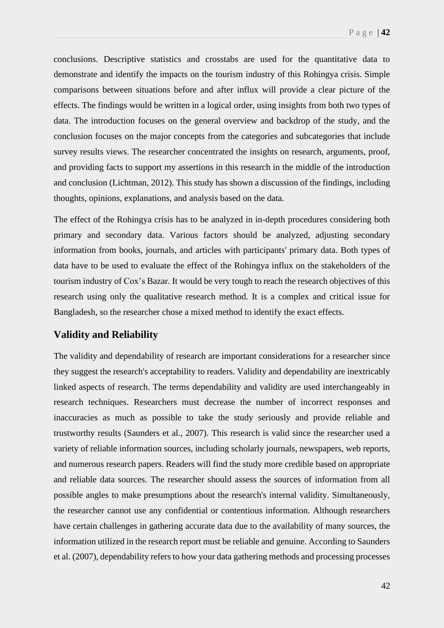conclusions. Descriptive statistics and crosstabs are used for the quantitative data to demonstrate and identify the impacts on the tourism industry of this Rohingya crisis. Simple comparisons between situations before and after influx will provide a clear picture of the effects. The findings would be written in a logical order, using insights from both two types of data. The introduction focuses on the general overview and backdrop of the study, and the conclusion focuses on the major concepts from the categories and subcategories that include survey results views. The researcher concentrated the insights on research, arguments, proof, and providing facts to support my assertions in this research in the middle of the introduction and conclusion (Lichtman, 2012). This study has shown a discussion of the findings, including thoughts, opinions, explanations, and analysis based on the data.

The effect of the Rohingya crisis has to be analyzed in in-depth procedures considering both primary and secondary data. Various factors should be analyzed, adjusting secondary information from books, journals, and articles with participants' primary data. Both types of data have to be used to evaluate the effect of the Rohingya influx on the stakeholders of the tourism industry of Cox's Bazar. It would be very tough to reach the research objectives of this research using only the qualitative research method. It is a complex and critical issue for Bangladesh, so the researcher chose a mixed method to identify the exact effects.

### **Validity and Reliability**

The validity and dependability of research are important considerations for a researcher since they suggest the research's acceptability to readers. Validity and dependability are inextricably linked aspects of research. The terms dependability and validity are used interchangeably in research techniques. Researchers must decrease the number of incorrect responses and inaccuracies as much as possible to take the study seriously and provide reliable and trustworthy results (Saunders et al., 2007). This research is valid since the researcher used a variety of reliable information sources, including scholarly journals, newspapers, web reports, and numerous research papers. Readers will find the study more credible based on appropriate and reliable data sources. The researcher should assess the sources of information from all possible angles to make presumptions about the research's internal validity. Simultaneously, the researcher cannot use any confidential or contentious information. Although researchers have certain challenges in gathering accurate data due to the availability of many sources, the information utilized in the research report must be reliable and genuine. According to Saunders et al. (2007), dependability refers to how your data gathering methods and processing processes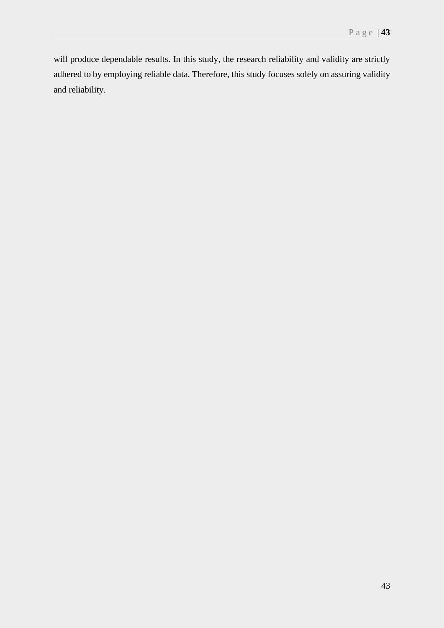will produce dependable results. In this study, the research reliability and validity are strictly adhered to by employing reliable data. Therefore, this study focuses solely on assuring validity and reliability.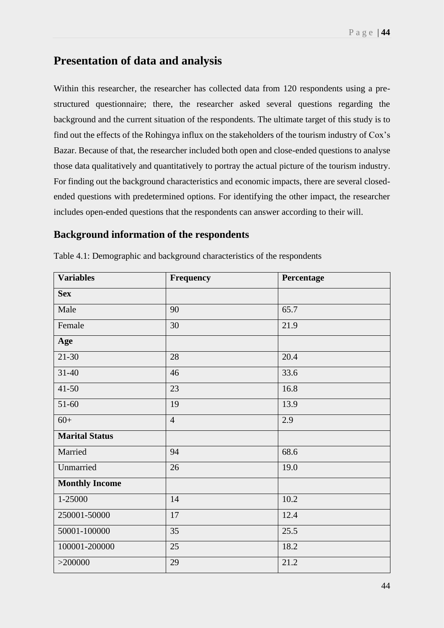# **Presentation of data and analysis**

Within this researcher, the researcher has collected data from 120 respondents using a prestructured questionnaire; there, the researcher asked several questions regarding the background and the current situation of the respondents. The ultimate target of this study is to find out the effects of the Rohingya influx on the stakeholders of the tourism industry of Cox's Bazar. Because of that, the researcher included both open and close-ended questions to analyse those data qualitatively and quantitatively to portray the actual picture of the tourism industry. For finding out the background characteristics and economic impacts, there are several closedended questions with predetermined options. For identifying the other impact, the researcher includes open-ended questions that the respondents can answer according to their will.

## **Background information of the respondents**

| <b>Variables</b>      | Frequency      | Percentage |  |
|-----------------------|----------------|------------|--|
| <b>Sex</b>            |                |            |  |
| Male                  | 90             | 65.7       |  |
| Female                | 30             | 21.9       |  |
| Age                   |                |            |  |
| $21 - 30$             | 28             | 20.4       |  |
| $31 - 40$             | 46             | 33.6       |  |
| $41 - 50$             | 23             | 16.8       |  |
| $51 - 60$             | 19             | 13.9       |  |
| $60+$                 | $\overline{4}$ | 2.9        |  |
| <b>Marital Status</b> |                |            |  |
| Married               | 94             | 68.6       |  |
| Unmarried             | 26             | 19.0       |  |
| <b>Monthly Income</b> |                |            |  |
| 1-25000               | 14             | 10.2       |  |
| 250001-50000          | 17             | 12.4       |  |
| 50001-100000          | 35             | 25.5       |  |
| 100001-200000         | 25             | 18.2       |  |
| >200000               | 29             | 21.2       |  |

Table 4.1: Demographic and background characteristics of the respondents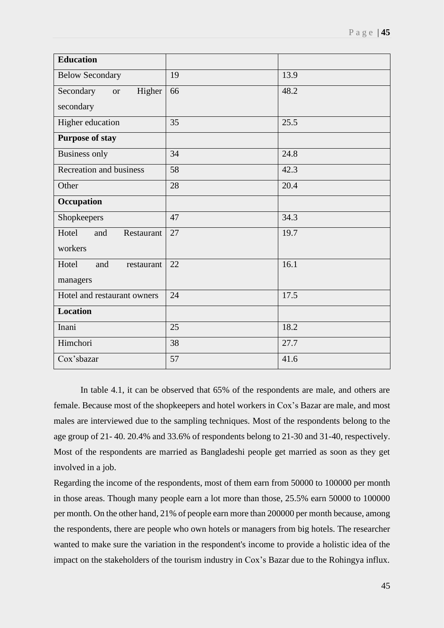| <b>Education</b>                 |    |      |
|----------------------------------|----|------|
| <b>Below Secondary</b>           | 19 | 13.9 |
| Secondary<br>Higher<br><b>or</b> | 66 | 48.2 |
| secondary                        |    |      |
| Higher education                 | 35 | 25.5 |
| <b>Purpose of stay</b>           |    |      |
| <b>Business only</b>             | 34 | 24.8 |
| <b>Recreation and business</b>   | 58 | 42.3 |
| Other                            | 28 | 20.4 |
| Occupation                       |    |      |
| Shopkeepers                      | 47 | 34.3 |
| Hotel<br>and<br>Restaurant       | 27 | 19.7 |
| workers                          |    |      |
| Hotel<br>and<br>restaurant       | 22 | 16.1 |
| managers                         |    |      |
| Hotel and restaurant owners      | 24 | 17.5 |
| <b>Location</b>                  |    |      |
| Inani                            | 25 | 18.2 |
| Himchori                         | 38 | 27.7 |
| Cox'sbazar                       | 57 | 41.6 |

In table 4.1, it can be observed that 65% of the respondents are male, and others are female. Because most of the shopkeepers and hotel workers in Cox's Bazar are male, and most males are interviewed due to the sampling techniques. Most of the respondents belong to the age group of 21- 40. 20.4% and 33.6% of respondents belong to 21-30 and 31-40, respectively. Most of the respondents are married as Bangladeshi people get married as soon as they get involved in a job.

Regarding the income of the respondents, most of them earn from 50000 to 100000 per month in those areas. Though many people earn a lot more than those, 25.5% earn 50000 to 100000 per month. On the other hand, 21% of people earn more than 200000 per month because, among the respondents, there are people who own hotels or managers from big hotels. The researcher wanted to make sure the variation in the respondent's income to provide a holistic idea of the impact on the stakeholders of the tourism industry in Cox's Bazar due to the Rohingya influx.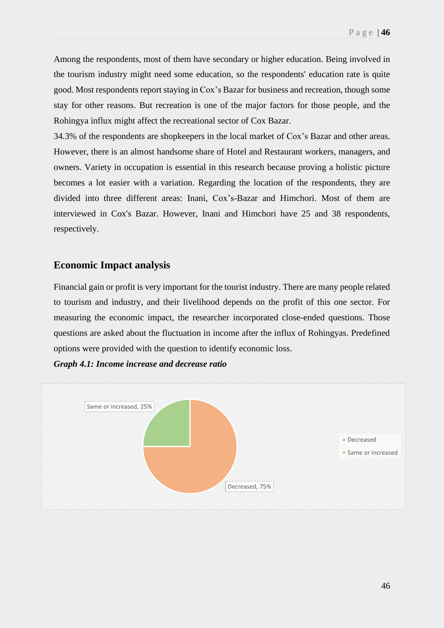Among the respondents, most of them have secondary or higher education. Being involved in the tourism industry might need some education, so the respondents' education rate is quite good. Most respondents report staying in Cox's Bazar for business and recreation, though some stay for other reasons. But recreation is one of the major factors for those people, and the Rohingya influx might affect the recreational sector of Cox Bazar.

34.3% of the respondents are shopkeepers in the local market of Cox's Bazar and other areas. However, there is an almost handsome share of Hotel and Restaurant workers, managers, and owners. Variety in occupation is essential in this research because proving a holistic picture becomes a lot easier with a variation. Regarding the location of the respondents, they are divided into three different areas: Inani, Cox's-Bazar and Himchori. Most of them are interviewed in Cox's Bazar. However, Inani and Himchori have 25 and 38 respondents, respectively.

## **Economic Impact analysis**

Financial gain or profit is very important for the tourist industry. There are many people related to tourism and industry, and their livelihood depends on the profit of this one sector. For measuring the economic impact, the researcher incorporated close-ended questions. Those questions are asked about the fluctuation in income after the influx of Rohingyas. Predefined options were provided with the question to identify economic loss.

*Graph 4.1: Income increase and decrease ratio*

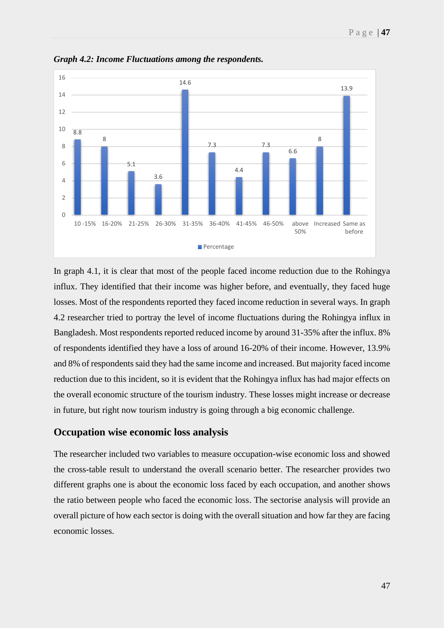

*Graph 4.2: Income Fluctuations among the respondents.*

In graph 4.1, it is clear that most of the people faced income reduction due to the Rohingya influx. They identified that their income was higher before, and eventually, they faced huge losses. Most of the respondents reported they faced income reduction in several ways. In graph 4.2 researcher tried to portray the level of income fluctuations during the Rohingya influx in Bangladesh. Most respondents reported reduced income by around 31-35% after the influx. 8% of respondents identified they have a loss of around 16-20% of their income. However, 13.9% and 8% of respondents said they had the same income and increased. But majority faced income reduction due to this incident, so it is evident that the Rohingya influx has had major effects on the overall economic structure of the tourism industry. These losses might increase or decrease in future, but right now tourism industry is going through a big economic challenge.

### **Occupation wise economic loss analysis**

The researcher included two variables to measure occupation-wise economic loss and showed the cross-table result to understand the overall scenario better. The researcher provides two different graphs one is about the economic loss faced by each occupation, and another shows the ratio between people who faced the economic loss. The sectorise analysis will provide an overall picture of how each sector is doing with the overall situation and how far they are facing economic losses.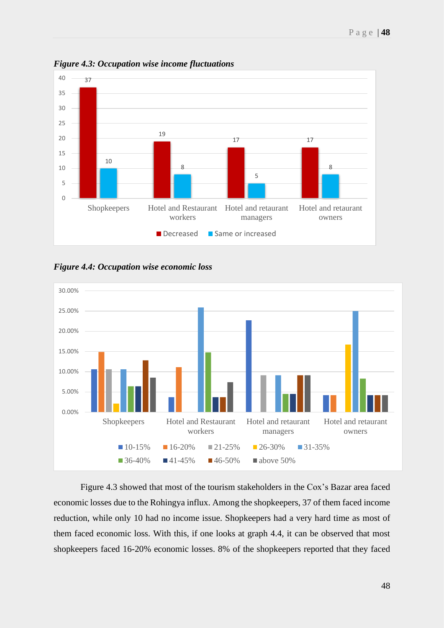

*Figure 4.3: Occupation wise income fluctuations*

*Figure 4.4: Occupation wise economic loss* 



Figure 4.3 showed that most of the tourism stakeholders in the Cox's Bazar area faced economic losses due to the Rohingya influx. Among the shopkeepers, 37 of them faced income reduction, while only 10 had no income issue. Shopkeepers had a very hard time as most of them faced economic loss. With this, if one looks at graph 4.4, it can be observed that most shopkeepers faced 16-20% economic losses. 8% of the shopkeepers reported that they faced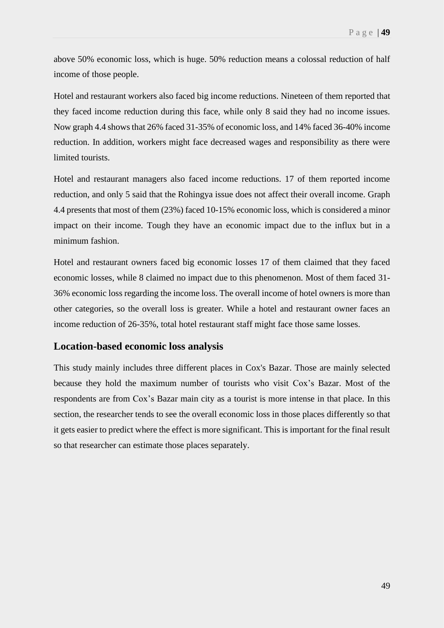above 50% economic loss, which is huge. 50% reduction means a colossal reduction of half income of those people.

Hotel and restaurant workers also faced big income reductions. Nineteen of them reported that they faced income reduction during this face, while only 8 said they had no income issues. Now graph 4.4 shows that 26% faced 31-35% of economic loss, and 14% faced 36-40% income reduction. In addition, workers might face decreased wages and responsibility as there were limited tourists.

Hotel and restaurant managers also faced income reductions. 17 of them reported income reduction, and only 5 said that the Rohingya issue does not affect their overall income. Graph 4.4 presents that most of them (23%) faced 10-15% economic loss, which is considered a minor impact on their income. Tough they have an economic impact due to the influx but in a minimum fashion.

Hotel and restaurant owners faced big economic losses 17 of them claimed that they faced economic losses, while 8 claimed no impact due to this phenomenon. Most of them faced 31- 36% economic loss regarding the income loss. The overall income of hotel owners is more than other categories, so the overall loss is greater. While a hotel and restaurant owner faces an income reduction of 26-35%, total hotel restaurant staff might face those same losses.

### **Location-based economic loss analysis**

This study mainly includes three different places in Cox's Bazar. Those are mainly selected because they hold the maximum number of tourists who visit Cox's Bazar. Most of the respondents are from Cox's Bazar main city as a tourist is more intense in that place. In this section, the researcher tends to see the overall economic loss in those places differently so that it gets easier to predict where the effect is more significant. This is important for the final result so that researcher can estimate those places separately.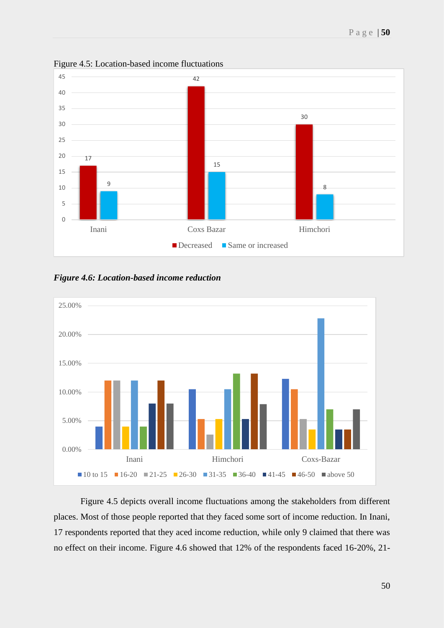

Figure 4.5: Location-based income fluctuations

*Figure 4.6: Location-based income reduction*



Figure 4.5 depicts overall income fluctuations among the stakeholders from different places. Most of those people reported that they faced some sort of income reduction. In Inani, 17 respondents reported that they aced income reduction, while only 9 claimed that there was no effect on their income. Figure 4.6 showed that 12% of the respondents faced 16-20%, 21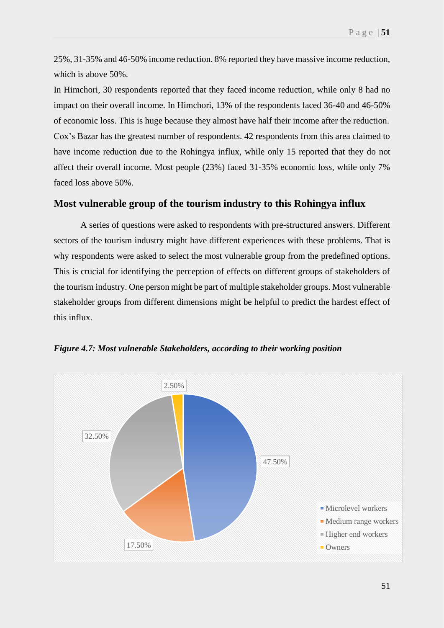25%, 31-35% and 46-50% income reduction. 8% reported they have massive income reduction, which is above 50%.

In Himchori, 30 respondents reported that they faced income reduction, while only 8 had no impact on their overall income. In Himchori, 13% of the respondents faced 36-40 and 46-50% of economic loss. This is huge because they almost have half their income after the reduction. Cox's Bazar has the greatest number of respondents. 42 respondents from this area claimed to have income reduction due to the Rohingya influx, while only 15 reported that they do not affect their overall income. Most people (23%) faced 31-35% economic loss, while only 7% faced loss above 50%.

### **Most vulnerable group of the tourism industry to this Rohingya influx**

A series of questions were asked to respondents with pre-structured answers. Different sectors of the tourism industry might have different experiences with these problems. That is why respondents were asked to select the most vulnerable group from the predefined options. This is crucial for identifying the perception of effects on different groups of stakeholders of the tourism industry. One person might be part of multiple stakeholder groups. Most vulnerable stakeholder groups from different dimensions might be helpful to predict the hardest effect of this influx.



*Figure 4.7: Most vulnerable Stakeholders, according to their working position*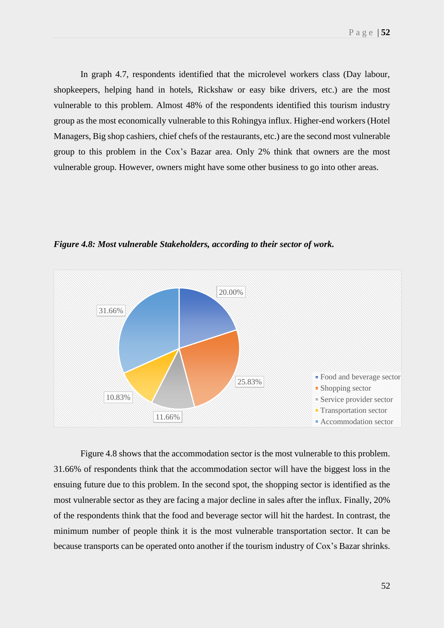In graph 4.7, respondents identified that the microlevel workers class (Day labour, shopkeepers, helping hand in hotels, Rickshaw or easy bike drivers, etc.) are the most vulnerable to this problem. Almost 48% of the respondents identified this tourism industry group as the most economically vulnerable to this Rohingya influx. Higher-end workers (Hotel Managers, Big shop cashiers, chief chefs of the restaurants, etc.) are the second most vulnerable group to this problem in the Cox's Bazar area. Only 2% think that owners are the most vulnerable group. However, owners might have some other business to go into other areas.



*Figure 4.8: Most vulnerable Stakeholders, according to their sector of work.*

Figure 4.8 shows that the accommodation sector is the most vulnerable to this problem. 31.66% of respondents think that the accommodation sector will have the biggest loss in the ensuing future due to this problem. In the second spot, the shopping sector is identified as the most vulnerable sector as they are facing a major decline in sales after the influx. Finally, 20% of the respondents think that the food and beverage sector will hit the hardest. In contrast, the minimum number of people think it is the most vulnerable transportation sector. It can be because transports can be operated onto another if the tourism industry of Cox's Bazar shrinks.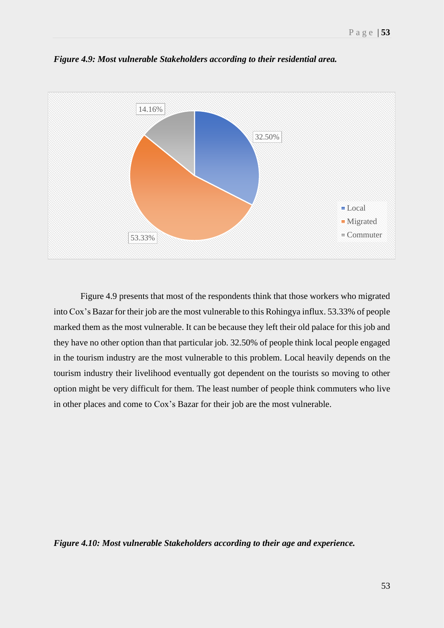

*Figure 4.9: Most vulnerable Stakeholders according to their residential area.*

Figure 4.9 presents that most of the respondents think that those workers who migrated into Cox's Bazar for their job are the most vulnerable to this Rohingya influx. 53.33% of people marked them as the most vulnerable. It can be because they left their old palace for this job and they have no other option than that particular job. 32.50% of people think local people engaged in the tourism industry are the most vulnerable to this problem. Local heavily depends on the tourism industry their livelihood eventually got dependent on the tourists so moving to other option might be very difficult for them. The least number of people think commuters who live in other places and come to Cox's Bazar for their job are the most vulnerable.

*Figure 4.10: Most vulnerable Stakeholders according to their age and experience.*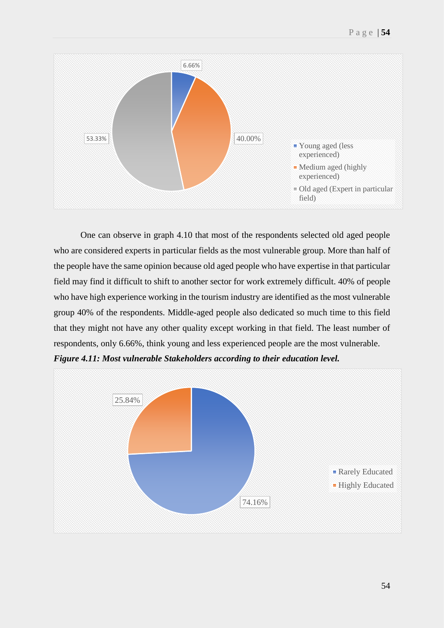

One can observe in graph 4.10 that most of the respondents selected old aged people who are considered experts in particular fields as the most vulnerable group. More than half of the people have the same opinion because old aged people who have expertise in that particular field may find it difficult to shift to another sector for work extremely difficult. 40% of people who have high experience working in the tourism industry are identified as the most vulnerable group 40% of the respondents. Middle-aged people also dedicated so much time to this field that they might not have any other quality except working in that field. The least number of respondents, only 6.66%, think young and less experienced people are the most vulnerable.

*Figure 4.11: Most vulnerable Stakeholders according to their education level.*

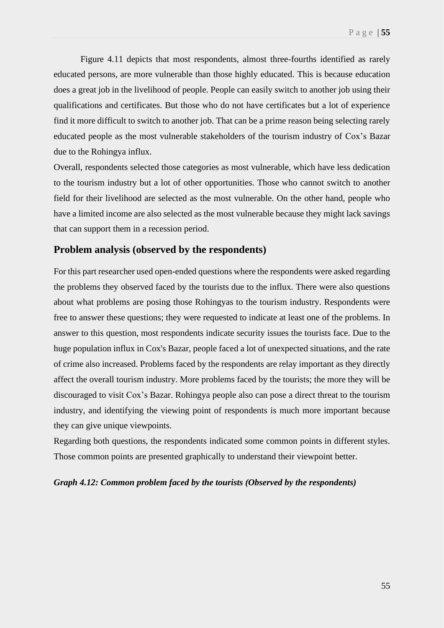Figure 4.11 depicts that most respondents, almost three-fourths identified as rarely educated persons, are more vulnerable than those highly educated. This is because education does a great job in the livelihood of people. People can easily switch to another job using their qualifications and certificates. But those who do not have certificates but a lot of experience find it more difficult to switch to another job. That can be a prime reason being selecting rarely educated people as the most vulnerable stakeholders of the tourism industry of Cox's Bazar due to the Rohingya influx.

Overall, respondents selected those categories as most vulnerable, which have less dedication to the tourism industry but a lot of other opportunities. Those who cannot switch to another field for their livelihood are selected as the most vulnerable. On the other hand, people who have a limited income are also selected as the most vulnerable because they might lack savings that can support them in a recession period.

## **Problem analysis (observed by the respondents)**

For this part researcher used open-ended questions where the respondents were asked regarding the problems they observed faced by the tourists due to the influx. There were also questions about what problems are posing those Rohingyas to the tourism industry. Respondents were free to answer these questions; they were requested to indicate at least one of the problems. In answer to this question, most respondents indicate security issues the tourists face. Due to the huge population influx in Cox's Bazar, people faced a lot of unexpected situations, and the rate of crime also increased. Problems faced by the respondents are relay important as they directly affect the overall tourism industry. More problems faced by the tourists; the more they will be discouraged to visit Cox's Bazar. Rohingya people also can pose a direct threat to the tourism industry, and identifying the viewing point of respondents is much more important because they can give unique viewpoints.

Regarding both questions, the respondents indicated some common points in different styles. Those common points are presented graphically to understand their viewpoint better.

#### *Graph 4.12: Common problem faced by the tourists (Observed by the respondents)*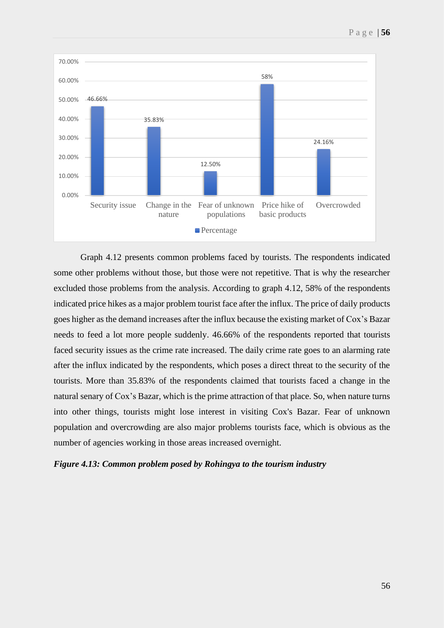

Graph 4.12 presents common problems faced by tourists. The respondents indicated some other problems without those, but those were not repetitive. That is why the researcher excluded those problems from the analysis. According to graph 4.12, 58% of the respondents indicated price hikes as a major problem tourist face after the influx. The price of daily products goes higher as the demand increases after the influx because the existing market of Cox's Bazar needs to feed a lot more people suddenly. 46.66% of the respondents reported that tourists faced security issues as the crime rate increased. The daily crime rate goes to an alarming rate after the influx indicated by the respondents, which poses a direct threat to the security of the tourists. More than 35.83% of the respondents claimed that tourists faced a change in the natural senary of Cox's Bazar, which is the prime attraction of that place. So, when nature turns into other things, tourists might lose interest in visiting Cox's Bazar. Fear of unknown population and overcrowding are also major problems tourists face, which is obvious as the number of agencies working in those areas increased overnight.

### *Figure 4.13: Common problem posed by Rohingya to the tourism industry*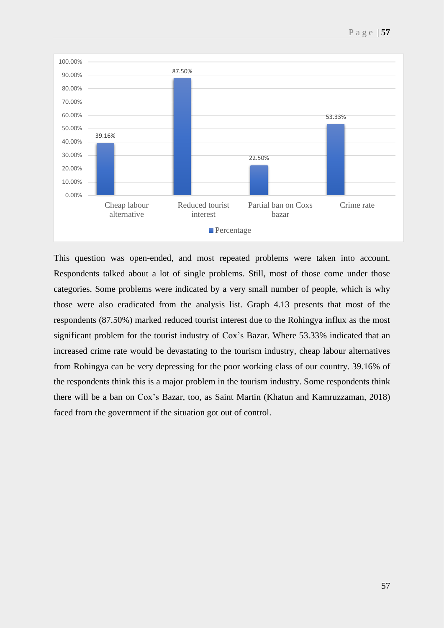

This question was open-ended, and most repeated problems were taken into account. Respondents talked about a lot of single problems. Still, most of those come under those categories. Some problems were indicated by a very small number of people, which is why those were also eradicated from the analysis list. Graph 4.13 presents that most of the respondents (87.50%) marked reduced tourist interest due to the Rohingya influx as the most significant problem for the tourist industry of Cox's Bazar. Where 53.33% indicated that an increased crime rate would be devastating to the tourism industry, cheap labour alternatives from Rohingya can be very depressing for the poor working class of our country. 39.16% of the respondents think this is a major problem in the tourism industry. Some respondents think there will be a ban on Cox's Bazar, too, as Saint Martin (Khatun and Kamruzzaman, 2018) faced from the government if the situation got out of control.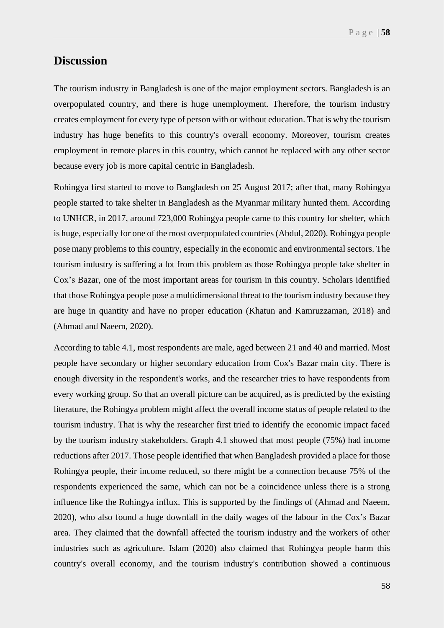# **Discussion**

The tourism industry in Bangladesh is one of the major employment sectors. Bangladesh is an overpopulated country, and there is huge unemployment. Therefore, the tourism industry creates employment for every type of person with or without education. That is why the tourism industry has huge benefits to this country's overall economy. Moreover, tourism creates employment in remote places in this country, which cannot be replaced with any other sector because every job is more capital centric in Bangladesh.

Rohingya first started to move to Bangladesh on 25 August 2017; after that, many Rohingya people started to take shelter in Bangladesh as the Myanmar military hunted them. According to UNHCR, in 2017, around 723,000 Rohingya people came to this country for shelter, which is huge, especially for one of the most overpopulated countries (Abdul, 2020). Rohingya people pose many problems to this country, especially in the economic and environmental sectors. The tourism industry is suffering a lot from this problem as those Rohingya people take shelter in Cox's Bazar, one of the most important areas for tourism in this country. Scholars identified that those Rohingya people pose a multidimensional threat to the tourism industry because they are huge in quantity and have no proper education (Khatun and Kamruzzaman, 2018) and (Ahmad and Naeem, 2020).

According to table 4.1, most respondents are male, aged between 21 and 40 and married. Most people have secondary or higher secondary education from Cox's Bazar main city. There is enough diversity in the respondent's works, and the researcher tries to have respondents from every working group. So that an overall picture can be acquired, as is predicted by the existing literature, the Rohingya problem might affect the overall income status of people related to the tourism industry. That is why the researcher first tried to identify the economic impact faced by the tourism industry stakeholders. Graph 4.1 showed that most people (75%) had income reductions after 2017. Those people identified that when Bangladesh provided a place for those Rohingya people, their income reduced, so there might be a connection because 75% of the respondents experienced the same, which can not be a coincidence unless there is a strong influence like the Rohingya influx. This is supported by the findings of (Ahmad and Naeem, 2020), who also found a huge downfall in the daily wages of the labour in the Cox's Bazar area. They claimed that the downfall affected the tourism industry and the workers of other industries such as agriculture. Islam (2020) also claimed that Rohingya people harm this country's overall economy, and the tourism industry's contribution showed a continuous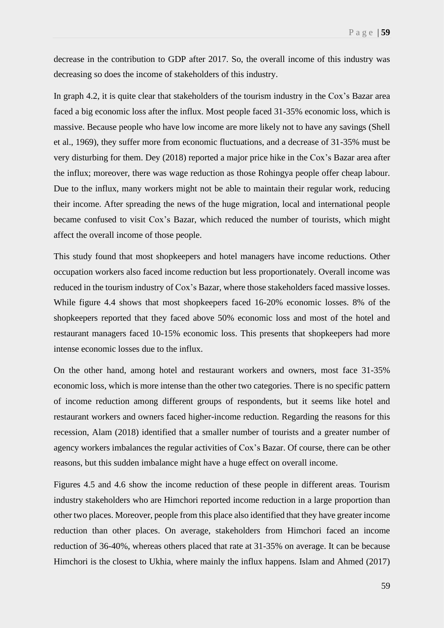decrease in the contribution to GDP after 2017. So, the overall income of this industry was decreasing so does the income of stakeholders of this industry.

In graph 4.2, it is quite clear that stakeholders of the tourism industry in the Cox's Bazar area faced a big economic loss after the influx. Most people faced 31-35% economic loss, which is massive. Because people who have low income are more likely not to have any savings (Shell et al., 1969), they suffer more from economic fluctuations, and a decrease of 31-35% must be very disturbing for them. Dey (2018) reported a major price hike in the Cox's Bazar area after the influx; moreover, there was wage reduction as those Rohingya people offer cheap labour. Due to the influx, many workers might not be able to maintain their regular work, reducing their income. After spreading the news of the huge migration, local and international people became confused to visit Cox's Bazar, which reduced the number of tourists, which might affect the overall income of those people.

This study found that most shopkeepers and hotel managers have income reductions. Other occupation workers also faced income reduction but less proportionately. Overall income was reduced in the tourism industry of Cox's Bazar, where those stakeholders faced massive losses. While figure 4.4 shows that most shopkeepers faced 16-20% economic losses. 8% of the shopkeepers reported that they faced above 50% economic loss and most of the hotel and restaurant managers faced 10-15% economic loss. This presents that shopkeepers had more intense economic losses due to the influx.

On the other hand, among hotel and restaurant workers and owners, most face 31-35% economic loss, which is more intense than the other two categories. There is no specific pattern of income reduction among different groups of respondents, but it seems like hotel and restaurant workers and owners faced higher-income reduction. Regarding the reasons for this recession, Alam (2018) identified that a smaller number of tourists and a greater number of agency workers imbalances the regular activities of Cox's Bazar. Of course, there can be other reasons, but this sudden imbalance might have a huge effect on overall income.

Figures 4.5 and 4.6 show the income reduction of these people in different areas. Tourism industry stakeholders who are Himchori reported income reduction in a large proportion than other two places. Moreover, people from this place also identified that they have greater income reduction than other places. On average, stakeholders from Himchori faced an income reduction of 36-40%, whereas others placed that rate at 31-35% on average. It can be because Himchori is the closest to Ukhia, where mainly the influx happens. Islam and Ahmed (2017)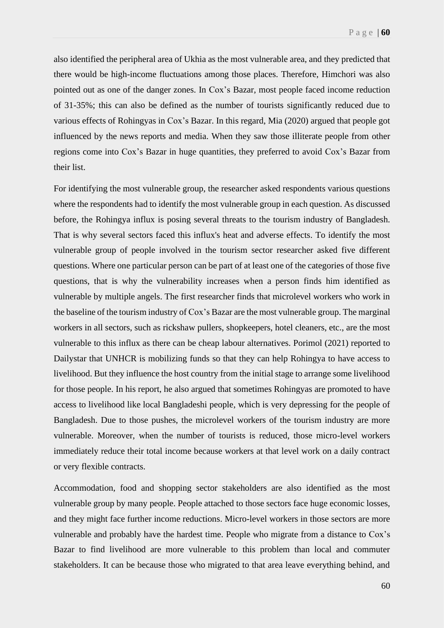also identified the peripheral area of Ukhia as the most vulnerable area, and they predicted that there would be high-income fluctuations among those places. Therefore, Himchori was also pointed out as one of the danger zones. In Cox's Bazar, most people faced income reduction of 31-35%; this can also be defined as the number of tourists significantly reduced due to various effects of Rohingyas in Cox's Bazar. In this regard, Mia (2020) argued that people got influenced by the news reports and media. When they saw those illiterate people from other regions come into Cox's Bazar in huge quantities, they preferred to avoid Cox's Bazar from their list.

For identifying the most vulnerable group, the researcher asked respondents various questions where the respondents had to identify the most vulnerable group in each question. As discussed before, the Rohingya influx is posing several threats to the tourism industry of Bangladesh. That is why several sectors faced this influx's heat and adverse effects. To identify the most vulnerable group of people involved in the tourism sector researcher asked five different questions. Where one particular person can be part of at least one of the categories of those five questions, that is why the vulnerability increases when a person finds him identified as vulnerable by multiple angels. The first researcher finds that microlevel workers who work in the baseline of the tourism industry of Cox's Bazar are the most vulnerable group. The marginal workers in all sectors, such as rickshaw pullers, shopkeepers, hotel cleaners, etc., are the most vulnerable to this influx as there can be cheap labour alternatives. Porimol (2021) reported to Dailystar that UNHCR is mobilizing funds so that they can help Rohingya to have access to livelihood. But they influence the host country from the initial stage to arrange some livelihood for those people. In his report, he also argued that sometimes Rohingyas are promoted to have access to livelihood like local Bangladeshi people, which is very depressing for the people of Bangladesh. Due to those pushes, the microlevel workers of the tourism industry are more vulnerable. Moreover, when the number of tourists is reduced, those micro-level workers immediately reduce their total income because workers at that level work on a daily contract or very flexible contracts.

Accommodation, food and shopping sector stakeholders are also identified as the most vulnerable group by many people. People attached to those sectors face huge economic losses, and they might face further income reductions. Micro-level workers in those sectors are more vulnerable and probably have the hardest time. People who migrate from a distance to Cox's Bazar to find livelihood are more vulnerable to this problem than local and commuter stakeholders. It can be because those who migrated to that area leave everything behind, and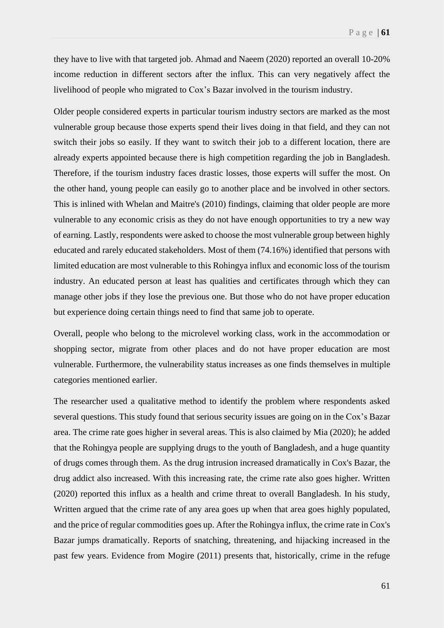they have to live with that targeted job. Ahmad and Naeem (2020) reported an overall 10-20% income reduction in different sectors after the influx. This can very negatively affect the livelihood of people who migrated to Cox's Bazar involved in the tourism industry.

Older people considered experts in particular tourism industry sectors are marked as the most vulnerable group because those experts spend their lives doing in that field, and they can not switch their jobs so easily. If they want to switch their job to a different location, there are already experts appointed because there is high competition regarding the job in Bangladesh. Therefore, if the tourism industry faces drastic losses, those experts will suffer the most. On the other hand, young people can easily go to another place and be involved in other sectors. This is inlined with Whelan and Maitre's (2010) findings, claiming that older people are more vulnerable to any economic crisis as they do not have enough opportunities to try a new way of earning. Lastly, respondents were asked to choose the most vulnerable group between highly educated and rarely educated stakeholders. Most of them (74.16%) identified that persons with limited education are most vulnerable to this Rohingya influx and economic loss of the tourism industry. An educated person at least has qualities and certificates through which they can manage other jobs if they lose the previous one. But those who do not have proper education but experience doing certain things need to find that same job to operate.

Overall, people who belong to the microlevel working class, work in the accommodation or shopping sector, migrate from other places and do not have proper education are most vulnerable. Furthermore, the vulnerability status increases as one finds themselves in multiple categories mentioned earlier.

The researcher used a qualitative method to identify the problem where respondents asked several questions. This study found that serious security issues are going on in the Cox's Bazar area. The crime rate goes higher in several areas. This is also claimed by Mia (2020); he added that the Rohingya people are supplying drugs to the youth of Bangladesh, and a huge quantity of drugs comes through them. As the drug intrusion increased dramatically in Cox's Bazar, the drug addict also increased. With this increasing rate, the crime rate also goes higher. Written (2020) reported this influx as a health and crime threat to overall Bangladesh. In his study, Written argued that the crime rate of any area goes up when that area goes highly populated, and the price of regular commodities goes up. After the Rohingya influx, the crime rate in Cox's Bazar jumps dramatically. Reports of snatching, threatening, and hijacking increased in the past few years. Evidence from Mogire (2011) presents that, historically, crime in the refuge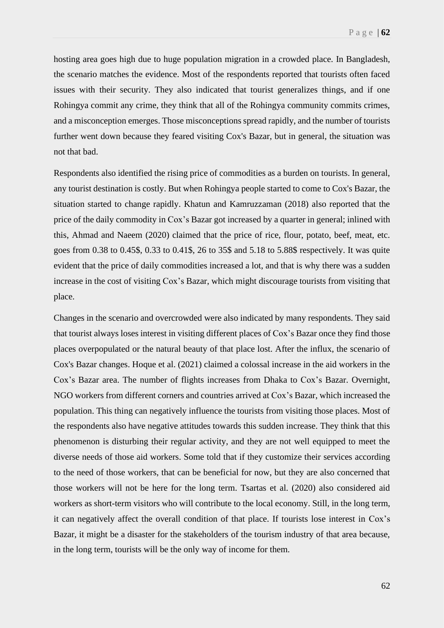hosting area goes high due to huge population migration in a crowded place. In Bangladesh, the scenario matches the evidence. Most of the respondents reported that tourists often faced issues with their security. They also indicated that tourist generalizes things, and if one Rohingya commit any crime, they think that all of the Rohingya community commits crimes, and a misconception emerges. Those misconceptions spread rapidly, and the number of tourists further went down because they feared visiting Cox's Bazar, but in general, the situation was not that bad.

Respondents also identified the rising price of commodities as a burden on tourists. In general, any tourist destination is costly. But when Rohingya people started to come to Cox's Bazar, the situation started to change rapidly. Khatun and Kamruzzaman (2018) also reported that the price of the daily commodity in Cox's Bazar got increased by a quarter in general; inlined with this, Ahmad and Naeem (2020) claimed that the price of rice, flour, potato, beef, meat, etc. goes from 0.38 to 0.45\$, 0.33 to 0.41\$, 26 to 35\$ and 5.18 to 5.88\$ respectively. It was quite evident that the price of daily commodities increased a lot, and that is why there was a sudden increase in the cost of visiting Cox's Bazar, which might discourage tourists from visiting that place.

Changes in the scenario and overcrowded were also indicated by many respondents. They said that tourist always loses interest in visiting different places of Cox's Bazar once they find those places overpopulated or the natural beauty of that place lost. After the influx, the scenario of Cox's Bazar changes. Hoque et al. (2021) claimed a colossal increase in the aid workers in the Cox's Bazar area. The number of flights increases from Dhaka to Cox's Bazar. Overnight, NGO workers from different corners and countries arrived at Cox's Bazar, which increased the population. This thing can negatively influence the tourists from visiting those places. Most of the respondents also have negative attitudes towards this sudden increase. They think that this phenomenon is disturbing their regular activity, and they are not well equipped to meet the diverse needs of those aid workers. Some told that if they customize their services according to the need of those workers, that can be beneficial for now, but they are also concerned that those workers will not be here for the long term. Tsartas et al. (2020) also considered aid workers as short-term visitors who will contribute to the local economy. Still, in the long term, it can negatively affect the overall condition of that place. If tourists lose interest in Cox's Bazar, it might be a disaster for the stakeholders of the tourism industry of that area because, in the long term, tourists will be the only way of income for them.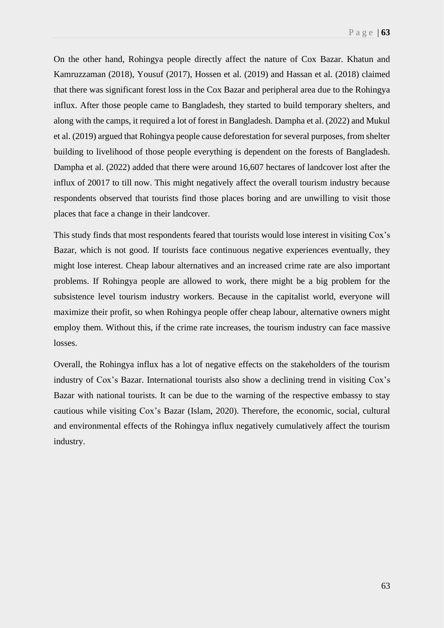On the other hand, Rohingya people directly affect the nature of Cox Bazar. Khatun and Kamruzzaman (2018), Yousuf (2017), Hossen et al. (2019) and Hassan et al. (2018) claimed that there was significant forest loss in the Cox Bazar and peripheral area due to the Rohingya influx. After those people came to Bangladesh, they started to build temporary shelters, and along with the camps, it required a lot of forest in Bangladesh. Dampha et al. (2022) and Mukul et al. (2019) argued that Rohingya people cause deforestation for several purposes, from shelter building to livelihood of those people everything is dependent on the forests of Bangladesh. Dampha et al. (2022) added that there were around 16,607 hectares of landcover lost after the influx of 20017 to till now. This might negatively affect the overall tourism industry because respondents observed that tourists find those places boring and are unwilling to visit those places that face a change in their landcover.

This study finds that most respondents feared that tourists would lose interest in visiting Cox's Bazar, which is not good. If tourists face continuous negative experiences eventually, they might lose interest. Cheap labour alternatives and an increased crime rate are also important problems. If Rohingya people are allowed to work, there might be a big problem for the subsistence level tourism industry workers. Because in the capitalist world, everyone will maximize their profit, so when Rohingya people offer cheap labour, alternative owners might employ them. Without this, if the crime rate increases, the tourism industry can face massive losses.

Overall, the Rohingya influx has a lot of negative effects on the stakeholders of the tourism industry of Cox's Bazar. International tourists also show a declining trend in visiting Cox's Bazar with national tourists. It can be due to the warning of the respective embassy to stay cautious while visiting Cox's Bazar (Islam, 2020). Therefore, the economic, social, cultural and environmental effects of the Rohingya influx negatively cumulatively affect the tourism industry.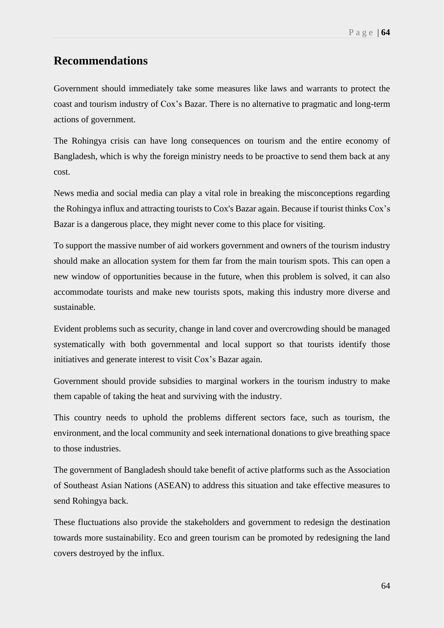# **Recommendations**

Government should immediately take some measures like laws and warrants to protect the coast and tourism industry of Cox's Bazar. There is no alternative to pragmatic and long-term actions of government.

The Rohingya crisis can have long consequences on tourism and the entire economy of Bangladesh, which is why the foreign ministry needs to be proactive to send them back at any cost.

News media and social media can play a vital role in breaking the misconceptions regarding the Rohingya influx and attracting tourists to Cox's Bazar again. Because if tourist thinks Cox's Bazar is a dangerous place, they might never come to this place for visiting.

To support the massive number of aid workers government and owners of the tourism industry should make an allocation system for them far from the main tourism spots. This can open a new window of opportunities because in the future, when this problem is solved, it can also accommodate tourists and make new tourists spots, making this industry more diverse and sustainable.

Evident problems such as security, change in land cover and overcrowding should be managed systematically with both governmental and local support so that tourists identify those initiatives and generate interest to visit Cox's Bazar again.

Government should provide subsidies to marginal workers in the tourism industry to make them capable of taking the heat and surviving with the industry.

This country needs to uphold the problems different sectors face, such as tourism, the environment, and the local community and seek international donations to give breathing space to those industries.

The government of Bangladesh should take benefit of active platforms such as the Association of Southeast Asian Nations (ASEAN) to address this situation and take effective measures to send Rohingya back.

These fluctuations also provide the stakeholders and government to redesign the destination towards more sustainability. Eco and green tourism can be promoted by redesigning the land covers destroyed by the influx.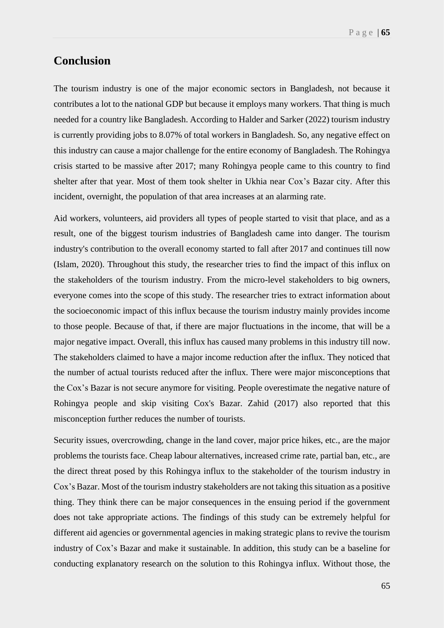# **Conclusion**

The tourism industry is one of the major economic sectors in Bangladesh, not because it contributes a lot to the national GDP but because it employs many workers. That thing is much needed for a country like Bangladesh. According to Halder and Sarker (2022) tourism industry is currently providing jobs to 8.07% of total workers in Bangladesh. So, any negative effect on this industry can cause a major challenge for the entire economy of Bangladesh. The Rohingya crisis started to be massive after 2017; many Rohingya people came to this country to find shelter after that year. Most of them took shelter in Ukhia near Cox's Bazar city. After this incident, overnight, the population of that area increases at an alarming rate.

Aid workers, volunteers, aid providers all types of people started to visit that place, and as a result, one of the biggest tourism industries of Bangladesh came into danger. The tourism industry's contribution to the overall economy started to fall after 2017 and continues till now (Islam, 2020). Throughout this study, the researcher tries to find the impact of this influx on the stakeholders of the tourism industry. From the micro-level stakeholders to big owners, everyone comes into the scope of this study. The researcher tries to extract information about the socioeconomic impact of this influx because the tourism industry mainly provides income to those people. Because of that, if there are major fluctuations in the income, that will be a major negative impact. Overall, this influx has caused many problems in this industry till now. The stakeholders claimed to have a major income reduction after the influx. They noticed that the number of actual tourists reduced after the influx. There were major misconceptions that the Cox's Bazar is not secure anymore for visiting. People overestimate the negative nature of Rohingya people and skip visiting Cox's Bazar. Zahid (2017) also reported that this misconception further reduces the number of tourists.

Security issues, overcrowding, change in the land cover, major price hikes, etc., are the major problems the tourists face. Cheap labour alternatives, increased crime rate, partial ban, etc., are the direct threat posed by this Rohingya influx to the stakeholder of the tourism industry in Cox's Bazar. Most of the tourism industry stakeholders are not taking this situation as a positive thing. They think there can be major consequences in the ensuing period if the government does not take appropriate actions. The findings of this study can be extremely helpful for different aid agencies or governmental agencies in making strategic plans to revive the tourism industry of Cox's Bazar and make it sustainable. In addition, this study can be a baseline for conducting explanatory research on the solution to this Rohingya influx. Without those, the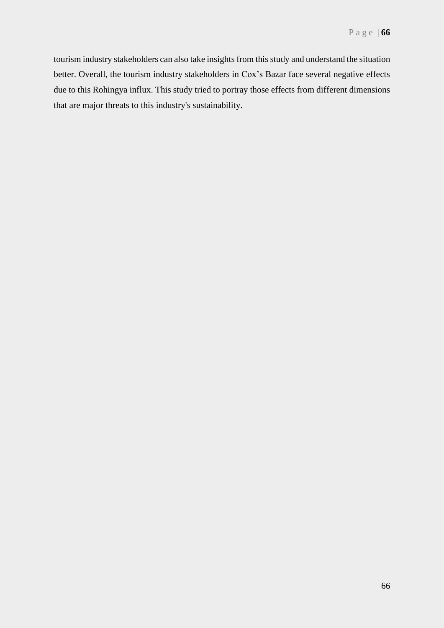tourism industry stakeholders can also take insights from this study and understand the situation better. Overall, the tourism industry stakeholders in Cox's Bazar face several negative effects due to this Rohingya influx. This study tried to portray those effects from different dimensions that are major threats to this industry's sustainability.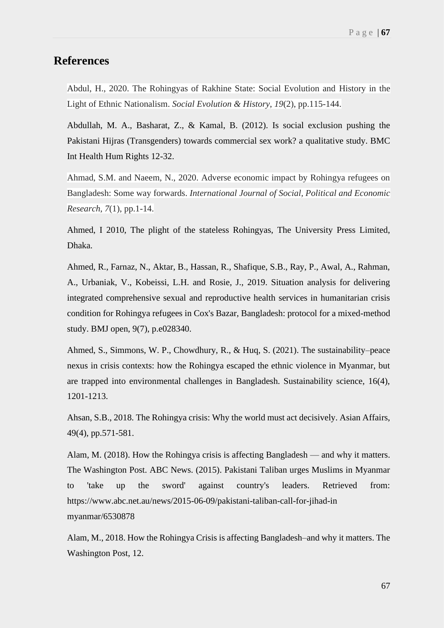# **References**

Abdul, H., 2020. The Rohingyas of Rakhine State: Social Evolution and History in the Light of Ethnic Nationalism. *Social Evolution & History*, *19*(2), pp.115-144.

Abdullah, M. A., Basharat, Z., & Kamal, B. (2012). Is social exclusion pushing the Pakistani Hijras (Transgenders) towards commercial sex work? a qualitative study. BMC Int Health Hum Rights 12-32.

Ahmad, S.M. and Naeem, N., 2020. Adverse economic impact by Rohingya refugees on Bangladesh: Some way forwards. *International Journal of Social, Political and Economic Research*, *7*(1), pp.1-14.

Ahmed, I 2010, The plight of the stateless Rohingyas, The University Press Limited, Dhaka.

Ahmed, R., Farnaz, N., Aktar, B., Hassan, R., Shafique, S.B., Ray, P., Awal, A., Rahman, A., Urbaniak, V., Kobeissi, L.H. and Rosie, J., 2019. Situation analysis for delivering integrated comprehensive sexual and reproductive health services in humanitarian crisis condition for Rohingya refugees in Cox's Bazar, Bangladesh: protocol for a mixed-method study. BMJ open, 9(7), p.e028340.

Ahmed, S., Simmons, W. P., Chowdhury, R., & Huq, S. (2021). The sustainability–peace nexus in crisis contexts: how the Rohingya escaped the ethnic violence in Myanmar, but are trapped into environmental challenges in Bangladesh. Sustainability science, 16(4), 1201-1213.

Ahsan, S.B., 2018. The Rohingya crisis: Why the world must act decisively. Asian Affairs, 49(4), pp.571-581.

Alam, M. (2018). How the Rohingya crisis is affecting Bangladesh — and why it matters. The Washington Post. ABC News. (2015). Pakistani Taliban urges Muslims in Myanmar to 'take up the sword' against country's leaders. Retrieved from: https://www.abc.net.au/news/2015-06-09/pakistani-taliban-call-for-jihad-in myanmar/6530878

Alam, M., 2018. How the Rohingya Crisis is affecting Bangladesh–and why it matters. The Washington Post, 12.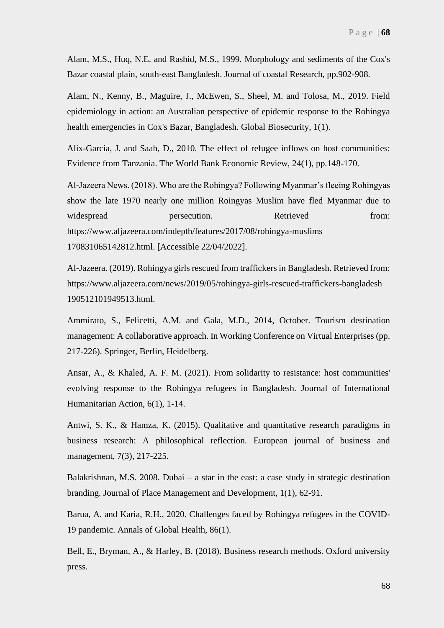Alam, M.S., Huq, N.E. and Rashid, M.S., 1999. Morphology and sediments of the Cox's Bazar coastal plain, south-east Bangladesh. Journal of coastal Research, pp.902-908.

Alam, N., Kenny, B., Maguire, J., McEwen, S., Sheel, M. and Tolosa, M., 2019. Field epidemiology in action: an Australian perspective of epidemic response to the Rohingya health emergencies in Cox's Bazar, Bangladesh. Global Biosecurity, 1(1).

Alix-Garcia, J. and Saah, D., 2010. The effect of refugee inflows on host communities: Evidence from Tanzania. The World Bank Economic Review, 24(1), pp.148-170.

Al-Jazeera News. (2018). Who are the Rohingya? Following Myanmar's fleeing Rohingyas show the late 1970 nearly one million Roingyas Muslim have fled Myanmar due to widespread persecution. Retrieved from: https://www.aljazeera.com/indepth/features/2017/08/rohingya-muslims 170831065142812.html. [Accessible 22/04/2022].

Al-Jazeera. (2019). Rohingya girls rescued from traffickers in Bangladesh. Retrieved from: https://www.aljazeera.com/news/2019/05/rohingya-girls-rescued-traffickers-bangladesh 190512101949513.html.

Ammirato, S., Felicetti, A.M. and Gala, M.D., 2014, October. Tourism destination management: A collaborative approach. In Working Conference on Virtual Enterprises (pp. 217-226). Springer, Berlin, Heidelberg.

Ansar, A., & Khaled, A. F. M. (2021). From solidarity to resistance: host communities' evolving response to the Rohingya refugees in Bangladesh. Journal of International Humanitarian Action, 6(1), 1-14.

Antwi, S. K., & Hamza, K. (2015). Qualitative and quantitative research paradigms in business research: A philosophical reflection. European journal of business and management, 7(3), 217-225.

Balakrishnan, M.S. 2008. Dubai – a star in the east: a case study in strategic destination branding. Journal of Place Management and Development, 1(1), 62-91.

Barua, A. and Karia, R.H., 2020. Challenges faced by Rohingya refugees in the COVID-19 pandemic. Annals of Global Health, 86(1).

Bell, E., Bryman, A., & Harley, B. (2018). Business research methods. Oxford university press.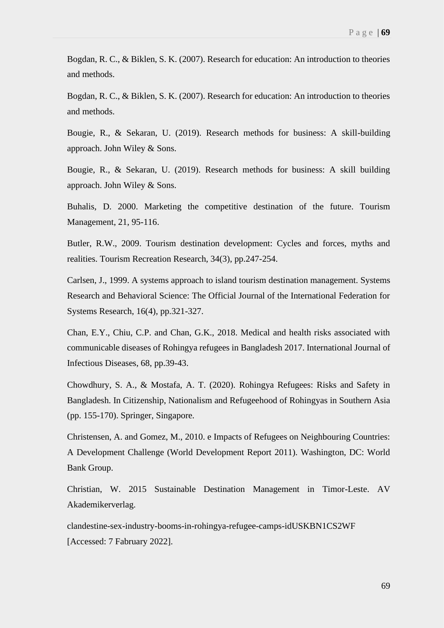Bogdan, R. C., & Biklen, S. K. (2007). Research for education: An introduction to theories and methods.

Bogdan, R. C., & Biklen, S. K. (2007). Research for education: An introduction to theories and methods.

Bougie, R., & Sekaran, U. (2019). Research methods for business: A skill-building approach. John Wiley & Sons.

Bougie, R., & Sekaran, U. (2019). Research methods for business: A skill building approach. John Wiley & Sons.

Buhalis, D. 2000. Marketing the competitive destination of the future. Tourism Management, 21, 95-116.

Butler, R.W., 2009. Tourism destination development: Cycles and forces, myths and realities. Tourism Recreation Research, 34(3), pp.247-254.

Carlsen, J., 1999. A systems approach to island tourism destination management. Systems Research and Behavioral Science: The Official Journal of the International Federation for Systems Research, 16(4), pp.321-327.

Chan, E.Y., Chiu, C.P. and Chan, G.K., 2018. Medical and health risks associated with communicable diseases of Rohingya refugees in Bangladesh 2017. International Journal of Infectious Diseases, 68, pp.39-43.

Chowdhury, S. A., & Mostafa, A. T. (2020). Rohingya Refugees: Risks and Safety in Bangladesh. In Citizenship, Nationalism and Refugeehood of Rohingyas in Southern Asia (pp. 155-170). Springer, Singapore.

Christensen, A. and Gomez, M., 2010. e Impacts of Refugees on Neighbouring Countries: A Development Challenge (World Development Report 2011). Washington, DC: World Bank Group.

Christian, W. 2015 Sustainable Destination Management in Timor-Leste. AV Akademikerverlag.

clandestine-sex-industry-booms-in-rohingya-refugee-camps-idUSKBN1CS2WF [Accessed: 7 Fabruary 2022].

69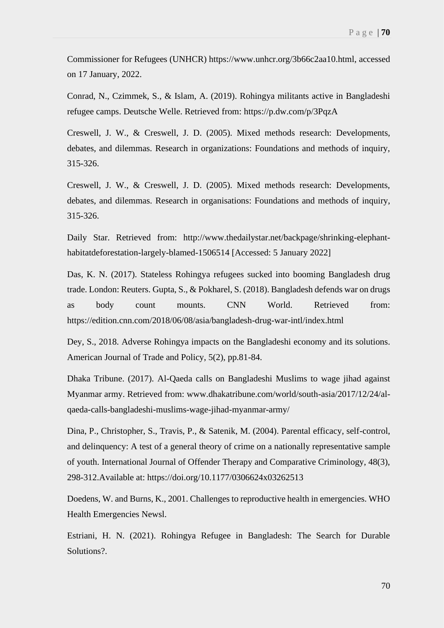Commissioner for Refugees (UNHCR) https://www.unhcr.org/3b66c2aa10.html, accessed on 17 January, 2022.

Conrad, N., Czimmek, S., & Islam, A. (2019). Rohingya militants active in Bangladeshi refugee camps. Deutsche Welle. Retrieved from: https://p.dw.com/p/3PqzA

Creswell, J. W., & Creswell, J. D. (2005). Mixed methods research: Developments, debates, and dilemmas. Research in organizations: Foundations and methods of inquiry, 315-326.

Creswell, J. W., & Creswell, J. D. (2005). Mixed methods research: Developments, debates, and dilemmas. Research in organisations: Foundations and methods of inquiry, 315-326.

Daily Star. Retrieved from: http://www.thedailystar.net/backpage/shrinking-elephanthabitatdeforestation-largely-blamed-1506514 [Accessed: 5 January 2022]

Das, K. N. (2017). Stateless Rohingya refugees sucked into booming Bangladesh drug trade. London: Reuters. Gupta, S., & Pokharel, S. (2018). Bangladesh defends war on drugs as body count mounts. CNN World. Retrieved from: https://edition.cnn.com/2018/06/08/asia/bangladesh-drug-war-intl/index.html

Dey, S., 2018. Adverse Rohingya impacts on the Bangladeshi economy and its solutions. American Journal of Trade and Policy, 5(2), pp.81-84.

Dhaka Tribune. (2017). Al-Qaeda calls on Bangladeshi Muslims to wage jihad against Myanmar army. Retrieved from: www.dhakatribune.com/world/south-asia/2017/12/24/alqaeda-calls-bangladeshi-muslims-wage-jihad-myanmar-army/

Dina, P., Christopher, S., Travis, P., & Satenik, M. (2004). Parental efficacy, self-control, and delinquency: A test of a general theory of crime on a nationally representative sample of youth. International Journal of Offender Therapy and Comparative Criminology, 48(3), 298-312.Available at: https://doi.org/10.1177/0306624x03262513

Doedens, W. and Burns, K., 2001. Challenges to reproductive health in emergencies. WHO Health Emergencies Newsl.

Estriani, H. N. (2021). Rohingya Refugee in Bangladesh: The Search for Durable Solutions?.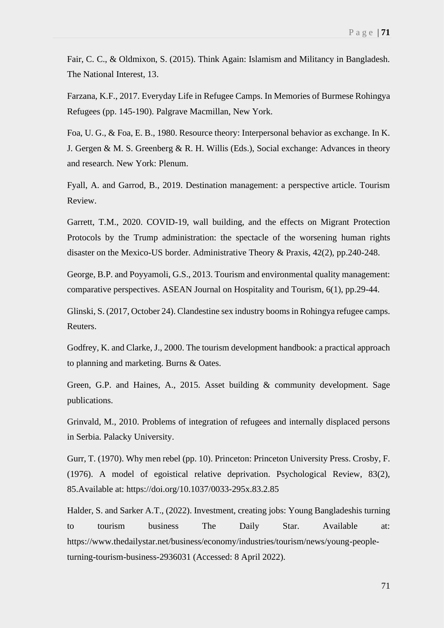Fair, C. C., & Oldmixon, S. (2015). Think Again: Islamism and Militancy in Bangladesh. The National Interest, 13.

Farzana, K.F., 2017. Everyday Life in Refugee Camps. In Memories of Burmese Rohingya Refugees (pp. 145-190). Palgrave Macmillan, New York.

Foa, U. G., & Foa, E. B., 1980. Resource theory: Interpersonal behavior as exchange. In K. J. Gergen & M. S. Greenberg & R. H. Willis (Eds.), Social exchange: Advances in theory and research. New York: Plenum.

Fyall, A. and Garrod, B., 2019. Destination management: a perspective article. Tourism Review.

Garrett, T.M., 2020. COVID-19, wall building, and the effects on Migrant Protection Protocols by the Trump administration: the spectacle of the worsening human rights disaster on the Mexico-US border. Administrative Theory & Praxis, 42(2), pp.240-248.

George, B.P. and Poyyamoli, G.S., 2013. Tourism and environmental quality management: comparative perspectives. ASEAN Journal on Hospitality and Tourism, 6(1), pp.29-44.

Glinski, S. (2017, October 24). Clandestine sex industry booms in Rohingya refugee camps. Reuters.

Godfrey, K. and Clarke, J., 2000. The tourism development handbook: a practical approach to planning and marketing. Burns & Oates.

Green, G.P. and Haines, A., 2015. Asset building & community development. Sage publications.

Grinvald, M., 2010. Problems of integration of refugees and internally displaced persons in Serbia. Palacky University.

Gurr, T. (1970). Why men rebel (pp. 10). Princeton: Princeton University Press. Crosby, F. (1976). A model of egoistical relative deprivation. Psychological Review, 83(2), 85.Available at: https://doi.org/10.1037/0033-295x.83.2.85

Halder, S. and Sarker A.T., (2022). Investment, creating jobs: Young Bangladeshis turning to tourism business The Daily Star. Available at: https://www.thedailystar.net/business/economy/industries/tourism/news/young-peopleturning-tourism-business-2936031 (Accessed: 8 April 2022).

71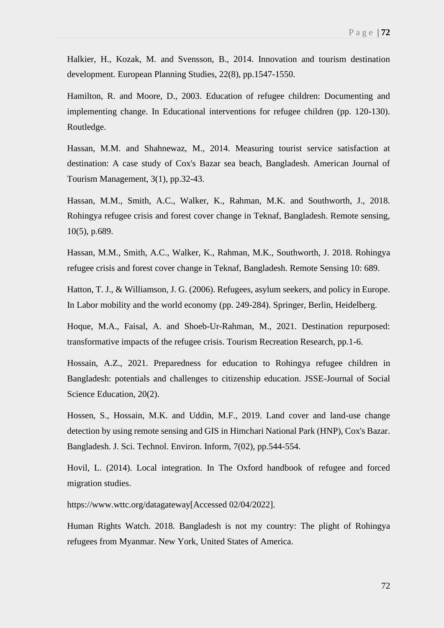Halkier, H., Kozak, M. and Svensson, B., 2014. Innovation and tourism destination development. European Planning Studies, 22(8), pp.1547-1550.

Hamilton, R. and Moore, D., 2003. Education of refugee children: Documenting and implementing change. In Educational interventions for refugee children (pp. 120-130). Routledge.

Hassan, M.M. and Shahnewaz, M., 2014. Measuring tourist service satisfaction at destination: A case study of Cox's Bazar sea beach, Bangladesh. American Journal of Tourism Management, 3(1), pp.32-43.

Hassan, M.M., Smith, A.C., Walker, K., Rahman, M.K. and Southworth, J., 2018. Rohingya refugee crisis and forest cover change in Teknaf, Bangladesh. Remote sensing, 10(5), p.689.

Hassan, M.M., Smith, A.C., Walker, K., Rahman, M.K., Southworth, J. 2018. Rohingya refugee crisis and forest cover change in Teknaf, Bangladesh. Remote Sensing 10: 689.

Hatton, T. J., & Williamson, J. G. (2006). Refugees, asylum seekers, and policy in Europe. In Labor mobility and the world economy (pp. 249-284). Springer, Berlin, Heidelberg.

Hoque, M.A., Faisal, A. and Shoeb-Ur-Rahman, M., 2021. Destination repurposed: transformative impacts of the refugee crisis. Tourism Recreation Research, pp.1-6.

Hossain, A.Z., 2021. Preparedness for education to Rohingya refugee children in Bangladesh: potentials and challenges to citizenship education. JSSE-Journal of Social Science Education, 20(2).

Hossen, S., Hossain, M.K. and Uddin, M.F., 2019. Land cover and land-use change detection by using remote sensing and GIS in Himchari National Park (HNP), Cox's Bazar. Bangladesh. J. Sci. Technol. Environ. Inform, 7(02), pp.544-554.

Hovil, L. (2014). Local integration. In The Oxford handbook of refugee and forced migration studies.

https://www.wttc.org/datagateway[Accessed 02/04/2022].

Human Rights Watch. 2018. Bangladesh is not my country: The plight of Rohingya refugees from Myanmar. New York, United States of America.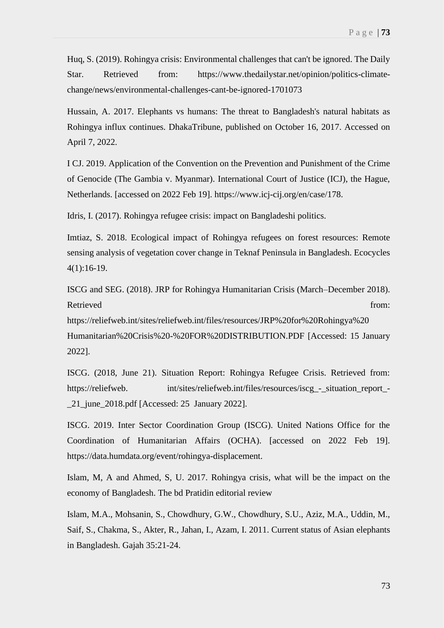Huq, S. (2019). Rohingya crisis: Environmental challenges that can't be ignored. The Daily Star. Retrieved from: https://www.thedailystar.net/opinion/politics-climatechange/news/environmental-challenges-cant-be-ignored-1701073

Hussain, A. 2017. Elephants vs humans: The threat to Bangladesh's natural habitats as Rohingya influx continues. DhakaTribune, published on October 16, 2017. Accessed on April 7, 2022.

I CJ. 2019. Application of the Convention on the Prevention and Punishment of the Crime of Genocide (The Gambia v. Myanmar). International Court of Justice (ICJ), the Hague, Netherlands. [accessed on 2022 Feb 19]. https://www.icj-cij.org/en/case/178.

Idris, I. (2017). Rohingya refugee crisis: impact on Bangladeshi politics.

Imtiaz, S. 2018. Ecological impact of Rohingya refugees on forest resources: Remote sensing analysis of vegetation cover change in Teknaf Peninsula in Bangladesh. Ecocycles 4(1):16-19.

ISCG and SEG. (2018). JRP for Rohingya Humanitarian Crisis (March–December 2018). Retrieved from: the contract of the contract of the contract of the contract of the contract of the contract of the contract of the contract of the contract of the contract of the contract of the contract of the contract o https://reliefweb.int/sites/reliefweb.int/files/resources/JRP%20for%20Rohingya%20 Humanitarian%20Crisis%20-%20FOR%20DISTRIBUTION.PDF [Accessed: 15 January 2022].

ISCG. (2018, June 21). Situation Report: Rohingya Refugee Crisis. Retrieved from: https://reliefweb. int/sites/reliefweb.int/files/resources/iscg\_-\_situation\_report\_- \_21\_june\_2018.pdf [Accessed: 25 January 2022].

ISCG. 2019. Inter Sector Coordination Group (ISCG). United Nations Office for the Coordination of Humanitarian Affairs (OCHA). [accessed on 2022 Feb 19]. https://data.humdata.org/event/rohingya-displacement.

Islam, M, A and Ahmed, S, U. 2017. Rohingya crisis, what will be the impact on the economy of Bangladesh. The bd Pratidin editorial review

Islam, M.A., Mohsanin, S., Chowdhury, G.W., Chowdhury, S.U., Aziz, M.A., Uddin, M., Saif, S., Chakma, S., Akter, R., Jahan, I., Azam, I. 2011. Current status of Asian elephants in Bangladesh. Gajah 35:21-24.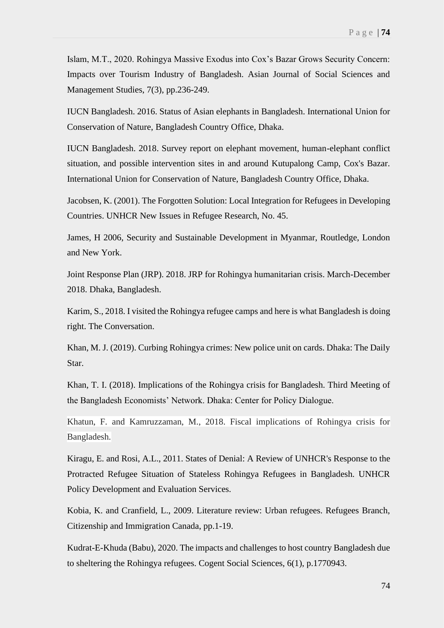Islam, M.T., 2020. Rohingya Massive Exodus into Cox's Bazar Grows Security Concern: Impacts over Tourism Industry of Bangladesh. Asian Journal of Social Sciences and Management Studies, 7(3), pp.236-249.

IUCN Bangladesh. 2016. Status of Asian elephants in Bangladesh. International Union for Conservation of Nature, Bangladesh Country Office, Dhaka.

IUCN Bangladesh. 2018. Survey report on elephant movement, human-elephant conflict situation, and possible intervention sites in and around Kutupalong Camp, Cox's Bazar. International Union for Conservation of Nature, Bangladesh Country Office, Dhaka.

Jacobsen, K. (2001). The Forgotten Solution: Local Integration for Refugees in Developing Countries. UNHCR New Issues in Refugee Research, No. 45.

James, H 2006, Security and Sustainable Development in Myanmar, Routledge, London and New York.

Joint Response Plan (JRP). 2018. JRP for Rohingya humanitarian crisis. March-December 2018. Dhaka, Bangladesh.

Karim, S., 2018. I visited the Rohingya refugee camps and here is what Bangladesh is doing right. The Conversation.

Khan, M. J. (2019). Curbing Rohingya crimes: New police unit on cards. Dhaka: The Daily Star.

Khan, T. I. (2018). Implications of the Rohingya crisis for Bangladesh. Third Meeting of the Bangladesh Economists' Network. Dhaka: Center for Policy Dialogue.

Khatun, F. and Kamruzzaman, M., 2018. Fiscal implications of Rohingya crisis for Bangladesh.

Kiragu, E. and Rosi, A.L., 2011. States of Denial: A Review of UNHCR's Response to the Protracted Refugee Situation of Stateless Rohingya Refugees in Bangladesh. UNHCR Policy Development and Evaluation Services.

Kobia, K. and Cranfield, L., 2009. Literature review: Urban refugees. Refugees Branch, Citizenship and Immigration Canada, pp.1-19.

Kudrat-E-Khuda (Babu), 2020. The impacts and challenges to host country Bangladesh due to sheltering the Rohingya refugees. Cogent Social Sciences, 6(1), p.1770943.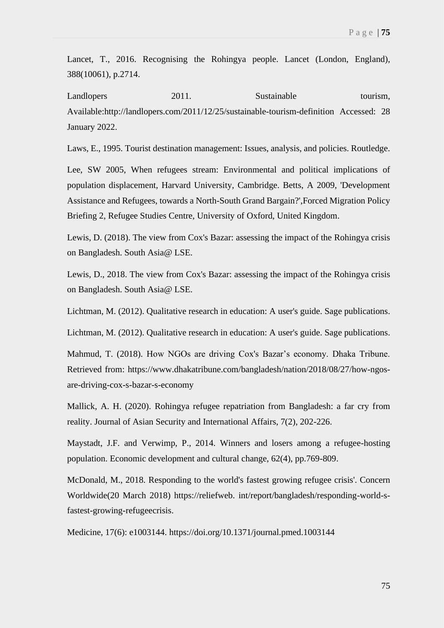Lancet, T., 2016. Recognising the Rohingya people. Lancet (London, England), 388(10061), p.2714.

Landlopers 2011. Sustainable tourism, Available:http://landlopers.com/2011/12/25/sustainable-tourism-definition Accessed: 28 January 2022.

Laws, E., 1995. Tourist destination management: Issues, analysis, and policies. Routledge.

Lee, SW 2005, When refugees stream: Environmental and political implications of population displacement, Harvard University, Cambridge. Betts, A 2009, 'Development Assistance and Refugees, towards a North-South Grand Bargain?',Forced Migration Policy Briefing 2, Refugee Studies Centre, University of Oxford, United Kingdom.

Lewis, D. (2018). The view from Cox's Bazar: assessing the impact of the Rohingya crisis on Bangladesh. South Asia@ LSE.

Lewis, D., 2018. The view from Cox's Bazar: assessing the impact of the Rohingya crisis on Bangladesh. South Asia@ LSE.

Lichtman, M. (2012). Qualitative research in education: A user's guide. Sage publications.

Lichtman, M. (2012). Qualitative research in education: A user's guide. Sage publications.

Mahmud, T. (2018). How NGOs are driving Cox's Bazar's economy. Dhaka Tribune. Retrieved from: https://www.dhakatribune.com/bangladesh/nation/2018/08/27/how-ngosare-driving-cox-s-bazar-s-economy

Mallick, A. H. (2020). Rohingya refugee repatriation from Bangladesh: a far cry from reality. Journal of Asian Security and International Affairs, 7(2), 202-226.

Maystadt, J.F. and Verwimp, P., 2014. Winners and losers among a refugee-hosting population. Economic development and cultural change, 62(4), pp.769-809.

McDonald, M., 2018. Responding to the world's fastest growing refugee crisis'. Concern Worldwide(20 March 2018) https://reliefweb. int/report/bangladesh/responding-world-sfastest-growing-refugeecrisis.

Medicine, 17(6): e1003144. https://doi.org/10.1371/journal.pmed.1003144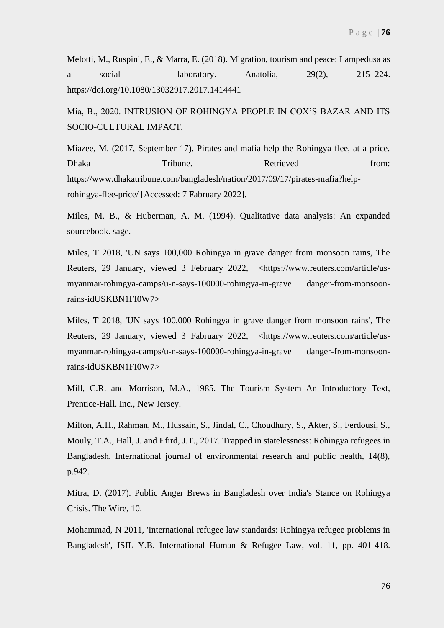Melotti, M., Ruspini, E., & Marra, E. (2018). Migration, tourism and peace: Lampedusa as a social laboratory. Anatolia, 29(2), 215–224. https://doi.org/10.1080/13032917.2017.1414441

Mia, B., 2020. INTRUSION OF ROHINGYA PEOPLE IN COX'S BAZAR AND ITS SOCIO-CULTURAL IMPACT.

Miazee, M. (2017, September 17). Pirates and mafia help the Rohingya flee, at a price. Dhaka Tribune. Retrieved from: https://www.dhakatribune.com/bangladesh/nation/2017/09/17/pirates-mafia?helprohingya-flee-price/ [Accessed: 7 Fabruary 2022].

Miles, M. B., & Huberman, A. M. (1994). Qualitative data analysis: An expanded sourcebook. sage.

Miles, T 2018, 'UN says 100,000 Rohingya in grave danger from monsoon rains, The Reuters, 29 January, viewed 3 February 2022, <https://www.reuters.com/article/usmyanmar-rohingya-camps/u-n-says-100000-rohingya-in-grave danger-from-monsoonrains-idUSKBN1FI0W7>

Miles, T 2018, 'UN says 100,000 Rohingya in grave danger from monsoon rains', The Reuters, 29 January, viewed 3 Fabruary 2022, <https://www.reuters.com/article/usmyanmar-rohingya-camps/u-n-says-100000-rohingya-in-grave danger-from-monsoonrains-idUSKBN1FI0W7>

Mill, C.R. and Morrison, M.A., 1985. The Tourism System–An Introductory Text, Prentice-Hall. Inc., New Jersey.

Milton, A.H., Rahman, M., Hussain, S., Jindal, C., Choudhury, S., Akter, S., Ferdousi, S., Mouly, T.A., Hall, J. and Efird, J.T., 2017. Trapped in statelessness: Rohingya refugees in Bangladesh. International journal of environmental research and public health, 14(8), p.942.

Mitra, D. (2017). Public Anger Brews in Bangladesh over India's Stance on Rohingya Crisis. The Wire, 10.

Mohammad, N 2011, 'International refugee law standards: Rohingya refugee problems in Bangladesh', ISIL Y.B. International Human & Refugee Law, vol. 11, pp. 401-418.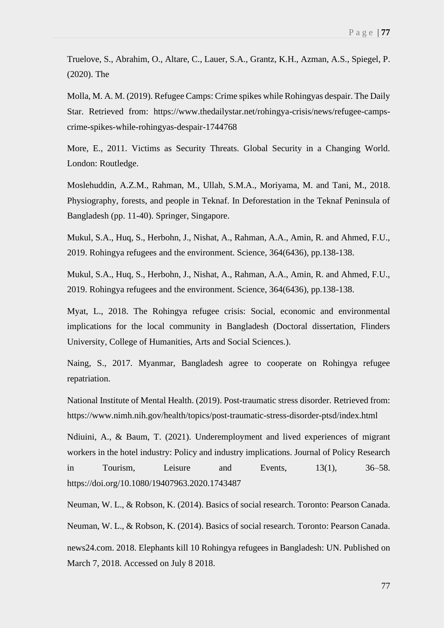Truelove, S., Abrahim, O., Altare, C., Lauer, S.A., Grantz, K.H., Azman, A.S., Spiegel, P. (2020). The

Molla, M. A. M. (2019). Refugee Camps: Crime spikes while Rohingyas despair. The Daily Star. Retrieved from: https://www.thedailystar.net/rohingya-crisis/news/refugee-campscrime-spikes-while-rohingyas-despair-1744768

More, E., 2011. Victims as Security Threats. Global Security in a Changing World. London: Routledge.

Moslehuddin, A.Z.M., Rahman, M., Ullah, S.M.A., Moriyama, M. and Tani, M., 2018. Physiography, forests, and people in Teknaf. In Deforestation in the Teknaf Peninsula of Bangladesh (pp. 11-40). Springer, Singapore.

Mukul, S.A., Huq, S., Herbohn, J., Nishat, A., Rahman, A.A., Amin, R. and Ahmed, F.U., 2019. Rohingya refugees and the environment. Science, 364(6436), pp.138-138.

Mukul, S.A., Huq, S., Herbohn, J., Nishat, A., Rahman, A.A., Amin, R. and Ahmed, F.U., 2019. Rohingya refugees and the environment. Science, 364(6436), pp.138-138.

Myat, L., 2018. The Rohingya refugee crisis: Social, economic and environmental implications for the local community in Bangladesh (Doctoral dissertation, Flinders University, College of Humanities, Arts and Social Sciences.).

Naing, S., 2017. Myanmar, Bangladesh agree to cooperate on Rohingya refugee repatriation.

National Institute of Mental Health. (2019). Post-traumatic stress disorder. Retrieved from: https://www.nimh.nih.gov/health/topics/post-traumatic-stress-disorder-ptsd/index.html

Ndiuini, A., & Baum, T. (2021). Underemployment and lived experiences of migrant workers in the hotel industry: Policy and industry implications. Journal of Policy Research in Tourism, Leisure and Events, 13(1), 36–58. https://doi.org/10.1080/19407963.2020.1743487

Neuman, W. L., & Robson, K. (2014). Basics of social research. Toronto: Pearson Canada. Neuman, W. L., & Robson, K. (2014). Basics of social research. Toronto: Pearson Canada. news24.com. 2018. Elephants kill 10 Rohingya refugees in Bangladesh: UN. Published on March 7, 2018. Accessed on July 8 2018.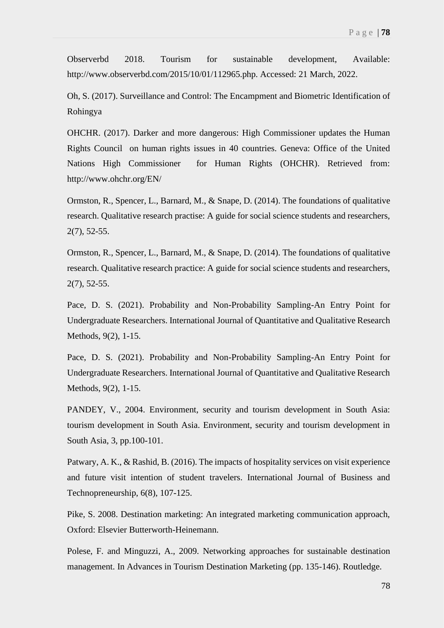Observerbd 2018. Tourism for sustainable development, Available: http://www.observerbd.com/2015/10/01/112965.php. Accessed: 21 March, 2022.

Oh, S. (2017). Surveillance and Control: The Encampment and Biometric Identification of Rohingya

OHCHR. (2017). Darker and more dangerous: High Commissioner updates the Human Rights Council on human rights issues in 40 countries. Geneva: Office of the United Nations High Commissioner for Human Rights (OHCHR). Retrieved from: http://www.ohchr.org/EN/

Ormston, R., Spencer, L., Barnard, M., & Snape, D. (2014). The foundations of qualitative research. Qualitative research practise: A guide for social science students and researchers, 2(7), 52-55.

Ormston, R., Spencer, L., Barnard, M., & Snape, D. (2014). The foundations of qualitative research. Qualitative research practice: A guide for social science students and researchers, 2(7), 52-55.

Pace, D. S. (2021). Probability and Non-Probability Sampling-An Entry Point for Undergraduate Researchers. International Journal of Quantitative and Qualitative Research Methods, 9(2), 1-15.

Pace, D. S. (2021). Probability and Non-Probability Sampling-An Entry Point for Undergraduate Researchers. International Journal of Quantitative and Qualitative Research Methods, 9(2), 1-15.

PANDEY, V., 2004. Environment, security and tourism development in South Asia: tourism development in South Asia. Environment, security and tourism development in South Asia, 3, pp.100-101.

Patwary, A. K., & Rashid, B. (2016). The impacts of hospitality services on visit experience and future visit intention of student travelers. International Journal of Business and Technopreneurship, 6(8), 107-125.

Pike, S. 2008. Destination marketing: An integrated marketing communication approach, Oxford: Elsevier Butterworth-Heinemann.

Polese, F. and Minguzzi, A., 2009. Networking approaches for sustainable destination management. In Advances in Tourism Destination Marketing (pp. 135-146). Routledge.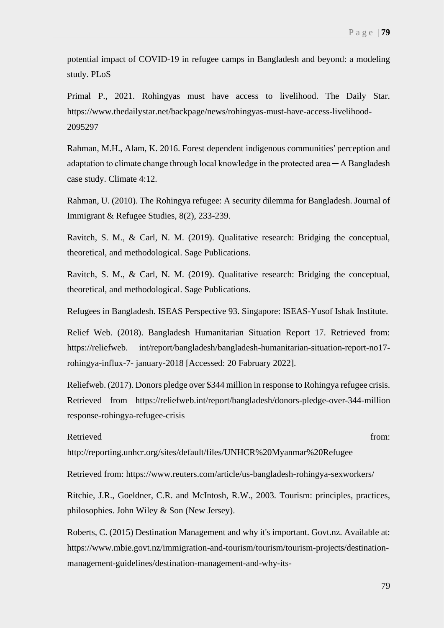potential impact of COVID-19 in refugee camps in Bangladesh and beyond: a modeling study. PLoS

Primal P., 2021. Rohingyas must have access to livelihood. The Daily Star. https://www.thedailystar.net/backpage/news/rohingyas-must-have-access-livelihood-2095297

Rahman, M.H., Alam, K. 2016. Forest dependent indigenous communities' perception and adaptation to climate change through local knowledge in the protected area  $-A$  Bangladesh case study. Climate 4:12.

Rahman, U. (2010). The Rohingya refugee: A security dilemma for Bangladesh. Journal of Immigrant & Refugee Studies, 8(2), 233-239.

Ravitch, S. M., & Carl, N. M. (2019). Qualitative research: Bridging the conceptual, theoretical, and methodological. Sage Publications.

Ravitch, S. M., & Carl, N. M. (2019). Qualitative research: Bridging the conceptual, theoretical, and methodological. Sage Publications.

Refugees in Bangladesh. ISEAS Perspective 93. Singapore: ISEAS-Yusof Ishak Institute.

Relief Web. (2018). Bangladesh Humanitarian Situation Report 17. Retrieved from: https://reliefweb. int/report/bangladesh/bangladesh-humanitarian-situation-report-no17 rohingya-influx-7- january-2018 [Accessed: 20 Fabruary 2022].

Reliefweb. (2017). Donors pledge over \$344 million in response to Rohingya refugee crisis. Retrieved from https://reliefweb.int/report/bangladesh/donors-pledge-over-344-million response-rohingya-refugee-crisis

Retrieved from: the contract of the contract of the contract of the contract of the contract of the contract of the contract of the contract of the contract of the contract of the contract of the contract of the contract o

http://reporting.unhcr.org/sites/default/files/UNHCR%20Myanmar%20Refugee

Retrieved from: https://www.reuters.com/article/us-bangladesh-rohingya-sexworkers/

Ritchie, J.R., Goeldner, C.R. and McIntosh, R.W., 2003. Tourism: principles, practices, philosophies. John Wiley & Son (New Jersey).

Roberts, C. (2015) Destination Management and why it's important. Govt.nz. Available at: https://www.mbie.govt.nz/immigration-and-tourism/tourism/tourism-projects/destinationmanagement-guidelines/destination-management-and-why-its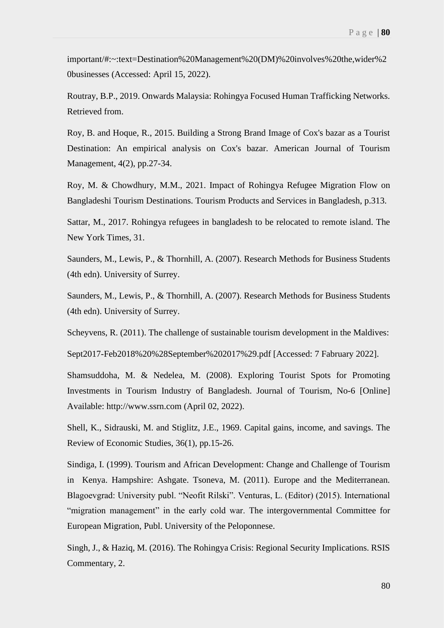important/#:~:text=Destination%20Management%20(DM)%20involves%20the,wider%2 0businesses (Accessed: April 15, 2022).

Routray, B.P., 2019. Onwards Malaysia: Rohingya Focused Human Trafficking Networks. Retrieved from.

Roy, B. and Hoque, R., 2015. Building a Strong Brand Image of Cox's bazar as a Tourist Destination: An empirical analysis on Cox's bazar. American Journal of Tourism Management, 4(2), pp.27-34.

Roy, M. & Chowdhury, M.M., 2021. Impact of Rohingya Refugee Migration Flow on Bangladeshi Tourism Destinations. Tourism Products and Services in Bangladesh, p.313.

Sattar, M., 2017. Rohingya refugees in bangladesh to be relocated to remote island. The New York Times, 31.

Saunders, M., Lewis, P., & Thornhill, A. (2007). Research Methods for Business Students (4th edn). University of Surrey.

Saunders, M., Lewis, P., & Thornhill, A. (2007). Research Methods for Business Students (4th edn). University of Surrey.

Scheyvens, R. (2011). The challenge of sustainable tourism development in the Maldives:

Sept2017-Feb2018%20%28September%202017%29.pdf [Accessed: 7 Fabruary 2022].

Shamsuddoha, M. & Nedelea, M. (2008). Exploring Tourist Spots for Promoting Investments in Tourism Industry of Bangladesh. Journal of Tourism, No-6 [Online] Available: http://www.ssrn.com (April 02, 2022).

Shell, K., Sidrauski, M. and Stiglitz, J.E., 1969. Capital gains, income, and savings. The Review of Economic Studies, 36(1), pp.15-26.

Sindiga, I. (1999). Tourism and African Development: Change and Challenge of Tourism in Kenya. Hampshire: Ashgate. Tsoneva, M. (2011). Europe and the Mediterranean. Blagoevgrad: University publ. "Neofit Rilski". Venturas, L. (Editor) (2015). International "migration management" in the early cold war. The intergovernmental Committee for European Migration, Publ. University of the Peloponnese.

Singh, J., & Haziq, M. (2016). The Rohingya Crisis: Regional Security Implications. RSIS Commentary, 2.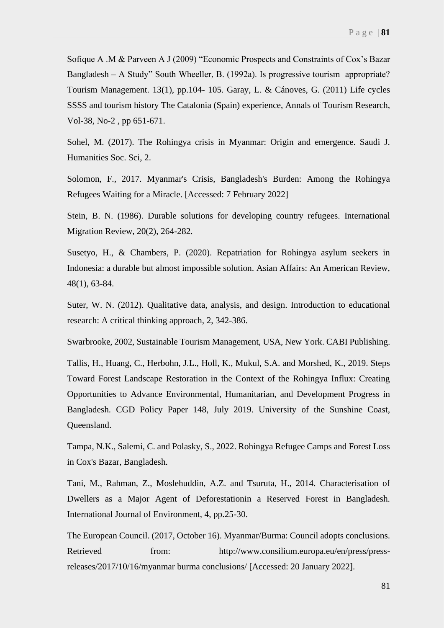Sofique A .M & Parveen A J (2009) "Economic Prospects and Constraints of Cox's Bazar Bangladesh – A Study" South Wheeller, B. (1992a). Is progressive tourism appropriate? Tourism Management. 13(1), pp.104- 105. Garay, L. & Cánoves, G. (2011) Life cycles SSSS and tourism history The Catalonia (Spain) experience, Annals of Tourism Research, Vol-38, No-2 , pp 651-671.

Sohel, M. (2017). The Rohingya crisis in Myanmar: Origin and emergence. Saudi J. Humanities Soc. Sci, 2.

Solomon, F., 2017. Myanmar's Crisis, Bangladesh's Burden: Among the Rohingya Refugees Waiting for a Miracle. [Accessed: 7 February 2022]

Stein, B. N. (1986). Durable solutions for developing country refugees. International Migration Review, 20(2), 264-282.

Susetyo, H., & Chambers, P. (2020). Repatriation for Rohingya asylum seekers in Indonesia: a durable but almost impossible solution. Asian Affairs: An American Review, 48(1), 63-84.

Suter, W. N. (2012). Qualitative data, analysis, and design. Introduction to educational research: A critical thinking approach, 2, 342-386.

Swarbrooke, 2002, Sustainable Tourism Management, USA, New York. CABI Publishing.

Tallis, H., Huang, C., Herbohn, J.L., Holl, K., Mukul, S.A. and Morshed, K., 2019. Steps Toward Forest Landscape Restoration in the Context of the Rohingya Influx: Creating Opportunities to Advance Environmental, Humanitarian, and Development Progress in Bangladesh. CGD Policy Paper 148, July 2019. University of the Sunshine Coast, Queensland.

Tampa, N.K., Salemi, C. and Polasky, S., 2022. Rohingya Refugee Camps and Forest Loss in Cox's Bazar, Bangladesh.

Tani, M., Rahman, Z., Moslehuddin, A.Z. and Tsuruta, H., 2014. Characterisation of Dwellers as a Major Agent of Deforestationin a Reserved Forest in Bangladesh. International Journal of Environment, 4, pp.25-30.

The European Council. (2017, October 16). Myanmar/Burma: Council adopts conclusions. Retrieved from: http://www.consilium.europa.eu/en/press/pressreleases/2017/10/16/myanmar burma conclusions/ [Accessed: 20 January 2022].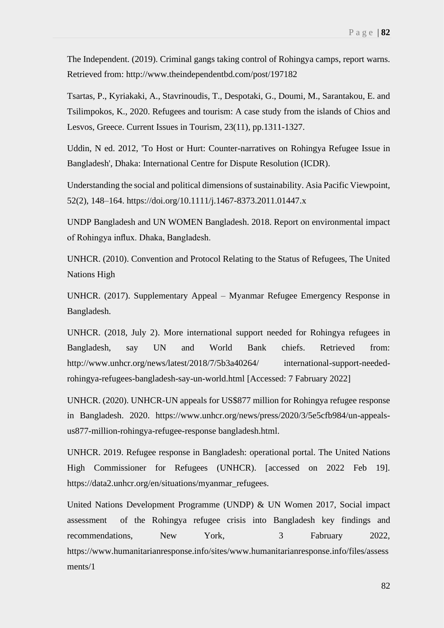The Independent. (2019). Criminal gangs taking control of Rohingya camps, report warns. Retrieved from: http://www.theindependentbd.com/post/197182

Tsartas, P., Kyriakaki, A., Stavrinoudis, T., Despotaki, G., Doumi, M., Sarantakou, E. and Tsilimpokos, K., 2020. Refugees and tourism: A case study from the islands of Chios and Lesvos, Greece. Current Issues in Tourism, 23(11), pp.1311-1327.

Uddin, N ed. 2012, 'To Host or Hurt: Counter-narratives on Rohingya Refugee Issue in Bangladesh', Dhaka: International Centre for Dispute Resolution (ICDR).

Understanding the social and political dimensions of sustainability. Asia Pacific Viewpoint, 52(2), 148–164. https://doi.org/10.1111/j.1467-8373.2011.01447.x

UNDP Bangladesh and UN WOMEN Bangladesh. 2018. Report on environmental impact of Rohingya influx. Dhaka, Bangladesh.

UNHCR. (2010). Convention and Protocol Relating to the Status of Refugees, The United Nations High

UNHCR. (2017). Supplementary Appeal – Myanmar Refugee Emergency Response in Bangladesh.

UNHCR. (2018, July 2). More international support needed for Rohingya refugees in Bangladesh, say UN and World Bank chiefs. Retrieved from: http://www.unhcr.org/news/latest/2018/7/5b3a40264/ international-support-neededrohingya-refugees-bangladesh-say-un-world.html [Accessed: 7 Fabruary 2022]

UNHCR. (2020). UNHCR-UN appeals for US\$877 million for Rohingya refugee response in Bangladesh. 2020. https://www.unhcr.org/news/press/2020/3/5e5cfb984/un-appealsus877-million-rohingya-refugee-response bangladesh.html.

UNHCR. 2019. Refugee response in Bangladesh: operational portal. The United Nations High Commissioner for Refugees (UNHCR). [accessed on 2022 Feb 19]. https://data2.unhcr.org/en/situations/myanmar\_refugees.

United Nations Development Programme (UNDP) & UN Women 2017, Social impact assessment of the Rohingya refugee crisis into Bangladesh key findings and recommendations, New York, 3 Fabruary 2022, https://www.humanitarianresponse.info/sites/www.humanitarianresponse.info/files/assess ments/1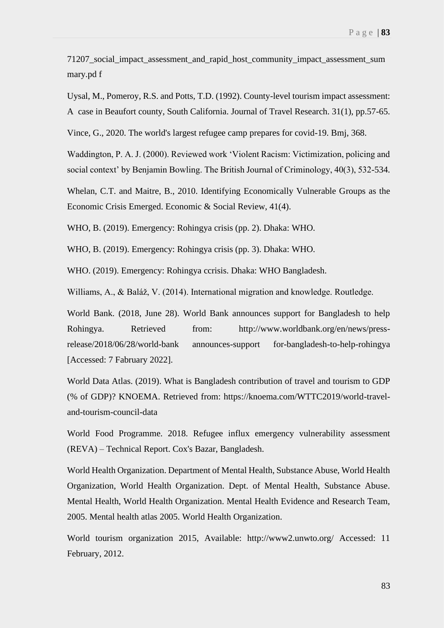71207\_social\_impact\_assessment\_and\_rapid\_host\_community\_impact\_assessment\_sum mary.pd f

Uysal, M., Pomeroy, R.S. and Potts, T.D. (1992). County-level tourism impact assessment: A case in Beaufort county, South California. Journal of Travel Research. 31(1), pp.57-65.

Vince, G., 2020. The world's largest refugee camp prepares for covid-19. Bmj, 368.

Waddington, P. A. J. (2000). Reviewed work 'Violent Racism: Victimization, policing and social context' by Benjamin Bowling. The British Journal of Criminology, 40(3), 532-534.

Whelan, C.T. and Maitre, B., 2010. Identifying Economically Vulnerable Groups as the Economic Crisis Emerged. Economic & Social Review, 41(4).

WHO, B. (2019). Emergency: Rohingya crisis (pp. 2). Dhaka: WHO.

WHO, B. (2019). Emergency: Rohingya crisis (pp. 3). Dhaka: WHO.

WHO. (2019). Emergency: Rohingya ccrisis. Dhaka: WHO Bangladesh.

Williams, A., & Baláž, V. (2014). International migration and knowledge. Routledge.

World Bank. (2018, June 28). World Bank announces support for Bangladesh to help Rohingya. Retrieved from: http://www.worldbank.org/en/news/pressrelease/2018/06/28/world-bank announces-support for-bangladesh-to-help-rohingya [Accessed: 7 Fabruary 2022].

World Data Atlas. (2019). What is Bangladesh contribution of travel and tourism to GDP (% of GDP)? KNOEMA. Retrieved from: https://knoema.com/WTTC2019/world-traveland-tourism-council-data

World Food Programme. 2018. Refugee influx emergency vulnerability assessment (REVA) – Technical Report. Cox's Bazar, Bangladesh.

World Health Organization. Department of Mental Health, Substance Abuse, World Health Organization, World Health Organization. Dept. of Mental Health, Substance Abuse. Mental Health, World Health Organization. Mental Health Evidence and Research Team, 2005. Mental health atlas 2005. World Health Organization.

World tourism organization 2015, Available: http://www2.unwto.org/ Accessed: 11 February, 2012.